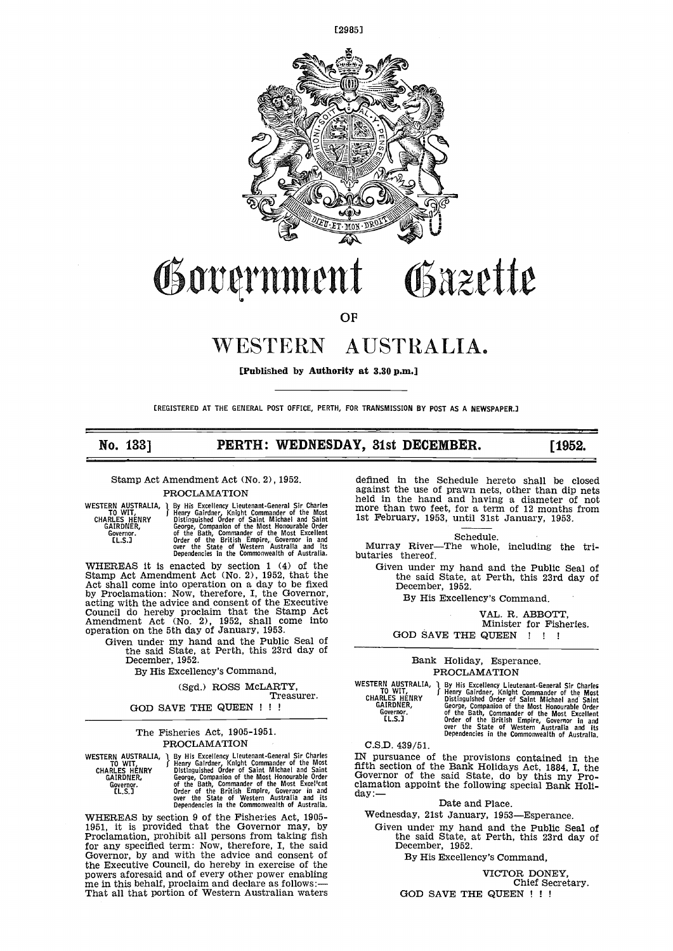

# Government Gäzette

# OF

# WESTERN AUSTRALIA.

[Published by Authority at 3.30 p.m.]

(REGISTERED AT THE GENERAL POST OFFICE, PERTH, FOR TRANSMISSION BY POST AS A NEWSPAPER.]

# No. 133] **PERTH: WEDNESDAY, 31st DECEMBER.** [1952.]

Stamp Act Amendment Act (No. 2), 1952.

PROCLAMATION

WESTERN AUSTRALIA, 1 By Hi<br>CHARLES HENRY Bistir<br>CHARLES HENRY GAIRDNER, Georg<br>Governor. of the<br>LLS.J Order

By His Excellency Lieutenant-General Sir Charles Francy Lieutenant-General Sir Charles<br>Henry Gairdner, Knight Commander of the Most Distinguished Order of Saint Michael and Saint Distinguished Order George, Companion of the Most Honourable Order<br>Of the Bath, Commander of the Most Excellent<br>Order of the British Empire, Governor in and<br>Over the State of Western Australia and its<br>Dependencies in the Commonwealth of Austr

WHEREAS it is enacted by section 1 (4) of the G<br>Stamp Act Amendment Act (No. 2), 1952, that the<br>Act shall come into operation on a day to be fixed by Proclamation: Now, therefore, I, the Governor, acting with the advice and consent of the Executive Council do hereby proclaim that the Stamp Act Amendment Act (No. 2), 1952, shall come into council do hereby proclaim that the Stamp Act<br>Amendment Act (No. 2), 1952, shall come into<br>operation on the 5th day of January, 1953.

Given under my hand and the Public Seal of<br>the said State, at Perth, this 23rd day of December, 1952.

By His Excellency's Command,

# (Sgd.) ROSS McLARTY, Treasurer.

GOD SAVE THE QUEEN ! ! !

# The Fisheries Act, 1905-1951. PROCLAMATION

WESTERN AUSTRALIA, TO WIT, CHARLES HENRY GAIRDNER, Governor.<br>[L.S.]

By His Excellency Lieutenant-General Sir Charles<br>f Henry Gairdner, Knight Commander of the Most<br>f Distinguished Order of Saint Michael and Saint George, Companion of the Most Honourable Order<br>Of the Bath, Commander of the Most Excel<sup>1</sup>ent Cl2<br>Order of the British Empire, Goveraor in and Cl2<br>Order the State of Western Australia and its da<br>Dependencies in the Commonw

WHEREAS by section 9 of the Fisheries Act, 1905-1951, it is provided that the Governor may, by Proclamation, prohibit all persons from taking fish for any specified term: Now, therefore, I, the said Governor, by and with the advice and consent of powers aforesaid and of every other power enabling<br>me in this behalf, proclaim and declare as follows:—<br>That all that portion of Western Australian waters

defined in the Schedule hereto shall be closed against the use of prawn nets, other than dip nets held in the hand and having a diameter of not more than two feet, for a term of 12 months from<br>1st February, 1953, until 31st January, 1953.

Schedule.

Murray River—The whole, including the tri-<br>butaries thereof.

Given under my hand and the Public Seal of the said State, at Perth, this 23rd day of December, 1952.

By His Excellency's Command.

VAL. R. ABBOTT, Minister for Fisheries. GOD SAVE THE QUEEN !!!

# Bank Holiday, Esperance. PROCLAMATION

WESTERN AUSTRALIA, 1 By Hi<br>TO WIT, Thenry CHARLES HENRY Distin<br>GAIRDNER, Georg Governor. (1.5.]

j By His Excellency Lieutenant.General Sir Charles f Henry Gairdner, Knight Commander of the Most Distinguished Order of Saint Michael and Saint George, Companion of the Most Honourable Order<br>Of the Bath, Commander of the Most Excellent<br>Order of the British Empire, Governor in and<br>over the State of Western Australia and its<br>Dependencies in the Commonwealth of Austr

C.S.D. 439/51.

IN pursuance of the provisions contained in the fifth section of the Bank Holidays Act, 1884, I, the Governor of the said State, do by this my Pro-<br>clamation appoint the following special Bank Holi-<br>day: — Date and Place.

Wednesday, 21st January, 1953-Esperance.

Given under my hand and the Public Seal of the said State, at Perth, this 23rd day of December, 1952. December, 1952.<br>By His Excellency's Command,

VICTOR DONEY, Chief Secretary.

GOD SAVE THE QUEEN ! ! !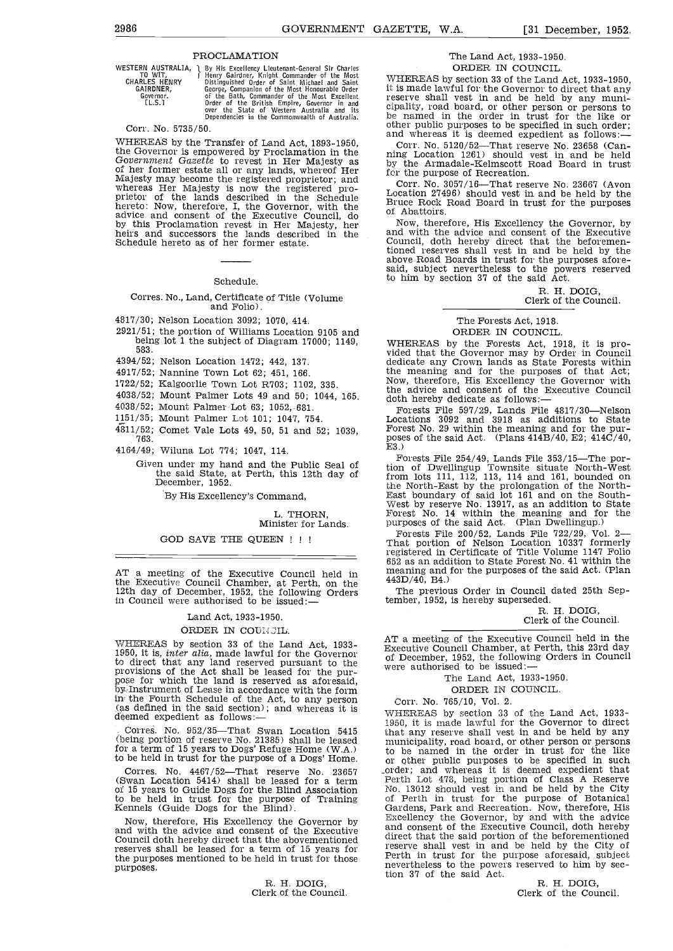**PROCLAMATION**<br>
WESTERN AUSTRALIA, 1 By His Excellency Lieut<br>
CHARLES HENRY Bistinguished Order of<br>
CHARLES HENRY Bistinguished Order of<br>
GAIRDNER, George, Companion of t

WESTERN AUSTRALIA, 1 By His Excellency Lieutenant-General Sir Charles<br>
CHARLES HENRY Distinguished Order of Saint Michael and Saint<br>
GAIRDNER, George, Companion of the Most Honourable Order it<br>
GAIRDNER, George, Companion over the State at Western Australia and its Dependencies in the Commonwealth of Australia.

# Corr. No, 5735/50,

WHEREAS by the Transfer of Land Act, 1893-1950, Cor<br>the Governor is empowered by Proclamation in the<br>officer-tower in the state all or any lands, whereof Her for the<br>Majesty may become the registered proprietor; and<br>where hereto: Now, therefore, I, the Governor, with the<br>advice and consent of the Executive Council, do<br>by this Proclamation revest in Her Majesty, her Now<br>heirs and successors the lands described in the and w<br>Schedule hereto as

#### Schedule.

# Corres. No., Land, Certificate of Title (Volume and Folio).

4817/30; Nelson Location 3092; 1070, 414.

- 2921/51; the portion of Williams Location 9105 and being lot 1 the subject of Diagram 17000; 1149, 583.
- 4394/52; Nelson Location 1472; 442, 137.
- 4917/52; Nannine Town Lot 62; 451, 166.
- 1722/52; Kalgoorlie Town Lot R703; 1102, 335.
- 4038/52; Mount Palmer Lots 49 and 50; 1044, 165.
- 4038/52; Mount Palmer Lot 63; 1052,. 681.
- 1151/35; Mount Palmer Lot 101; 1047, 754.
- 
- 4811/52; Comet Vale Lots 49, 50, 51 and 52; 1039, 763.
- 4164/49; Wiluna Lot 774; 1047, 114.
	- Given under my hand and the Public Seal of<br>the said State, at Perth, this 12th day of free<br>December, 1952.

By His Excellency's Command,

L. THORN, Minister for Lands.

### GOD SAVE THE QUEEN ! ! !

AT a meeting of the Executive Council held in  $\frac{\text{mean}}{443D}$ the Executive Council Chamber, at Perth, on the 12th day of December, 1952, the following Orders 12th day of December, 1952, the following Orders in Council were authorised to be issued:—

# Land Act, 1933-1950.

# ORDER IN COUNCIL.

WHEREAS by section 33 of the Land Act, 1933-1950, it is, *inter alia*, made lawful for the Governor<br>to direct that any land reserved pursuant to the to direct that any land reserved pursuant to the pur-<br>provisions of the Act shall be leased for the pur-<br>pose for which the land is reserved as aforesaid,<br>by.Instrument of Lease in accordance with the form in the Fourth Schedule of the Act, to any person<br>
(as defined in the said section); and whereas it is  $\overline{WHEF}$ <br>
deemed expedient as follows:—

Corres. No. 952/35—That Swan Location 5415 that a<br>(being portion of reserve No. 21385) shall be leased munic to be held in trust for the purpose of a Dogs' Home.

(Swan Location 5414) shall be leased for a term of 15 years to Guide Dogs for the Blind Association Mo. 13012 should vest in and be held by the City<br>to be held in trust for the purpose of Training of Perth in trust for the purpose of Botanical<br>Kennels (Guide Dogs for th

Now, therefore, His Excellency the Governor by and with the advice and consent of the Executive Council doth hereby direct that the abovementioned reserves shall be leased for a term of 15 years for the purposes mentioned to be held in trust for those the purpose all purposes mentioned to be held in trust for those the powers reserved to him by sec-<br>nevertheless to the powers reserved to him by secpurposes.

> R. H. DOIG, Clerk of the Council.

# The Land Act, 1933-1950.

ORDER IN COUNCIL.<br>WHEREAS by section 33 of the Land Act, 1933-1950, it is made lawful for the Governor to direct that any reserve shall vest in and be held by any municipality, road board, or other person or persons to be named in the order in trust for the like or other public purposes to and whereas it is deemed expedient as follows:-

Corr. No. 5120/52—That reserve No. 23658 (Can-<br>ning Location 1261) should vest in and be held by the Armadale-Kelmscott Road Board in trust for the purpose of Recreation.

Corr. No. 3057/16—That reserve No. 23667 (Avon Location 27496) should vest in and be held by the Bruce Rock Road Board in trust for the purposes of Abattoirs.

Now, therefore, His Excellency the Governor, by and with the advice and consent of the Executive Council, doth hereby direct that the beforementioned reserves shall vest in and be held by the above Road Boards in trust for the purposes afore- said, subject nevertheless to the powers reserved to him by section 37 of the said Act.

R. H. DOIG,<br>Clerk of the Council.

The Forests Act, 1918. ORDER IN COUNCIL.

WHEREAS by the Forests Act, 1918, it is pro-<br>vided that the Governor may by Order in Council<br>dedicate any Crown lands as State Forests within<br>the meaning and for the purposes of that Act; the meaning and for the purposes of that Act; Now, therefore, His Excellency the Governor with the advice and consent of the Executive Council doth hereby dedicate as follows:

Forests File 597/29, Lands File 4817/30—Nelson<br>Locations 3092 and 3918 as additions to State Forest No. 29 within the meaning and for the pur-<br>poses of the said Act. (Plans  $414B/40$ , E2;  $414C/40$ , E3.)

Forests File 254/49, Lands File 353/15—The portion of Dwellingup Townsite situate North-West from lots 111, 112, 113, 114 and 161, bounded on the North-East by the prolongation of the North- East boundary of said lot 161 and on the South- West by reserve No. 13917, as an addition to State Forest No. 14 within the meaning and for the Forest No. 14 within the meaning and for the purposes of the said Act. (Plan Dwellingup.)

Forests File 200/52, Lands File 722/29, Vol. 2 That portion of Nelson Location 10337 formerly registered in Certificate of Title Volume 1147 Folio 652 as an addition to State Forest No. 41 within the meaning and for the purposes of the said Act. (Plan 443D/40, B4.)

The previous Order in Council dated 25th September, 1952, is hereby superseded.

R. H. DOIG, Clerk of the Council.

AT a meeting of the Executive Council held in the Executive Council Chamber, at Perth, this 23rd day of December, 1952, the following Orders in Council were authorised to be issued:

The Land Act, 1933-1950.

ORDER IN COUNCIL.

Corr. No. 765/10, Vol. 2.

(being portion of reserve No. 21385) shall be leased municipality, road board, or other person or persons  $f$  for a term of 15 years to Dogs' Refuge Home (W.A.) and the named in the order in trust, for the like Corres. No. 4467/52—That reserve No. 23657 corder; and whereas it is deemed expedient that twan Location 5414) shall be leased for a term Ferth Lot 473, being portion of Class A Reserve WHEREAS by section 33 of the Land Act, 1933-1950, it is made lawful for the Governor to direct that any reserve shall vest in and be held by any municipality, road board, or other person or persons to be named in the order No. 13012 should vest in and be held by the City<br>of Perth in trust for the purpose of Botanical Excellency the Governor, by and with the advice and consent of the Executive Council, doth hereby direct that the said portion of the beforementioned reserve shall vest in and be held by the City of Perth in trust for the purpose aforesaid, subject tion 37 of the said Act.

R. H. DOIG, Clerk of the Council.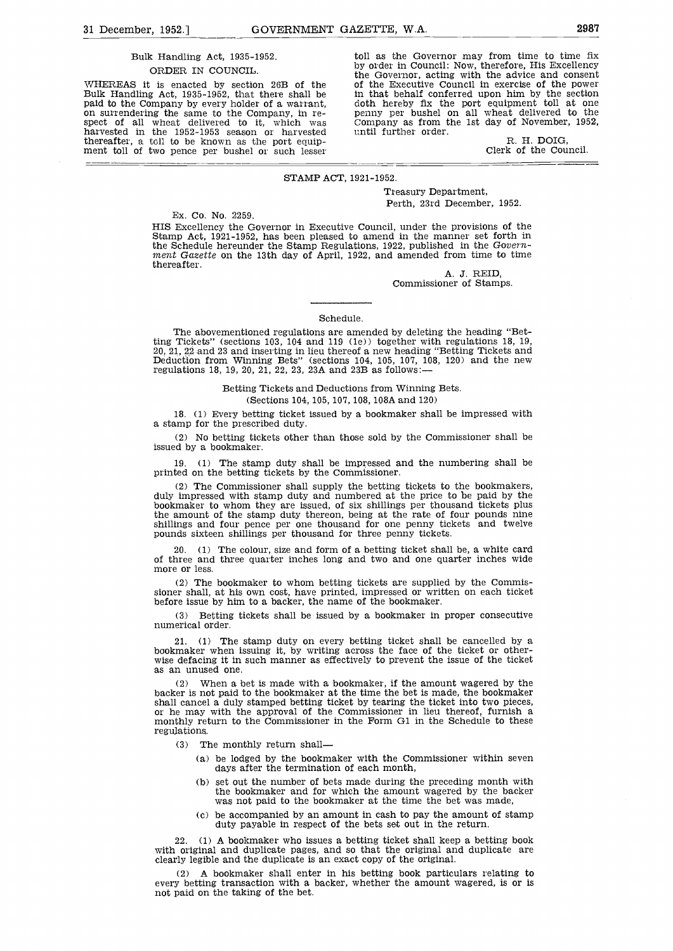# Bulk Handling Act, 1935-1952. ORDER IN COUNCIL.

WHEREAS it is enacted by section 26B of the of the Executive Council in exercise of the power<br>Bulk Handling Act, 1935-1952, that there shall be in that behalf conferred upon him by the section<br>paid to the Company by every thereafter, a toll to be known as the port equip- ment toll of two pence per bushel or such lesser

toll as the Governor may from time to time fix by order in Council: Now, therefore, His Excellency the Governor, acting with the advice and consent in that behalf conferred upon him by the section penny per bushel on all wheat delivered to the Company as from the 1st day of November, 1952, until further order.<br>R. H. DOIG.

Clerk of the Council.

#### STAMP ACT, 1921-1952.

Treasury Department, Perth, 23rd December, 1952.

Ex. Co. No. 2259.

HIS Excellency the Governor in Executive Council, under the provisions of the Stamp Act, 1921-1952, has been pleased to amend in the manner set forth in the Schedule hereunder the Stamp Regulations, 1922, published in the ment Gazette on the 13th day of April, 1922, and amended from time to time thereafter.

A. J. REID,<br>Commissioner of Stamps.

#### Schedule.

The abovementioned regulations are amended by deleting the heading "Bet-<br>ting Tickets" (sections 103, 104 and 119 (1e)) together with regulations 18, 19, ting Tickets" (sections 103, 104 and 119 (1e)) together with regulations 18, 19, 20, 21, 22 and 23 and inserting in lieu thereof a new heading "Betting Tickets and Deduction from Winning Bets" (sections 104, 105, 107, 108 regulations 18, 19, 20, 21, 22, 23, 23A and 23B as follows:—

#### Betting Tickets and Deductions from Winning Bets.

#### (Sections 104, 105, 107, 108, 108A and 120)

18. (1) Every betting ticket issued by a bookmaker shall be impressed with a stamp for the prescribed duty.

(2) No betting tickets other than those sold by the Commissioner shall be issued by a bookmaker.

19. (1) The stamp duty shall be impressed and the numbering shall be printed on the betting tickets by the Commissioner.

(2) The Commissioner shall supply the betting tickets to the bookmakers, duly impressed with stamp duty and numbered at the price to be paid by the bookmaker to whom they are issued, of six shillings per thousand tickets p the amount of the stamp duty thereon, being at the rate of four pounds nine shillings and four pence per one thousand for one penny tickets and twelve pounds sixteen shillings per thousand for three penny tickets.

20. (1) The colour, size and form of a betting ticket shall be, a white card of three and three quarter inches long and two and one quarter inches wide more or less.

The bookmaker to whom betting tickets are supplied by the Commis- sioner shall, at his own cost, have printed, impressed or written on each ticket before issue by him to a backer, the name of the bookmaker.

Betting tickets shall be issued by a bookmaker in proper consecutive numerical order.

21. (1) The stamp duty on every betting ticket shall be cancelled by a bookmaker when issuing it, by writing across the face of the ticket or otherwise defacing it in such manner as effectively to prevent the issue of the

(2) When a bet is made with a bookmaker, if the amount wagered by the backer is not paid to the bookmaker at the time the bet is made, the bookmaker shall cancel a duly stamped betting ticket by tearing the ticket into tw regulations.

- $(3)$ The monthly return shall
	- be lodged by the bookmaker with the Commissioner within seven days after the termination of each month,
	- (b) set out the number of bets made during the preceding month with the bookmaker and for which the amount wagered by the backer was not paid to the bookmaker at the time the bet was made,
	- be accompanied by an amount in cash to pay the amount of stamp duty payable in respect of the bets set out in the return.

22. (1) A bookmaker who issues a betting ticket shall keep a betting book with original and duplicate pages, and so that the original and duplicate are clearly legible and the duplicate is an exact copy of the original.

(2) A bookmaker shall enter in his betting book particulars relating to every betting transaction with a backer, whether the amount wagered, is or is not paid on the taking of the bet.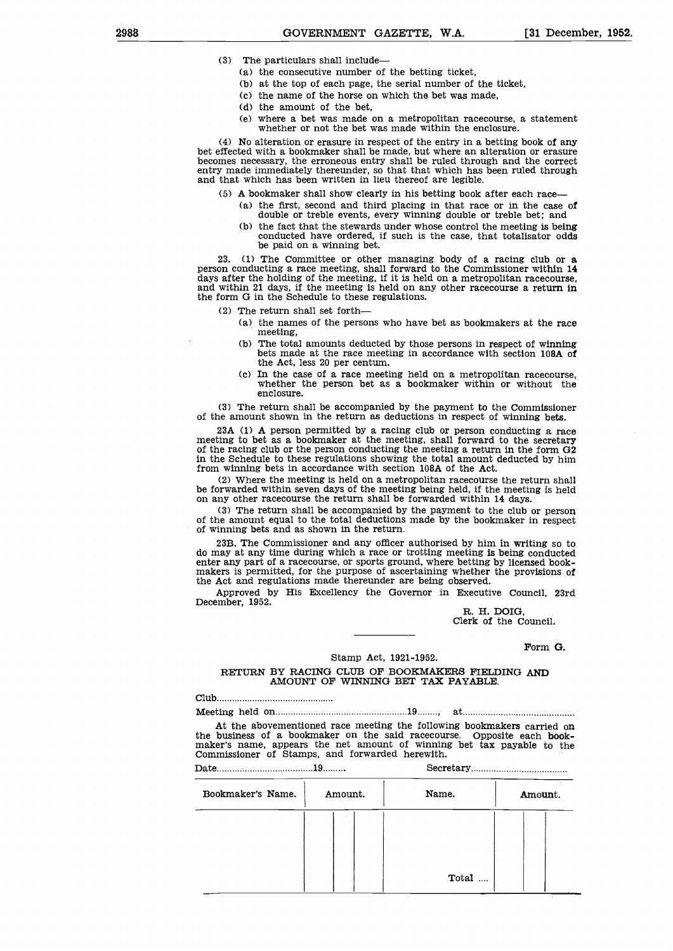- (3) The particulars shall include
	- (a) the consecutive number of the betting ticket,
	- at the top of each page, the serial number of the ticket,
	- (C) the name of the horse on which the bet was made,
	- (d) the amount of the bet,
	- where a bet was made on a metropolitan racecourse, a statement whether or not the bet was made within the enclosure.

(4) No alteration or erasure in respect of the entry in a betting book of any bet effected with a bookmaker shall be made, but where an alteration or erasure becomes necessary, the erroneous entry shall be ruled through and the correct entry made immediately thereunder, so that that which has been r and that which has been written in lieu thereof are legible.

- (5) A bookmaker shall show clearly in his betting book after each race
	- the first, second and third placing in that race or in the case of double or treble events, every winning double or treble bet; and
		- (b) the fact that the stewards under whose control the meeting is being conducted have ordered, if such is the case, that totalisator odds be paid on a winning bet.

23. (1) The Committee or other managing body of a racing club or a person conducting a race meeting, shall forward to the Commissioner within  $14$  days after the holding of the meeting, if it is held on a metropolitan rac the form G in the Schedule to these regulations.

- (2) The return shall set forth
	- $(a)$  the names of the persons who have bet as bookmakers at the race meeting,
	- The total amounts deducted by those persons in respect of winning bets made at the race meeting in accordance with section 108A of the Act, less 20 per centum.
	- (C) In the case of a race meeting held on a metropolitan racecourse. whether the person bet as a bookmaker within or without the enclosure.

(3) The return shall be accompanied by the payment to the Commissioner of the amount shown in the return as deductions in respect of winning bets.

23A (1) A person permitted by a racing club or person conducting a race meeting to bet as a bookmaker at the meeting, shall forward to the secretary of the racing club or the person conducting the meeting a return in the form G2 In the Schedule to these regulations showing the total amount deducted by him

from winning bets in accordance with section 108A of the Act.<br>(2) Where the meeting is held on a metropolitan racecourse the return shall Where the meeting is held, if the meeting is held on any other racecourse the return shall be forwarded within 14 days.<br>(3) The return shall be accompanied by the payment to the club or person

of the amount equal to the total deductions made by the bookmaker in respect of winning bets and as shown in the return.

23B. The Commissioner and any officer authorised by him in writing so to do may at any time during which a race or trotting meeting is being conducted enter any part of a racecourse, or sports ground, where betting by lice makers is permitted, for the purpose of ascertaining whether the provisions of the Act and regulations made thereunder are being observed.

Approved by His Excellency the Governor in Executive Council, 23rd December, 1952.<br>R. H. DOIG.

Clerk of the Council.

Form G.

# Stamp Act, 1921-1952.

RETURN BY RACING CLUB OF BOOKMAKERS FIELDING AND AMOUNT OF WINNING BET TAX PAYABLE.

Club

Meeting held on 19 , at

At the abovementioned race meeting the following bookmakers carried on the business of a bookmaker on the said racecourse. Opposite each bookmaker's name, appears the net amount of winning bet tax payable to the Commissioner of Stamps, and forwarded herewith.

Date 19 Secretary 20 Secretary 20 Secretary 20 Secretary 20 Secretary 20 Secretary 20 Secretary 20 Secretary 20 Secretary 20 Secretary 20 Secretary 20 Secretary 20 Secretary 20 Secretary 20 Secretary 20 Secretary 20 Secret

| Bookmaker's Name. | Amount. | Name. | Amount. |
|-------------------|---------|-------|---------|
|                   |         |       |         |
|                   |         | Total |         |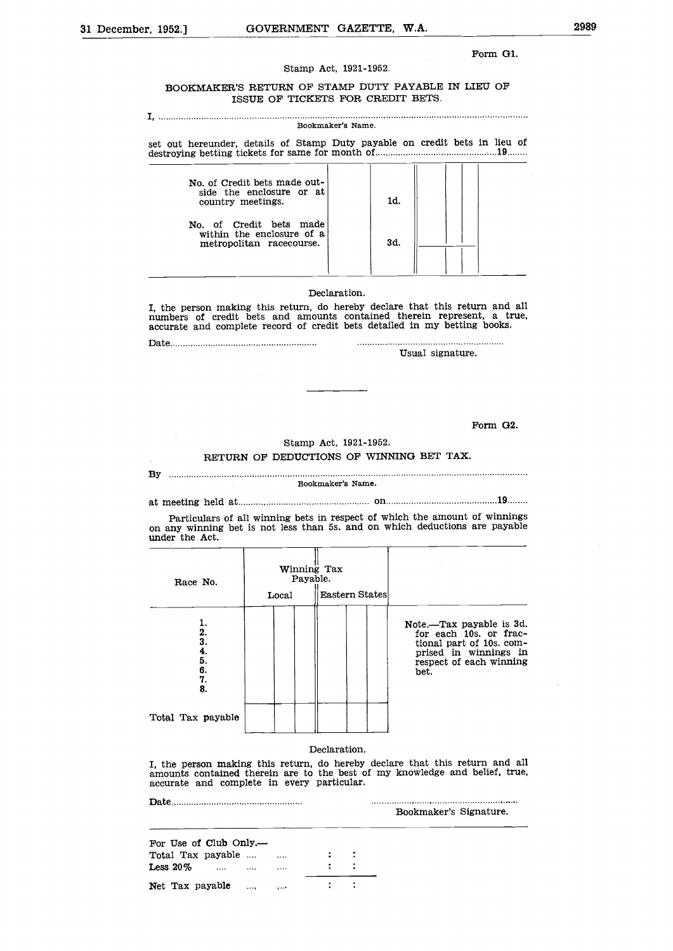## Form Gi.

# Stamp Act, 1921-1952.

# BOOKMAKER'S RETURN OF STAMP DUTY PAYABLE IN LIEU OF ISSUE OF TICKETS FOR CREDIT BETS.

#### I, Bookmaker's Name.

set out hereunder, details of Stamp Duty payable on credit bets in lieu of destroying betting tickets for same for month of <sup>19</sup>

| No. of Credit bets made out-<br>side the enclosure or at<br>country meetings.    | 1d. |  |
|----------------------------------------------------------------------------------|-----|--|
| No. of Credit bets made<br>within the enclosure of a<br>metropolitan racecourse. | 3d. |  |

# Declaration.

I, the person making this return, do hereby declare that this return and all numbers of credit bets and amounts contained therein represent, a true, accurate and complete record of credit bets detailed in my betting books.

Date

Usual signature.

Form G2.

# Stamp Act, 1921-1952.

# RETURN OF DEDUCTIONS OF WINNING BET TAX.

# By Bookmaker's Name.

at meeting held at <u>manual at the substantial on the contract on</u> 19.......

Particulars of all winning bets in respect of which the amount of winnings on any winning bet is not less than 5s. and on which deductions are payable under the Act.

| Race No.                                        |       | Winning Tax<br>Payable. |                                                                                                                                            |
|-------------------------------------------------|-------|-------------------------|--------------------------------------------------------------------------------------------------------------------------------------------|
|                                                 | Local | Eastern States          |                                                                                                                                            |
| ı.<br>2.<br>3.<br>$rac{4}{5}$<br>6.<br>7.<br>8. |       |                         | Note.—Tax payable is 3d.<br>for each 10s. or frac-<br>tional part of 10s. com-<br>prised in winnings in<br>respect of each winning<br>bet. |
| Total Tax payable                               |       |                         |                                                                                                                                            |

# Declaration.

I, the person making this return, do hereby declare that this return and all amounts contained therein are to the best of my knowledge and belief, true, accurate and complete in every particular.

| $\mathbf{Date}.$                        |    |         | Bookmaker's Signature. |
|-----------------------------------------|----|---------|------------------------|
| For Use of Club Only.—                  |    |         |                        |
| Total Tax payable                       |    | $1 - 1$ |                        |
| Less $20\%$<br>$\cdots$<br>$\cdots$<br> | Æ. |         |                        |
| Net Tax payable<br>$\cdots$<br>         |    |         |                        |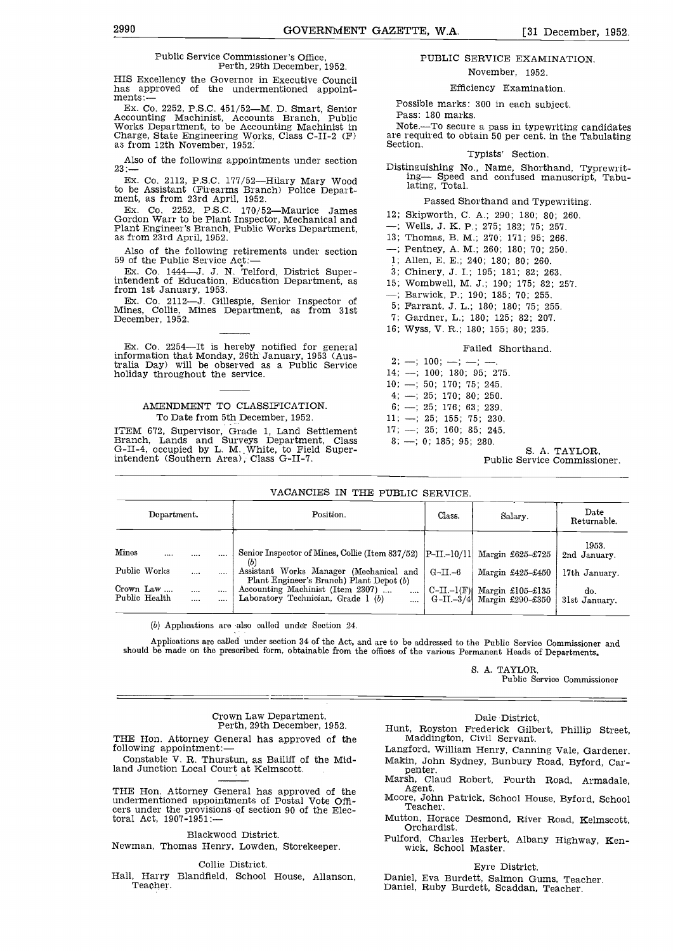#### Public Service Commissioner's Office, Perth, 29th December, 1952.

HIS Excellency the Governor in Executive Council has approved of the undermentioned appoint-<br>ments:-

Ex. Co. 2252, P.S.C. 451/52—M. D. Smart, Senior Possib<br>Accounting Machinist, Accounts Branch, Public Pass:<br>Works Department, to be Accounting Machinist in Note.-<br>Charge, State Engineering Works, Class C-II-2 (F) are requ<br>a

Also of the following appointments under section  $23:-$ 

Ex. Co. 2112, P.S.C. 177/52—Hilary Mary Wood  $\frac{11}{16}$ to be Assistant (Firearms Branch) Police Depart- ment, as from 23rd April, 1952.

Ex. Co. 2252, P.S.C. 170/52-Maurice James 12: Gordon Warr to be Plant Inspector, Mechanical and  $\begin{array}{ccc} 12, & 8 \\ \text{Plant Engineer's Branch, Public Works Department,} & -; \text{Var}(23) & -; 13, \text{Var}(33) \end{array}$ 

Also of the following retirements under section 59 of the Public Service Act:-

Ex. Co. 1444-J. J. N. Telford, District Superintendent of Education, Education Department, as

from 1st January, 1953. Ex. Co. 2112-J. Gillespie, Senior Inspector of Mines, Collie, Mines Department, as from 31st December, 1952.

Ex. Co. 2254—It is hereby notified for general<br>information that Monday, 26th January, 1953 (Aus-<br>tralia Day) will be observed as a Public Service<br>holiday throughout the service. 14;

# AMENDMENT TO CLASSIFICATION. To Date from 5th December, 1952.

ITEM 672, Supervisor, Grade 1, Land Settlement 17;<br>Branch, Lands and Surveys Department, Class 8;<br>G-II-4, occupied by L. M. White, to Field Superintendent (Southern Area), Class G-II-'7.

# PUBLIC SERVICE EXAMINATION. November, 1952.

Efficiency Examination.

Possible marks: 300 in each subject.

Pass: 180 marks.

Note.—To secure a pass in typewriting candidates are required to obtain 50 per cent. in the Tabulating

## Typists' Section.

Distinguishing No., Name, Shorthand, Typrewriting- Speed and confused manuscript, Tabulating, Total.

#### Passed Shorthand and Typewriting.

- 12; Skipworth, C. A.; 290; 180; 80; 260.
- -; Wells, J. K. P.; 275; 182; 75; 257.
- 13; Thomas, B. M.; 270; 171; 95; 266.
- -; Pentney, A. M.; 260; 180; 70; 250.
- 1; Allen, E. E.; 240; 180; 80; 260.
- 3; Chinery, J. I.; 195; 181; 82; 263.
- 15; Wombwell, M. J.; 190; 175; 82; 257.
- -; Barwick, P.; 190; 185; 70; 255.
- 5; Farrant, J. L.; 180; 180; 75; 255.
- 7: Gardner, L.; 180; 125; 82; 207.
- 16; Wyss, V. R.; 180; 155; 80; 235.

## Failed Shorthand.

- 2; --; 100; --; --; ---.<br>14; --; 100; 180; 95; 275.  $10; -; 50; 170; 75; 245.$  $4; -; 25; 170; 80; 250.$  $6; -; 25; 176; 63; 239.$ 11; -; 25; 155; 75; 230.
- $17; -; 25; 160; 85; 245.$

 $8; -; 0; 185; 95; 280.$ 

S. A. TAYLOR,<br>Public Service Commissioner.

|  |  |  |  | VACANCIES IN THE PUBLIC SERVICE. |
|--|--|--|--|----------------------------------|
|--|--|--|--|----------------------------------|

|                            | Dopartment. |              | Position.                                                                                      | Class.                      | Salary.                                  | Date<br>Returnable.   |
|----------------------------|-------------|--------------|------------------------------------------------------------------------------------------------|-----------------------------|------------------------------------------|-----------------------|
| Mines                      |             |              | Senior Inspector of Mines, Collie (Item 837/52)  P-II.-10/11 <br>(b)                           |                             | Margin £625-£725                         | 1953.<br>2nd January. |
| Public Works               |             | $\cdots$     | Assistant Works Manager (Mechanical and<br>Plant Engineer's Branch) Plant Depot (b)            | $G-II.-6$                   | Margin £425-£450                         | 17th January.         |
| Crown Law<br>Public Health |             | $\cdots$<br> | Accounting Machinist (Item 2307)<br>$\cdots$<br>Laboratory Technician, Grade 1 (b)<br>$\cdots$ | $C-II-I(F)$<br>$G-II - 3/4$ | Margin $£105 - £135$<br>Margin £290-£350 | do.<br>31st January.  |

(b) Applications are also called under Section 24.

Applications are called under section 34 of the Act, and are to be addressed to the Public Service Commissioner and should be made on the prescribed form, obtainable from the offices of the various Permanent Heads of Departments.

S. A. TAYLOR,

Public Service Commissioner

# Crown Law Department, Perth, 29th December, 1952.

THE Hon. Attorney General has approved of the following appointment:-

Constable V. H. Thurstun, as Bailiff of the Midland Junction Local Court at Kelmscott.

THE Hon. Attorney General has approved of the agent.<br>undermentioned appointments of Postal Vote Offi- Moore, John Patrick, School House, Byford, School<br>cers under the provisions of section 90 of the Electoral Act, 1907-1951:-

# Blackwood District.

Newman, Thomas Henry, Lowden, Storekeeper.

# Collie District.

Hall, Harry Blandfield, School House, Allanson, Teacher.

Dale District,

Hunt, Royston Frederick Gilbert, Phillip Street,

- Langford, William Henry, Canning Vale, Gardener.
- penter. Marsh, Claud Robert, Fourth Road, Armadale, Agent. Moore, Agent. Moore, School House, School House, School House, School House, School House, School House, School Teacher. Moore, School House, School Teacher. Schoo
- 
- Mutton, Horace Desmond, River Road, Kelmscott, Orchardist.
- Pulford, Charles Herbert, Albany Highway, Ken- wick, School Master.

#### Eyre District.

Daniel, Eva Burdett, Salmon Gums, Teacher.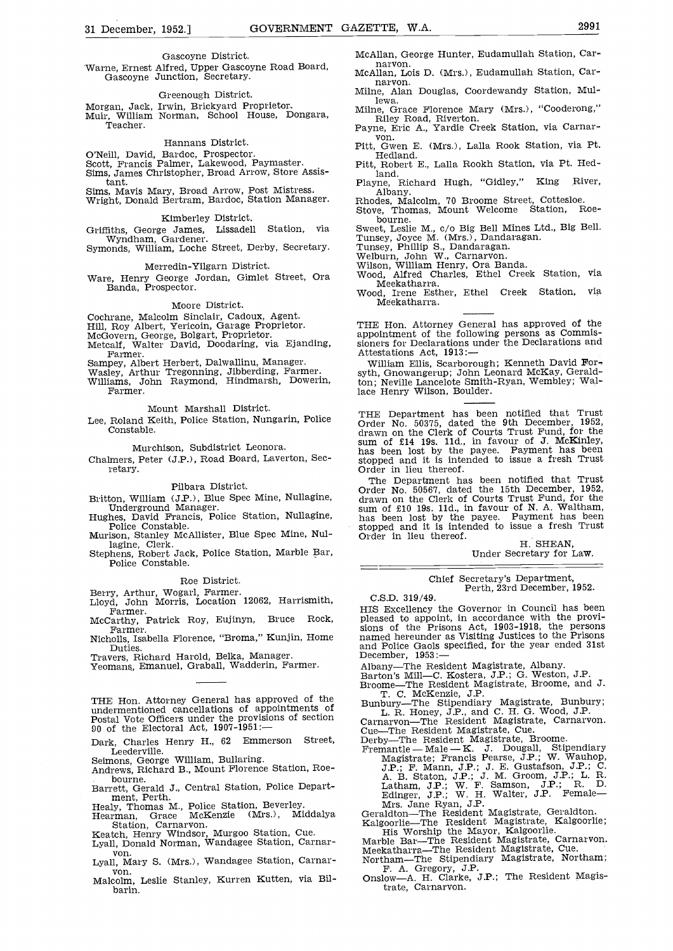## Gascoyne District.

Warne, Ernest Alfred, Upper Gascoyne Road Board, Gascoyne Junction, Secretary.

Greenough District.<br>Morgan, Jack, Irwin, Brickyard Proprietor. Morgan, Jack, Irwin, Brickyard Proprietor.<br>Muir, William Norman, School House, Dongara, They Road, Riverton.<br>Teacher. Teacher. Teacher. Teacher. Teacher.

## Hannans District.

O'Neill, David, Bardoc, Prospector. Scott, Francis Palmer, Lakewood, Paymaster. Sims, James Christopher, Broad Arrow, Store Assistant. Sims, Mavis Mary, Broad Arrow, Post Mistress. Wright, Donald Bertram, Bardoc, Station Manager.

## Kimberley District.

Griffiths, George James, Lissadell Station, via

Wyndham, Gardener. Symonds, William, Loche Street, Derby, Secretary.

Merredin-Yilgarn District.

# Moore District.

Cochrane, Malcolm Sinclair, Cadoux, Agent.<br>Hill, Roy Albert, Yericoin, Garage Proprietor.<br>McGovern, George, Bolgart, Proprietor.<br>Metcalf, Walter David, Doodaring, via Ejanding,<br>Farmer.

Sampey, Albert Herbert, Dalwallinu, Manager. Wasley, Arthur Tregonning, Jibberding, Farmer. Williams, John Raymond, Hindmarsh, Dowerin, Farmer.

Mount Marshall District.

Lee, Roland Keith, Police Station, Nungarin, Police Constable.

Murchison, Subdistrict Leonora.

Chalmers, Peter (J.P.), Road Board, Laverton, Secretary.

#### Pilbara District.

Murison, Stanley McAllister, Blue Spec Mine, Nul-<br>lagine, Clerk.

Stephens, Robert Jack, Police Station, Marble Bar, Police Constable.

# Roe District.

- Farmer.
- 
- Duties. Travers, Richard Harold, Belka, Manager. Yeomans, Emanuel, Graball, Wadderin, Farmer.

THE Hon. Attorney General has approved of the undermentioned cancellations of appointments of  $\mu$ . R. Honey, J.P., and C. H. G. Wood, Carnarvon—The Resident Magistrate, Can Cue—The Resident Magistrate, Can Cue—The Residen

Dark, Charles Henry H., 62 Emmerson Street,

Leederville.<br>Seimons, George William, Bullaring.

Andrews, Richard B., Mount Florence Station, Roe-

bourne.<br>Barrett, Gerald J., Central Station, Police Depart-<br>ment, Perth.<br>Healy, Thomas M., Police Station, Beverley.<br>Hearman, Grace McKenzie (Mrs.), Middalya

- 
- Station, Carnarvon.<br>
Kalgoorlie—The Resident Magistrate, Kalgoorlie,<br>
Lyall, Donald Norman, Wandagee Station, Carnar-<br>
Lyall, Donald Norman, Wandagee Station, Carnar-<br>
Mary S. (Mrs.), Wandagee Station, Carnar-<br>
Mortham—The
- 
- McAllan, George Hunter, Eudamullah Station, Carnarvon.
- McAllan, Lois D. (Mrs.), Eudamullah Station, Carnarvon. Mime, Alan Douglas, Coordewandy Station, Mul-
- lewa.
- 
- Riley Road, Riverton.<br>
Payne, Eric A., Yardie Creek Station, via Carnar-von.<br>
Pitt, Gwen E. (Mrs.), Lalla Rook Station, via Pt.<br>
Hedland.<br>
Pitt, Robert E., Lalla Rookh Station, via Pt. Hed-
- land.
- Playne, Richard Hugh, "Gidley," King River,<br>Albany.

Albany. Rhodes, Malcolm, 70 Broome Street, Cottesloe. Stove, Thomas, Mount Welcome Station, Roe-

Merredin-Yilgarn District.<br>Ware, Henry George Jordan, Gimlet Street, Ora Mood, Alfred Charles, Ethel Creek Station, via<br>Banda, Prospector. Meekatharra. Meekatharra. bourne.<br>Sweet, Leslie M., c/o Big Bell Mines Ltd., Big Bell.<br>Tunsey, Joyce M. (Mrs.), Dandaragan.<br>Tunsey, Phillip S., Dandaragan.<br>Welburn, John W., Carnarvon.<br>Wilson, William Henry, Ora Banda.<br>Wood, Alfred Charles, Ethel C

Wood, Irene Esther, Ethel Creek Station, via Meekatharra.

THE Hon. Attorney General has approved of the appointment of the following persons as Commis- sioners for Declarations under the Declarations and

Attestations Act, 1913:—<br>William Ellis, Scarborough; Kenneth David Forsyth, Gnowangerup; John Leonard McKay, Geraldton; Neville Lancelote Smith-Ryan, Wembley; Wallace Henry Wilson, Boulder.

THE Department has been notified that Trust Order No. 50375, dated the 9th December, 1952, drawn on the Clerk of Courts Trust Fund, for the sum of £14 19s. 11d., in favour of J. McKinley, has been lost by the payee. Payment has been stopped and it is intended to issue a fresh Trust Order in lieu thereof.

Britton, William (J.P.), Blue Spec Mine, Nullagine,<br>
Underground Manager.<br>
Hughes, David Francis, Police Station, Nullagine,<br>
Police Constable.<br>
Murison, Stanley McAllister, Blue Spec Mine, Nul-<br>
Dider in lieu thereof. Order in lieu thereof.<br>The Department has been notified that Trust Order No. 50567, dated the 15th December, 1952, drawn on the Clerk of Courts Trust Fund, for the Clerk of M. A. Trust Fund, for the Clerk of M. A. Trust F sum of £10 19s. lid., in favour of N. A. Waltham, has been lost by the payee. Payment has been stopped and it is intended to issue a fresh Trust<br>Order in lieu thereof.<br>H. SHEAN,

Under Secretary for Law.

# Chief Secretary's Department, Perth, 23rd December, 1952.

C.S.D. 319/49.

Berry, Arthur, Wogarl, Farmer.<br>
Lloyd, John Morris, Location 12062, Harrismith, C.S.D. 319/49.<br>
Farmer. HIS Excellency the Governor in Council has been<br>
McCarthy, Patrick Roy, Eujinyn, Bruce Rock, pleased to appoint, in ac Nicholls, Isabella Florence, "Broma," Kunjin, Home hamed hereunder as Visiting Justices to the Prisons and Police Gaols specified, for the year ended 31st pleased to appoint, in accordance with the provisions of the Prisons Act, 1903-1918, the persons<br>named hereunder as Visiting Justices to the Prisons<br>and Police Gaols specified, for the year ended 31st<br>December, 1953:—<br>Alba

- 
- 
- 
- Broome-The Nessachur measure of T. C. McKenzie, J.P.<br>Bunbury--The Stipendiary Magistrate, Bunbury;<br>L. R. Honey, J.P., and C. H. G. Wood, J.P.<br>Carnaryon--The Resident Magistrate, Carnaryon.

- 
- A. B. Staton, J.P.; J. M. Groom, J.P.; L. R. Latham, J.P.; W. F. Samson, J.P.; R. D. Edinger, J.P.; W. H. Walter, J.P. Female
- Mrs. Jane Ryan, J.P.<br>Geraldton—The Resident Magistrate, Geraldton.<br>Kalgoorlie—The Resident Magistrate, Kalgoorlie;<br>His Worship the Mayor, Kalgoorlie.<br>Marble Bar—The Resident Magistrate, Carnarvon.<br>Meckatharra—The Resident

- methamin-The Resident Magnolate, Cue.<br>Northam-The Stipendiary Magistrate, Northam;<br>F. A. Gregory, J.P.<br>Onslow-A. H. Clarke, J.P.; The Resident Magis-<br>trate, Carnarvon.
-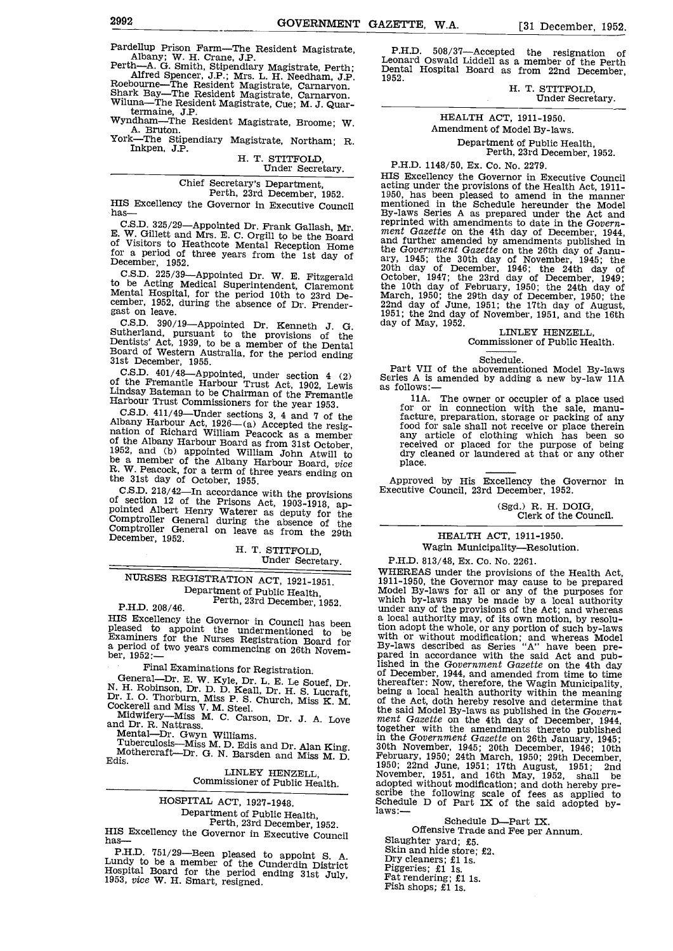Pardellup Prison Farm—The Resident Magistrate, P.I<br>
Albany; W. H. Crane, J.P. Leon<br>
Perth—A. G. Smith, Stipendiary Magistrate, Perth; Dent<br>
Alfred Spencer, J.P.; Mrs. L. H. Needham, J.P. 1952.<br>
Roebourne—The Resident Magi

Xork—The Resident Magistrate, Divoine, W. Amendment of Model By-laws.<br>
The Stipendiary Magistrate, Northam; R. Department of Public Health, Perth, 23rd December, 1952.<br>
Inkpen, J.P. H. T. STITFOLD, Department of Public Hea

# Chief Secretary's Department, Perth, 23rd December, 1952.

E. W. Gillett and Mrs. E. C. Orgill to be the Board of Visitors to Heathcote Mental Reception Home for a period of three years from the 1st day of December, 1952.<br>C.S.D. 225/39—Appointed Dr. W. E. Fitzgerald

to be Acting Medical Superintendent, Claremont the 10th day of Mental Hospital, for the period 10th to 23rd De-<br>
cember, 1952, during the absence of Dr. Prender-<br>
gast on leave. 1951; the 2nd day<br>
C.S.D. 390/19—Appointed D

C.S.D. 390/19—Appointed Dr. Kenneth J. G. Sutherland, pursuant to the provisions of the Dentists' Act, 1939, to be a member of the Dental Board of Western Australia, for the period ending 31st December, 1955.<br>C.S.D. 401/48

Under Fremantie Harbour Trust Act, 1902, Lewis as follows:—<br>
Harbour Trust Commissioners for the Fremantle<br>
Harbour Trust Commissioners for the Fremantie<br>
C.S.D. 411/49—Under sections 3, 4 and 7 of the<br>
Albany Harbour Act,

C.S.D. 210/ $+2$ —111 accordance with the provisions<br>of section 12 of the Prisons Act, 1903-1918, ap-<br>pointed Albert Henry Waterer as deputy for the<br>Comptroller General during the absence of the<br>Comptroller General on leave

# H. T. STITFOLD, Under Secretary.

NURSES REGISTRATION ACT, 1921-1951.

Department of Public Health,<br>Perth, 23rd December, 1952.<br>HIS Excellency the Governor in Council has been

Final Examinations for Registration.<br>
General—Dr. E. W. Kyle, Dr. L. E. Le Souef, Dr. N. H. Robinson, Dr. D. D. Keall, Dr. H. S. Lucraft,<br>
Dr. I. O. Thorburn, Miss P. S. Church, Miss K. M.<br>
Cockerell and Miss V. M. Steel.

Midwifery—Miss M. C. Carson, Dr. J. A. Love<br>and Dr. R. Nattrass.<br>Mental—Dr. Gwyn Williams.<br>Tuberculosis—Miss M. D. Edis and Dr. Alan King.<br>Mothercraft—Dr. G. N. Barsden and Miss M. D.<br>Edis.

LINLEY HENZELL, Commissioner of Public Health.

# HOSPITAL ACT, 1927-1948.

Department of Public Health,  $P$ erth, 23rd December, 1952.<br>HIS Excellency the Governor in Executive Council has-

P.H.D. 751/29—Been pleased to appoint S. A. Lundy to be a member of the Cunderdin District Hospital Board for the period ending 31st July, 1953, *vice* W. H. Smart, resigned.

P.H.D. 508/37—Accepted the resignation of Leonard Oswald Liddell as a member of the Perth Dental Hospital Board as from 22nd December,

H. T. STITFOLD, Under Secretary.

# HEALTH ACT, 1911-1950. Amendment of Model By-laws.

# Department of Public Health, Perth, 23rd December, 1952.

P.H.D. 1148/50, Ex. Co. No. 2279.

Perth, 23rd December, 1952. 1950, has been pleased to amend in the manner<br>HIS Excellency the Governor in Executive Council mentioned in the Schedule hereunder the Model<br>has—<br>C.S.D. 325/29—Appointed Dr. Frank Gallash, Mr. r HIS Excellency the Governor in Executive Council acting under the provisions of the Health Act, 1911- 1950, has been pleased to amend in the manner mentioned in the Schedule hereunder the Model By-laws Series A as prepared under the Act and reprinted with amendments to date in the Govern-<br>ment Gazette on the 4th day of December, 1944,<br>and further amended by amendments published in the Government Gazette on the 26th day of Janu-<br>ary, 1945; the 30th day of November, 1945; the<br>20th day of December, 1946; the 24th day of<br>October, 1947; the 23rd day of December, 1949;<br>the 10th day of February, 1950; the day of May, 1952.<br>LINLEY HENZELL,

# LINLEY HENZELL,<br>Commissioner of Public Health.

Schedule.<br>
Part VII of the abovementioned Model By-laws<br>
Series A is amended by adding a new by-law 11A<br>
as follows:—

haha. The owner or occupier of a place used for or in connection with the sale, manufacture, preparation, storage or packing of any food for sale shall not receive or place therein any article of clothing which has been so received or placed for the purpose of being dry cleaned or laundered at that or any other place.

Approved by His Excellency the Governor in

(Sgd.) R. H. DOIG, Clerk of the Council.

# HEALTH ACT, 1911-1950. Wagin Municipality-Resolution.

Heased to appoint the undermentioned to be examiners for the Nurses Registration Board for any with or without modification; and whereas Model a period of two years commencing on 26th Novem-<br>ber, 1952:—<br>ber, 1952:— P.H.D. 813/48, Ex. Co. No. 2261. WHEREAS under the provisions of the Health Act, 1911-1950, the Governor may cause to be prepared Model By-laws for all or any of the purposes for which by-laws may be made by a local authority under any of the provisions of the Act; and whereas a local authority may, of its own motion, by resoluwith or without modification; and whereas Model By-laws described as Series "A" have been prelished in the Government Gazette on the 4th day of December, 1944, and amended from time to time thereafter: Now, therefore, the Wagin Municipality, being a local health authority within the meaning of the Act, doth hereby resolve and determine that the said Model By-laws as published in the Govern-<br>ment Gazette on the 4th day of December, 1944,<br>together with the amendments thereto published in the Government Gazette on 26th January, 1945;<br>30th November, 1945; 20th December, 1946; 10th<br>February, 1950; 24th March, 1950; 29th December,<br>1950; 22nd June, 1951; 17th August, 1951; 2nd<br>November, 1951, and 16th May, 1 adopted without modification; and doth hereby pre-<br>scribe the following scale of fees as applied to<br>Schedule D of Part IX of the said adopted by-<br>laws:—

Schedule D-Part IX.

Offensive Trade and Fee per Annum.<br>Slaughter yard; £5.<br>Skin and hide store; £2.<br>Dry cleaners; £1 is.<br>Piggeries; £1 is.<br>Fat rendering; £1 is.<br>Fish shops; £1 is.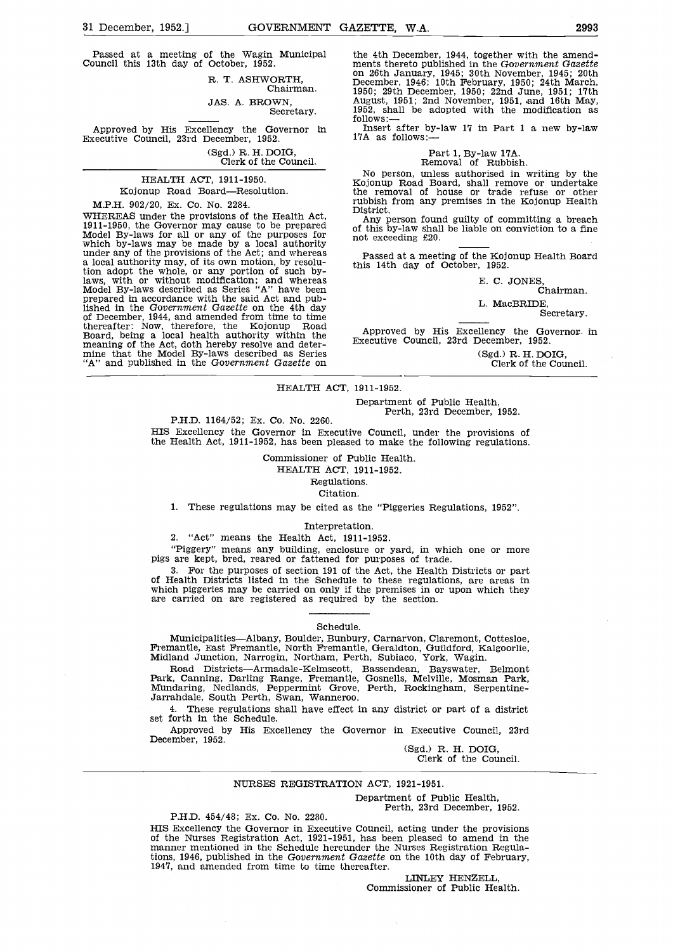Passed at a meeting of the Wagin Municipal Council this 13th day of October, 1952.

R. T. ASHWORTH, Chairman. JAS. A. BROWN,

Secretary.

Approved by His Excellency the Governor in follows:—<br>Executive Council, 23rd December, 1952. 17A as follows:

(Sgd.) R. H. DOIG, Clerk of the Council.

HEALTH ACT, 1911-1950. Kojonup Road Board-Resolution.

M.P.H. 902/20, Ex. Co. No. 2284. WHEREAS under the provisions of the Health Act, 1911-1950, the Governor may cause to be prepared Model By-laws for all or any of the purposes for which by-laws may be made by a local authority under any of the provisions o under any of the provisions of the Act; and whereas  $\frac{1}{10}$  a local authority may, of its own motion, by resolution adopt the whole, or any portion of such bylaws, with or without modification; and whereas Model By-laws described as Series "A" have been prepared in accordance with the said Act and published in the Government Gazette on the 4th day of December, 1944, and amended from time to time<br>thereafter: Now, therefore, the Kojonup Road<br>Board, being a local health authority within the<br>meaning of the Act, doth hereby resolve and deter-<br>mine that the Model By-laws

the 4th December, 1944, together with the amend-<br>ments thereto published in the Government Gazette<br>on 26th January, 1945; 30th November, 1945; 20th<br>December, 1946; 10th February, 1950; 24th March,<br>1950; 29th December, 195

Insert after by-law  $17$  in Part 1 a new by-law

Part 1, By-law 17A.<br>Removal of Rubbish.<br>No person, unless authorised in writing by the

No person, unless authorised in writing by the Kojonup Road Board, shall remove or undertake the removal of house or trade refuse or other rubbish from any premises in the Kojonup Health

Any person found guilty of committing a breach of this by-law shall be liable on conviction to a fine not exceeding £20.

Passed at a meeting of the Kojonup Health Board this 14th day of October, 1952.

E. C. JONES,<br>Chairman.

L. MacBRIDE,

Secretary.

Approved by His Excellency the Governor in Executive Council, 23rd December, 1952.

(Sgd.) R. H. DOIG, Clerk of the Council.

# HEALTH ACT, 1911-1952.

Department of Public Health,<br>P.H.D. 1164/52; Ex. Co. No. 2260. Perth, 23rd December, 1952.

HIS Excellency the Governor in Executive Council, under the provisions of the Health Act, 1911-1952, has been pleased to make the following regulations.

> Commissioner of Public Health. HEALTH ACT, 1911-1952. Regulations.

Citation.

These regulations may be cited as the "Piggeries Regulations, 1952".

#### Interpretation.

2. "Act" means the Health Act, 1911-1952.

"Piggery" means any building, enclosure or yard, in which one or more pigs are kept, bred, reared or fattened for purposes of trade.<br>3. For the purposes of section 191 of the Act, the Health Districts or part

of Health Districts listed in the Schedule to these regulations, are areas in which piggeries may be carried on only if the premises in or upon which they are carried on are registered as required by the section.

#### Schedule.

Municipalities—Albany, Boulder, Bunbury, Carnarvon, Claremont, Cottesloe, Fremantle, East Fremantle, North Fremantle, Geraldton, Guildford, Kalgoorlie, Midland Junction, Narrogin, Northam, Perth, Subiaco, York, Wagin.<br>Road

Park, Canning, Darling Range, Fremantle, Gosnells, Melville, Mosman Park, Mundaring, Nedlands, Peppermint Grove, Perth, Rockingham, Serpentine-Jarrahdale, South Perth, Swan, Wanneroo.

These regulations shall have effect in any district or part of a district set forth in the Schedule.

Approved by His Excellency the Governor in Executive Council, 23rd December, 1952.

Clerk of the Council.

## NURSES REGISTRATION ACT, 1921-1951.

Department of Public Health, Perth, 23rd December, 1952.

P.H.D. 454/48; Ex. Co. No. 2280.

HIS Excellency the Governor in Executive Council, acting under the provisions of the Nurses Registration Act, 1921-1951, has been pleased to amend in the manner mentioned in the Schedule hereunder the Nurses Registration R tions, 1946, published in the Government Gazette on the 10th day of February, 1947, and amended from time to time thereafter.

LINLEY HENZELL,<br>Commissioner of Public Health.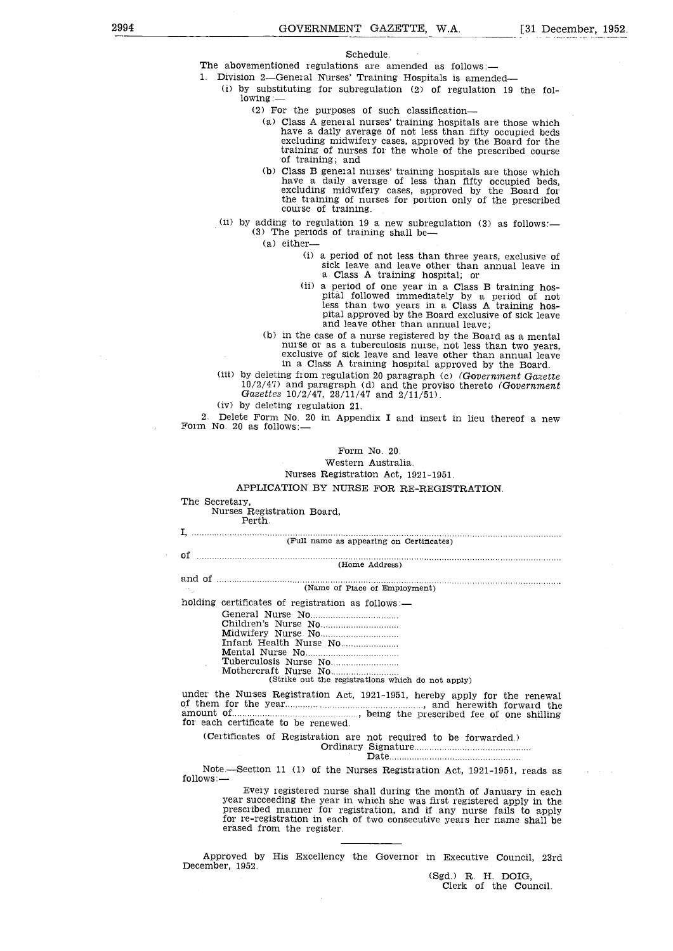#### Schedule.

The abovementioned regulations are amended as follows:-

1. Division 2-General Nurses' Training Hospitals is amended-

(i) by substituting for subregulation (2) of regulation 19 the fol-<br>lowing:—<br>(2) For the purposes of such classification—<br>(a) Class A general nurses' training hospitals are those which

- have a daily average of not less than fifty occupied beds excluding midwifery cases, approved by the Board for the training of nurses for the whole of the prescribed course of training; and
- Class B general nurses' training hospitals are those which have a daily average of less than fifty occupied beds, excluding midwifery cases, approved by the Board for the training of nurses for portion only of the prescribed course of training.
- (ii) by adding to regulation 19 a new subregulation (3) as follows:  $-$  (3) The periods of training shall be-
	- (a) either
		- a period of not less than three years, exclusive of sick leave and leave other than annual leave in
	- (ii) a period of one year in a Class B training hos-<br>pital followed immediately by a period of not<br>less than two years in a Class A training hos-<br>pital approved by the Board exclusive of sick leave<br>and leave other than ann
	- nurse or as a tuberculosis nurse, not less than two years, exclusive of sick leave and leave other than annual leave in a Class A training hospital approved by the Board.

(iii) by deleting from regulation 20 paragraph (c) (Government Gazette  $10/2/47$ ) and paragraph (d) and the proviso thereto (Government Gazettes  $10/2/47$ ,  $28/11/47$  and  $2/11/51$ ).

by deleting regulation 21.

2. Delete Form No. 20 in Appendix I and insert in lieu thereof a new Form No. 20 as follows:—

Form No. 20.

Western Australia.

Nurses Registration Act, 1921-1951.

# APPLICATION BY NURSE FOR RE-REGISTRATION.

The Secretary, Nurses Registration Board, Perth.

| (Full name as appearing on Certificates)                                                                                                                                                                                                                                                                                  |
|---------------------------------------------------------------------------------------------------------------------------------------------------------------------------------------------------------------------------------------------------------------------------------------------------------------------------|
| (Home Address)                                                                                                                                                                                                                                                                                                            |
|                                                                                                                                                                                                                                                                                                                           |
| (Name of Place of Employment)<br>15.                                                                                                                                                                                                                                                                                      |
| holding certificates of registration as follows:-                                                                                                                                                                                                                                                                         |
| (Strike out the registrations which do not apply)                                                                                                                                                                                                                                                                         |
| under the Nurses Registration Act, 1921-1951, hereby apply for the renewal<br>amount of <i>members</i> of <i>ne</i> shilling the prescribed fee of one shilling<br>for each certificate to be renewed.                                                                                                                    |
| (Certificates of Registration are not required to be forwarded.)                                                                                                                                                                                                                                                          |
| Note.-Section 11 (1) of the Nurses Registration Act, 1921-1951, reads as<br>follows:-                                                                                                                                                                                                                                     |
| Every registered nurse shall during the month of January in each<br>year succeeding the year in which she was first registered apply in the<br>prescribed manner for registration, and if any nurse fails to apply<br>for re-registration in each of two consecutive years her name shall be<br>erased from the register. |
|                                                                                                                                                                                                                                                                                                                           |

Approved by His Excellency the Governor in Executive Council, 23rd December, 1952,

Clerk of the Council.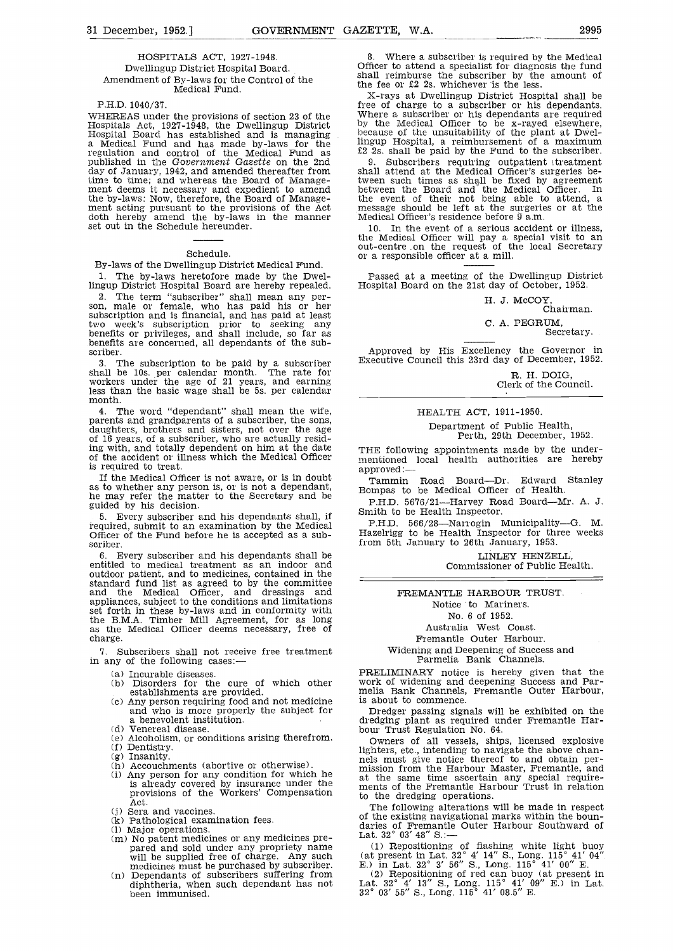# HOSPITALS ACT, 1927-1948. Dwellingup District Hospital Board. Amendment of By-laws for the Control of the Medical Fund.

## P.H.D. 1040/37.

WHEREAS under the provisions of section 23 of the Where<br>Hospitals Act, 1927-1948, the Dwellingup District by the<br>Hospital Board has established and is managing because a Medical Fund and has made by-laws for the linguing-<br>regulation and control of the Medical Fund as  $\frac{22}{2}$  2s.<br>published in the Government Gazette on the 2nd 9. day of January. 1942, and amended thereafter from time to time; and whereas the Board of Manage-<br>ment deems it necessary and expedient to amend<br>the by-laws: Now, therefore, the Board of Management acting pursuant to the provisions of the Act message should be left at the surgeries or at the doth hereby amend the by-laws in the manner Medical Officer's residence before  $\overline{9}$  a.m. set out in the Schedule hereu

## Schedule.

By-laws of the Dwellingup District Medical Fund. 1. The by-laws heretofore made by the Dwel-

lingup District Hospital Board are hereby repealed.<br>2. The term "subscriber" shall mean any per-The term "subscriber" shall mean any per- son, male or female, who has paid his or her subscription and is financial, and has paid at least two week's subscription prior to seeking any<br>benefits or privileges, and shall include, so far as <br>benefits are concerned, all dependants of the sub-<br>scriber. Approved by His Excellency the Governor in<br>Approved by His Exce

3. The subscription to be paid by a subscriber  $\frac{Ex}{1}$  shall be 10s. per calendar month. The rate for workers under the age of 21 years, and earning less than the basic wage shall be 5s. per calendar month.

4. The word "dependant" shall mean the wife, parents and grandparents of a subscriber, the sons, daughters, brothers and sisters, not over the age of 16 years, of a subscriber, who are actually resid-<br>of 16 years, of a sub datilities, who are actually resident on him at the date ing with, and totally dependent on him at the date of the accident or illness which the Medical Officer is required to treat.

If the Medical Officer is not aware, or is in doubt<br>
as to whether any person is, or is not a dependant,<br>
he may refer the matter to the Secretary and be<br>
guided by his decision.<br>
THE SECRET SECRETARY ROAD BOARD -- Mr. A.

Every subscriber and his dependants shall, if iequired, submit to an examination by the Medical Officer of the Fund before he is accepted as a sub-<br>scriber.<br>6. Every subscriber and his dependants shall be

Every subscriber and his dependants shall be entitled to medical treatment as an indoor and outdoor patient, and to medicines, contained in the standard fund list as agreed to by the committee and the Medical Officer, and dressings and appliances, subject to the conditions and limitations set forth in these by-laws and in conformity with set forth in these by-laws and in conformity with the B.M.A. Timber Mill Agreement, for as long as the Medical Officer deems necessary, free of charge.

7. Subscribers shall not receive free treatment<br>in any of the following cases:—<br>(a) Incurable diseases. The set of the parmelia Bank Channels.<br>(a) Incurable diseases. PRELIMINARY notice is hereby given that the

- 
- 
- 
- 
- (d) Venereal disease.<br>(e) Alcoholism, or conditions arising therefrom.
- 
- 
- 
- Alcoholism, or conditions arising therefrom.<br>
Dentistry.<br>
Insanity.<br>
Accouchments (abortive or otherwise).<br>
Any person for any condition for which he aniss<br>  $\frac{1}{2}$ is already covered by insurance under the at the provisions of the Workers' Compensation and to the Act.
- 
- Act.<br>(j) Sera and vaccines.<br>(k) Pathological examination fees.
- 
- (1) Major operations.<br>
(m) No patent medicines or any medicines pre-<br>
pared and sold under any propriety name<br>
will be supplied free of charge. Any such<br>
medicines must be purchased by subscriber.<br>
(n) Dependants of subsc
- diphtheria, when such dependant has not been immunised.

Where a subscriber is required by the Medical Officer to attend a specialist for diagnosis the fund shall reimburse the subscriber by the amount of the fee or £2 2s. whichever is the less.

X-rays at Dwellingup District Hospital shall be Where a subscriber or his dependants are required by the Medical Officer to be x-rayed elsewhere, because of the unsuitability of the plant at Dwellingup Hospital, a reimbursement of a maximum £2 2s. shall be paid by the Fund to the subscriber.

Subscribers requiring outpatient treatment shall attend at the Medical Officer's surgeries between such times as shall be fixed by agreement<br>between the Board and the Medical Officer. In<br>the event of their not being able to attend, a

In the event of a serious accident or illness, the Medical Officer will pay a special visit to an out-centre on the request of the local Secretary or a responsible officer at a mill.

Passed at a meeting of the Dwellingup District Hospital Board on the 21st day of October, 1952.

H. J. McCOY, Chairman.

# C. A. PEGRUM, Secretary.

Executive Council this 23rd day of December, 1952.

R. H. DOIG, Clerk of the Council.

# HEALTH ACT, 1911-1950.

Department of Public Health, Perth, 29th December, 1952.

mentioned local health authorities are hereby

Tammin Road Board—Dr. Edward Stanley<br>ompas to be Medical Officer of Health.<br>P.H.D. 5676/21—Harvey Road Board—Mr. A. J.<br>mith to be Health Inspector.<br>P.H.D. 566/28—Narrogin Municipality—G. M.

Hazelrigg to be Health Inspector for three weeks from 5th January to 26th January, 1953.

> LINLEY HENZELL, Commissioner of Public Health.

FREMANTLE HARBOUR TRUST. Notice to Mariners. No. 6 of 1952. Australia West Coast. Fremantle Outer Harbour.

Widening and Deepening of Success and Parmelia Bank Channels.

Incurable diseases. Disorders for the cure of which other work of widening and deepening Success and Par-

establishments are provided.<br>
Comments are provided.<br>
Comments are provided.<br>
Any person requiring food and not medicine is about to commence.<br>
a benevolent institution.<br>
a benevolent institution.<br>
divided a benevolent ins dredging plant as required under Fremantle Har-

> Owners of all vessels, ships, licensed explosive lighters, etc., intending to navigate the above channels must give notice thereof to and obtain permission from the Harbour Master, Fremantle, and<br>at the same time ascertain any special require-<br>ments of the Fremantle Harbour Trust in relation<br>to the dredging operations.

> The following alterations will be made in respect of the existing navigational marks within the boundaries of Fremantie Outer Harbour Southward of<br>Lat. 32° 03' 48" S.:-

Repositioning of flashing white light buoy

(at present in Lat.  $32^{\circ}$  4' 14'' S., Long.  $115^{\circ}$  41' 04"<br>E.) in Lat.  $32^{\circ}$  3' 56" S., Long.  $115^{\circ}$  41' 00" E.<br>(2) Repositioning of red can buoy (at present in<br>Lat.  $32^{\circ}$  4' 13" S., Long.  $115^{\circ}$  41' 09"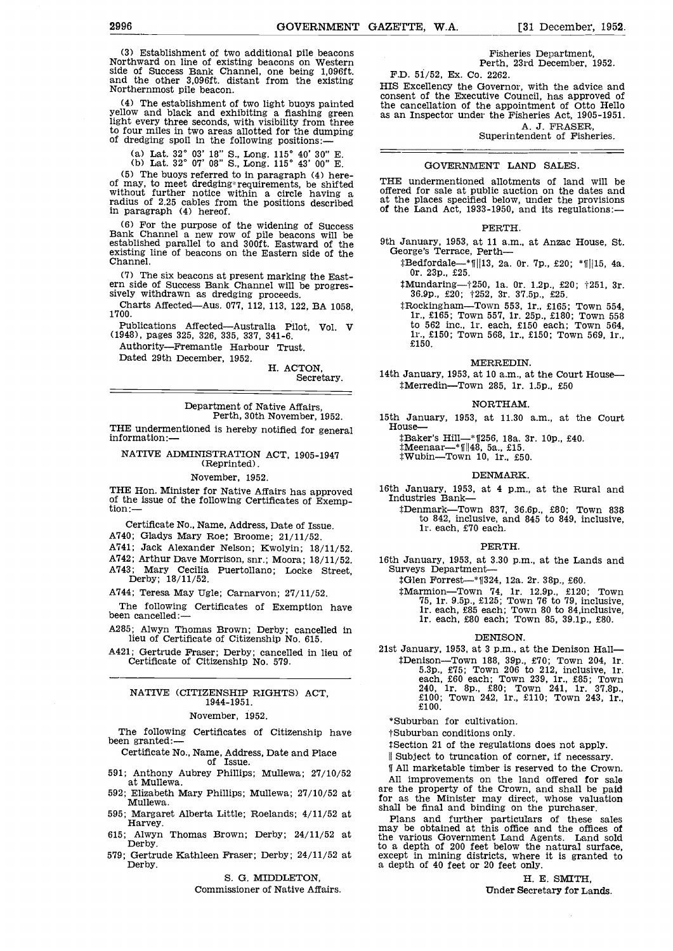(3) Establishment of two additional pile beacons Northward on line of existing beacons on Western side of Success Bank Channel, one being 1,096ft. and the other 3,O96ft. distant from the existing Northernmost pile beacon.

(4) The establishment of two light buoys painted yellow and black and exhibiting a flashing green light every three seconds, with visibility from three to four miles in two areas allotted for the dumping of dredging spoil in the following positions:.

(a) Lat.  $32^{\circ}$  03' 18" S., Long. 115° 40' 30" E.<br>(b) Lat.  $32^{\circ}$  07' 08" S., Long. 115° 43' 00" E.<br>(5) The buoys referred to in paragraph (4) here-

(5) The buoys referred to in paragraph (4) here- of may, to meet dredgingrequjrements, be shifted without further notice within a circle having a radius of 2.25 cables from the positions described balance at the places specified below, under the provisions<br>in paragraph (4) hereof strategies of the Land Act, 1933-1950, and its regulations: in paragraph (4) hereof.

(6) For the purpose of the widening of Success Bank Channel a new row of pile beacons will be established parallel to and 300ft. Eastward of the 9th existing line of beacons on the Eastern side of the Channel.

(7) The six beacons at present marking the East- ern side of Success Bank Channel will be progres- sively withdrawn as dredging proceeds.

Charts Affected—Aus. 077, 112, 113, 122, BA 1058, 1700.

Authority-Fremantle Harbour Trust.

Dated 29th December, 1952.

H. ACTON, Secretary.

Department of Native Affairs, Perth, 30th November, 1952.

THE undermentioned is hereby notified for general information:

# NATIVE ADMINISTRATION ACT, 1905-1947 (Reprinted).

## November, 1952.

THE Hon. Minister for Native Affairs has approved  $16th$  January, 195<br>of the issue of the following Certificates of Exemp- Industries Bank-<br>tion:—

Certificate No., Name, Address, Date of Issue.

A740; Gladys Mary Roe; Broome: 21/11/52.

A741; Jack Alexander Nelson; Kwolyin; 18/11/52.

A742; Arthur Dave Morrison, snr.; Moora; 18/11/52.

Mary Cecilia Puertollano; Locke Street, Derby; 18/11/52.

A744; Teresa May Ugle; Carnarvon; 27/11/52.

The following Certificates of Exemption have been cancelled:

A285; Alwyn Thomas Brown; Derby; cancelled in lieu of Certificate of Citizenship No. 615.

A421; Gertrude Fraser; Derby; cancelled in lieu of Certificate of Citizenship No. 579.

# NATIVE (CITIZENSHIP RIGHTS) ACT, 1944-1951.

#### November, 1952.

The following Certificates of Citizenship have been granted:

Certificate No., Name, Address, Date and Place of Issue.

- 591; Anthony Aubrey Phillips; Mullewa; 27/10/52 at Mullewa.
- 592; Elizabeth Mary Phillips; Mullewa; 27/10/52 at Mullewa.
- 595; Margaret Alberta Little; Roelands; 4/11/52 at Harvey.
- 615; Alwyn Thomas Brown; Derby; 24/11/52 at Derby.
- 

S. G. MIDDLETON,

Commissioner of Native Affairs.

Fisheries Department, Perth, 23rd December, 1952.

F.D. 51/52, Ex. Co. 2262. HIS Excellency the Governor, with the advice and consent of the Executive Council, has approved of the cancellation of the appointment of Otto Hello as an Inspector under the Fisheries Act, 1905-1951.

A. J. FRASER,<br>Superintendent of Fisheries.

#### GOVERNMENT LAND SALES.

THE undermentioned allotments of land will be offered for sale at public auction on the dates and at the places specified below, under the provisions of the Land Act, 1933-1950, and its regulations:

#### PERTH.

- 9th January, 1953, at 11 a.m., at Anzac House, St. George's Terrace, Perth--
	- $\text{\#Bedfordale}$  \[\timessil\]13, 2a. 0r. 7p., £20; \*\[\|15, 4a. 0r. 23p., £25.
	- $t$ Mundaring- $t$  250, 1a. 0r. 1.2p., £20;  $t$ 251, 3r. 36.9p., £20;  $t$ 252, 3r. 37.5p., £25.
- Publications Affected—Australia Pilot, Vol. V to 562 inc., 1r. each, £150 each; Town 564, (1948), pages 325, 326, 335, 337, 341-6.<br>(1948), pages 325, 326, 335, 337, 341-6. Rockingham—Town 553, 1r., £165; Town 554, 1r., £165; Town 557, 1r. 25p., £180; Town 558 to 562 inc., ir. each, £150 each; Town 564, ir., £150; Town 568, lr,, £150; Town 569, ir., £150.

MERREDIN.

14th January, 1953, at 10 a.m., at the Court House-#Merredin-Town 285, 1r. 1.5p., £50

#### NORTHAM.

15th January, 1953, at 11.30 a.m., at the Court House-

tBaker's Hill—\* 1256, 18a. 3r. 10p., £40.<br>#Meenaar—\*1||48, 5a., £15.<br>#Wubin—Town 10, 1r., £50.

- 
- 

#### DENMARK.

- 16th January, 1953, at 4 p.m., at the Rural and
	- $t$ Denmark-Town 837, 36.6p., £80; Town 838 to 842, inclusive, and 845 to 849, inclusive, 1r. each, £70 each.

#### PERTH.

16th January, 1953, at 3.30 p.m., at the Lands and Surveys Department-

tGlen Forrest\_\_\*11324, 12a. 2r. 38p., £60.

\*Marmion-Town 74, 1r. 12.9p., £120; Town 75, lr. 9.5p., £125; Town 76 to 79, inclusive, ir. each, £85 each; Town 80 to 84,inclusive, lr. each, £80 each; Town 85, 39.lp., £80.

#### DENISON.

21st January, 1953, at 3 p.m., at the Denison HalltDenison—Town 188, 39p., £70; Town 204, 1r. 5.3p., £75; Town 206 to 212, inclusive, 1r. 240, lr. 8p., £80; Town 241, ir. 37.8p., £100; Town 242, ir., £110; Town 243, ir., £100.

\* Suburban for cultivation.

j- Suburban conditions only.

Section 21 of the regulations does not apply.

|| Subject to truncation of corner, if necessary.

11 All marketable timber is reserved to the Crown. All improvements on the land offered for sale are the property of the Crown, and shall be paid for as the Minister may direct, whose valuation shall be final and binding on the purchaser.

579; Gertrude Kathleen Fraser; Derby;  $24/11/52$  at except in mining districts, where it is granted to Derby.<br>Derby. a depth of 40 feet or 20 feet only. Final and further particulars of these sales<br>may be obtained at this office and the offices of<br>the office and the office and the office and the various Government Land Agents. Land sold to a depth of 200 feet below the natural surface, a depth of 40 feet or 20 feet only.

> H. E. SMITH, Under Secretary for Lands.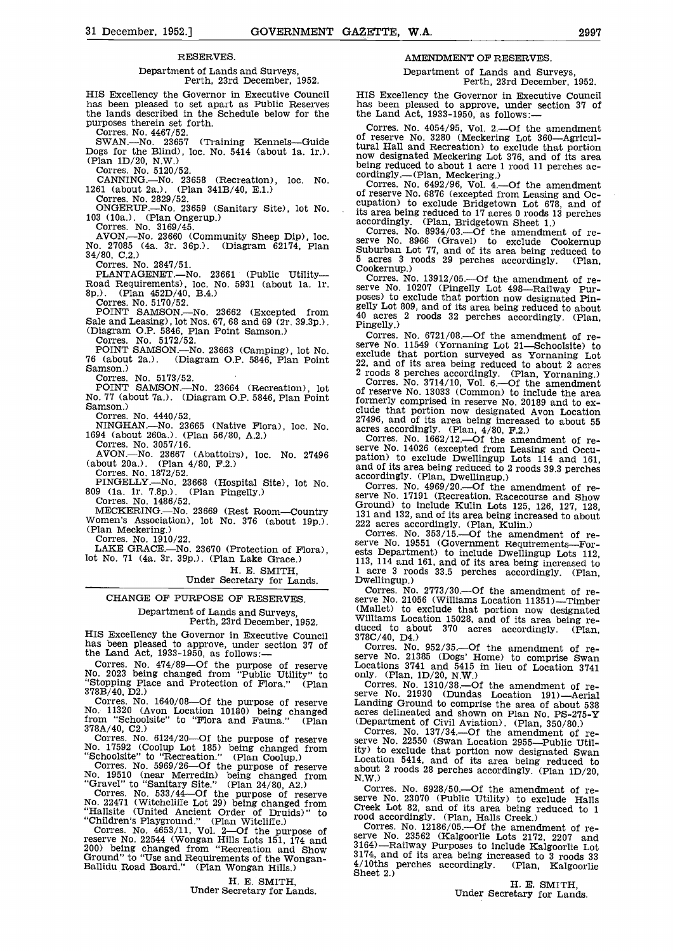# RESERVES.

# Department of Lands and Surveys, Perth, 23rd December, 1952.

HIS Excellency the Governor in Executive Council has been pleased to set apart as Public Reserves the lands described in the Schedule below for the purposes therein set forth. Corres. No. 4467/52.

CANNING.—No. 23658 (Recreation), loc. No. 1261 (about 2a.). (Plan 341B/40, E.1.) Corres. No. 2829/52.

No. 27085 (4a. 3r. 36p.). (Diagram 62174, Plan 34/80, C.2.)

Corres. No. 2847/51

PLANTAGENET.—No. 23661 (Public Utility Cookernup.)<br>
PLANTAGENET.—No. 23661 (Public Utility Corres. No. 13912/05.—Of the amendment of re-<br>
Road Requirements), loc. No. 5931 (about 1a. 1r.<br>
8p.). (Plan 452D/40, B.4.)<br>
poses)

Corres. No. 5170/52.

POINT SAMSON.—No. 23662 (Excepted from  $\frac{geny \text{ from}}{40 \text{ acres}}$ ) Sale and Leasing), lot Nos. 67, 68 and 69 (2r. 39.3p.).<br>(Diagram O.P. 5846, Plan Point Samson.)<br>Corres. No. 5172/52.

NINGHAN.—No. 23665 (Native Flora), loc. No. 1694 (about 260a.). (Plan 56/80, A.2.) Corres. No. 3057/16.

(about 20a.). (Plan 4/80, F.2.)<br>Corres. No. 1872/52.

PINGELLY.—No. 23668 (Hospital Site), lot No.<br>809 (la. 1r. 7.8p.). (Plan Pingelly.)<br>Corres. No. 1486/52.

LAKE GRACE.—No. 23670 (Protection of Flora), lot No. 71 (4a. 3r. 39p.). (Plan Lake Grace.)

H. E. SMITH,<br>Under Secretary for Lands.

CHANGE OF PURPOSE OF RESERVES. Department of Lands and Surveys, Perth, 23rd December, 1952.

HIS Excellency the Governor in Executive Council duced to about 370 acres accordingly.<br>has been pleased to approve, under section 37 of Corres. No. 952/35.—Of the amendment the Land Act, 1933-1950, as follows:-

Corres. No. 474/89–Of the purpose of reserve No. 21565 (Dues Home) to comprise Swan<br>No. 2023 being changed from "Public Utility" to only. (Plan, 1D/20, N.W.)<br>"Stopping Place and Protection of Flora." (Plan Corres. No. 1310 "Stopping Place and Protection of Flora."<br>378B/40, D2.)

378B/40, D2.) Serve<br>Corres. No. 1640/08—Of the purpose of reserve Landi<br>No. 11320 (Avon Location 10180) being changed acres from "Schoolsite" to "Flora and Fauna." (Plan

"Schoolsite" to "Recreation." (Plan Coolup.) Corres. No. 5969/26—Of the purpose of reserve about 2 roods<br>No. 19510 (near Merredin) being changed from  $N(W)$ .

"Gravel" to "Sanitary Site." (Plan 24/80, A2.) Corres. No. 533/44----Of the purpose of reserve No. 22471 (Witchcliffe Lot 29) being changed from Creek Lot "Hallsite (United Ancient Order of Druids)" to rond a

"Children's Playground." (Plan Witcbiffe.) Corres. No. 4653/11, Vol. 2Of the purpose of reserve No. 22544 (Wongan Hills Lots 151, 174 and Serve No. 200) being changed from "Recreation and Show 3164. Ground" to "Use and Requirements of the Wongan- Ballidu Road Board." (Plan Wongan Hills.)

H. E. SMITH,

Under Secretary for Lands.

# AMENDMENT OF RESERVES.

Department of Lands and Surveys, Perth, 23rd December, 1952.

has been pleased to approve, under section 37 of the Land Act, 1933-1950, as follows:-

SWAN.—No. 23657 (Training Kennels—Guide Dogs for the Blind), loc. No. 5414 (about 1a. 1r.).<br>Dogs for the Blind), loc. No. 5414 (about 1a. 1r.).<br>(Plan 1D/20, N.W.) corres. No. 5120/52.<br>Corres. No. 520/52.<br>Corres. No. 520/5 Corres. No. 4054/95, Vol. 2.—Of the amendment of reserve No. 3280 (Meckering Lot 360—Agricultural Hall and Recreation) to exclude that portion

Oorres. No. 2829/52.<br>
ONGERUP.—No. 23659 (Sanitary Site), lot No. 2011eserve No. 6676 (excepted from Leasing and Oc-<br>
ONGERUP.—No. 23659 (Sanitary Site), lot No. 2020 is area being reduced to 17 acres 0 roods 13 perches<br>
C Columbus — Critain, mechanis.<br>Corres. No. 6492/96, Vol. 4.—Of the amendment<br>of reserve No. 6876 (excepted from Leasing and Oc-

couringly. The air, Enterpretist and Source 1.<br>
Corres. No. 8934/03.—Of the amendment of re-<br>
serve No. 8966 (Gravel) to exclude Cookernup<br>
Suburban Lot 77, and of its area being reduced to<br>
5 acres 3 roods 29 perches acco

POINT SAMSON.—No. 23663 (Camping), lot No. 76 (about 2a.). (Diagram O.P. 5846, Plan Point 22, and of its area being reduced to about 2 acres<br>
Samson.) Corres. No. 5173/52. 2 (20008 8 perches accordingly. (Plan, Yornaning.) Corres. No.  $6721/08$ . - Of the amendment of reserve No. 11549 (Yornaning Lot 21—Schoolsite) to

No. 77 (about 7a.). (Diagram O.P. 5846, Plan Point formerly comprised in reserve No. 20189 and to ex-<br>Samson.) Corres. No. 4440/52.<br>Corres. No. 4440/52. 2 roods 8 perches accordingly. (Plan, Yornaning.)<br>Corres. No. 3714/10, Vol. 6.—Of the amendment<br>of reserve No. 13033 (Common) to include the area clude that portion now designated Avon Location 27496, and of its area being increased to about 55 acres accordingly. (Plan,  $4/80$ , F.2.) Corres. No. 1662/12.—Of the amendment of re-

 $AVON$ —No. 23667 (Abattoirs), loc. No. 27496 Serve No. 14026 (excepted from Leasing and Occubiout 20a.). (Plan 4/80, F.2.) and of its area being reduced to 2 roods 39.3 perches accordingly. (Plan, Dwellingup.)<br>Corres. No. 4969/20.—Of the amendment of re-

MECKERING.—No. 23669 (Rest Room—Country Country Counter No. 17191 (Recreation, Racecourse and Show Corres. No. 1486/52.<br>MECKERING.—No. 23669 (Rest Room—Country 131 and 132, and of its area being increased to about 19p.). (

extra Department) to include Dwellingup Lots 112,<br>113, 114 and 161, and of its area being increased to<br>1 acre 3 roods 33.5 perches accordingly. (Plan,<br>Dwellingup.)

Serve No. 2173/30.—Of the amendment of re-<br>Serve No. 21056 (Williams Location 11351)—Timber<br>(Mallet) to exclude that portion now designated<br>Williams Location 15028, and of its area being re-<br>duced to about 370 acres accor

Corres. No.  $952/35$ . Of the amendment of reserve No. 21385 (Dogs' Home) to comprise Swan Locations 3741 and 5415 in lieu of Location 3741

Corres. No. 1310/38.—Of the amendment of re-<br>serve No. 21930 (Dundas Location 191)—Aerial<br>Landing Ground to comprise the area of about 538 acres delineated and shown on Plan No. PS-275-Y

378A/40, C2.)<br>
Corres. No. 6124/20—Of the purpose of reserve No. 22550 (Swan Location 2955—Public Util-<br>
No. 17592 (Coolup Lot 185) being changed from the exclude that portion 2955—Public Util-<br>
"Schoolsite" to "Recreation (Department of Civil Aviation). (Plan, 350/80.)<br>Corres. No. 137/34.—Of the amendment of re-<br>serve No. 22550 (Swan Location 2955—Public Util-Location 5414, and of its area being reduced to about 2 roods 28 perches accordingly. (Plan 1D/20, N.W.)

Corres. No.  $6928/50$ . - Of the amendment of reserve No. 23070 (Public Utility) to exclude Halls Creek Lot 82, and of its area being reduced to 1 rood accordingly. (Plan, Halls Creek.) Corres. No. 12186/05.—Of the amendment of re-

serve No. 23562 (Kalgoorlie Lots 2172, 2207 and 3164)—Railway Purposes to include Kalgoorlie Lot 3174, and of its area being increased to 3 roods 33 4710ths perches accordingly. (Plan, Kalgoorlie Sheet 2.)<br>H. E. SMITH,

Under Secretary for Lands.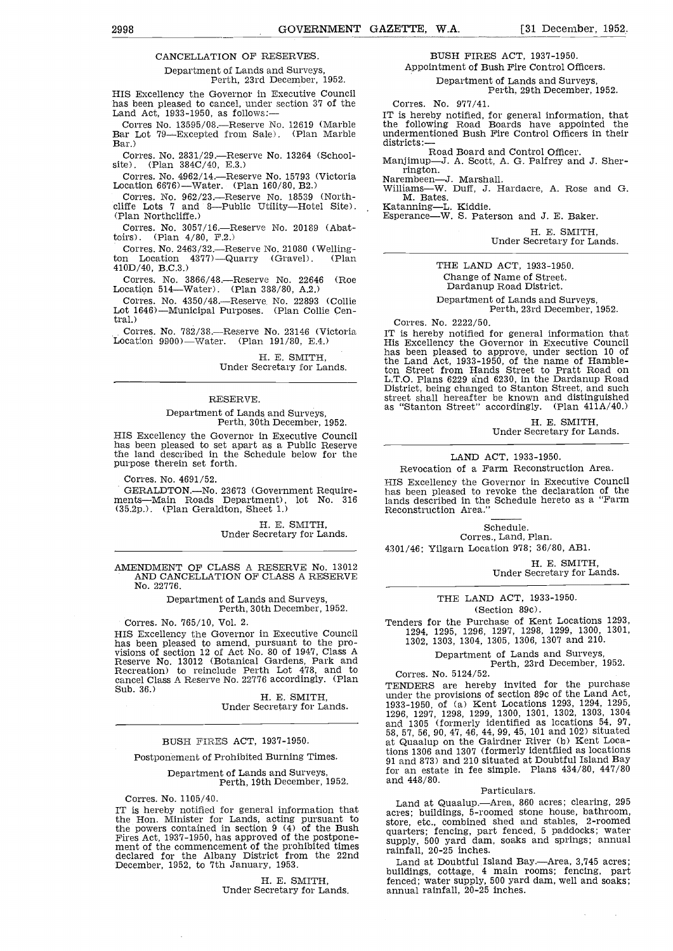# CANCELLATION OF RESERVES.

# Department of Lands arid Surveys, Perth, 23rd December, 1952.

HIS Excellency the Governor in Executive Council<br>has been pleased to cancel, under section 37 of the<br>Land Act, 1933-1950, as follows:--<br>Corres No. 13595/08.----Reserve No. 12619 (Marble

Bar Lot 79—Excepted from Sale). (Plan Marble undermer<br>Rar) districts:-Bar.)

Corres. No. 2831/29.—Reserve No. 13264 (School-site). (Plan  $384C/40$ , E.3.)

corres. No. 4962/40, E.S.)<br>Corres. No. 4962/14.—Reserve No. 15793 (Victoria Narembeen-<br>Location 6676)—Water. (Plan 160/80, B2.) williams—M

Corres. No. 962/23.—Reserve No. 18539 (North- M. Bates.<br>Corres. No. 962/23.—Reserve No. 18539 (North- M. Bates.<br>Cliffe Lots 7 and 8—Public Utility—Hotel Site). (Plan Northcliffe.) Esperance—W. S. Paterson and J. E. Baker.

Corres. No. 3057/16.--- Reserve No. 20189 (Abattoirs). (Plan 4/80, P.2.)

Corres. No. 2463/32.—Reserve No. 21080 (Welling-<br>ton Location 4377)—Quarry (Gravel). (Plan 410D/40, B.C.3.)

Corres. No. 3866/48.—Reserve No. 22646 (Roe Location 514—Water). (Plan 388/80, A.2.)<br>Corres. No. 4350/48.—Reserve No. 22893 (Collie

Lot 1646)—Municipal Purposes. (Plan Collie Central.)

Corres. No. 782/38.—Reserve No. 23146 (Victoria IT is hereby notified for general information that Location 9900)—Water. (Plan 191/80, E.4.) His Excellency the Governor in Executive Council

H. E. SMITH, Under Secretary for Lands.

#### RESERVE.

# Department of Lands and Surveys, Perth, 30th December, 1952.

HIS Excellency the Governor in Executive Council has been pleased to set apart as a Public Reserve the land described in the Schedule below for the purpose therein set forth.

Corres. No. 4691/52.

GERALDTON.—No. 23673 (Government Require- main Roads Department), lot No. 316 lan (35.2p.). (Plan Geraldton, Sheet 1.)

H. E. SMITH,<br>Under Secretary for Lands.

AMENDMENT OF CLASS A RESERVE No. 13012 AND CANCELLATION OF CLASS A RESERVE No. 22776.

Department of Lands and Surveys, Perth, 30th December, 1952.

## Corres. No. 765/10, Vol. 2.

HIS Excellency the Governor in Executive Council has been pleased to amend, pursuant to the pro- visions of section 12 of Act No. 80 of 1947, Class A Reserve No. 13012 (Botanical Gardens, Park and Recreation) to reinclude Perth Lot 478, and to Corre cancel Class A Reserve No. 22776 accordingly. (Plan TEN)<br>Sub. 36.) H. E. SMITH, unde<br>Under Secretary for Lands. 1933

#### BUSH FIRES ACT, 1937-1950.

Postponement of Prohibited Burning Times.

Department of Lands and Surveys, Perth, 19th December, 1952.

Corres. No. 1105/40.<br>IT is hereby notified for general information that IT is hereby notified for Lands, acting pursuant to the Hon. Minister for Lands, acting pursuant to Fires Act, 1937-1950, has approved of the postpone-<br>ment of the commencement of the prohibited times<br>declared for the Albany District from the 22nd<br>December, 1952, to 7th January, 1953.<br>Land at Doubtful Island Bay.—Area, 3

> H. E. SMITH, Under Secretary for Lands.

BUSH FIRES ACT, 1937-1950. Appointment of Bush Fire Control Officers.

Department of Lands and Surveys, Perth, 29th December, 1952.

Corres. No. 977/41.

IT is hereby notified, for general information, that the following Road Boards have appointed the undermentioned Bush Fire Control Officers in their

Road Board and Control Officer.

Manjimup-J. A. Scott, A. G. Palfrey and J. Sherrington.<br>Narembeen-J. Marshall.

Williams—W. Duff, J. Hardacre, A. Rose and G.<br>M. Bates.<br>Katanning—L. Kiddie.<br>Esperance—W. S. Paterson and J. E. Baker.

H. E. SMITH,<br>Under Secretary for Lands.

THE LAND ACT, 1933-1950. Change of Name of Street. Dardanup Road District.

Department of Lands and Surveys, Perth, 23rd December, 1952.

Corres. No. 2222/50.

IT is hereby notified for general information that His Excellency the Governor in Executive Council has been pleased to approve, under section 10 of the Land Act, 1933-1950, of the name of Hamble- ton Street from Hands Street to Pratt Road on L.T.O. Plans 6229 and 6230, in the Dardanup Road District, being changed to Stanton Street, and such street shall hereafter be known and distinguished as "Stanton Street" accordingly. (Plan 411A/40.)

H. E. SMITH,<br>Under Secretary for Lands.

# LAND ACT, 1933-1950.

Revocation of a Farm Reconstruction Area. HIS Excellency the Governor in Executive Council has been pleased to revoke the declaration of the lands described in the Schedule hereto as a "Farm Reconstruction Area."

Schedule.

Corres., Land, Plan. 4301/46; Yilgarn Location 978; 36/80, AB1.

H. E. SMITH,<br>Under Secretary for Lands.

THE LAND ACT, 1933-1950.

(Section 89c).

Tenders for the Purchase of Kent Locations 1293, 1294, 1295, 1296, 1297, 1298, 1299, 1300, 1301, 1302, 1303, 1304, 1305, 1306, 1307 and 210.

Department of Lands and Surveys, Perth, 23rd December, 1952.

Corres. No. 5124/52.<br>TENDERS are hereby invited for the purchase TENDERS are hereby invited for the purchase under the provisions of section 89c of the Land Act, 1933-1950, of (a) Kent Locations 1293, 1294, 1295, 1296, 1297, 1298, 1299, 1300, 1301, 1302, 1303, 1304 and 1305 (formerly identified as locations 54, 97, 58, 57, 56, 90, 47, 46, 44, 99, 45, 101 and 102) situated at Quaalup on the Gairdner River (b) Kent Locations 1306 and 1307 (formerly identified as locations 91 and 873) and 210 situated at Doubtful Island Bay for an estate in fee simple. Plans 434/80, 447/80 and 448/80.

#### Particulars.

Land at Quaalup.--Area, 860 acres; clearing, 295 acres; buildings, 5-roomed stone house, bathroom, store, etc., combined shed and stables, 2-roomed quarters; fencing, part fenced, 5 paddocks; water supply, 500 yard dam, soaks and springs; annual rainfall, 20-25 inches.

buildings, cottage, 4 main rooms; fencing, part fenced; water supply, 500 yard dam, well and soaks; annual rainfall, 20-25 inches.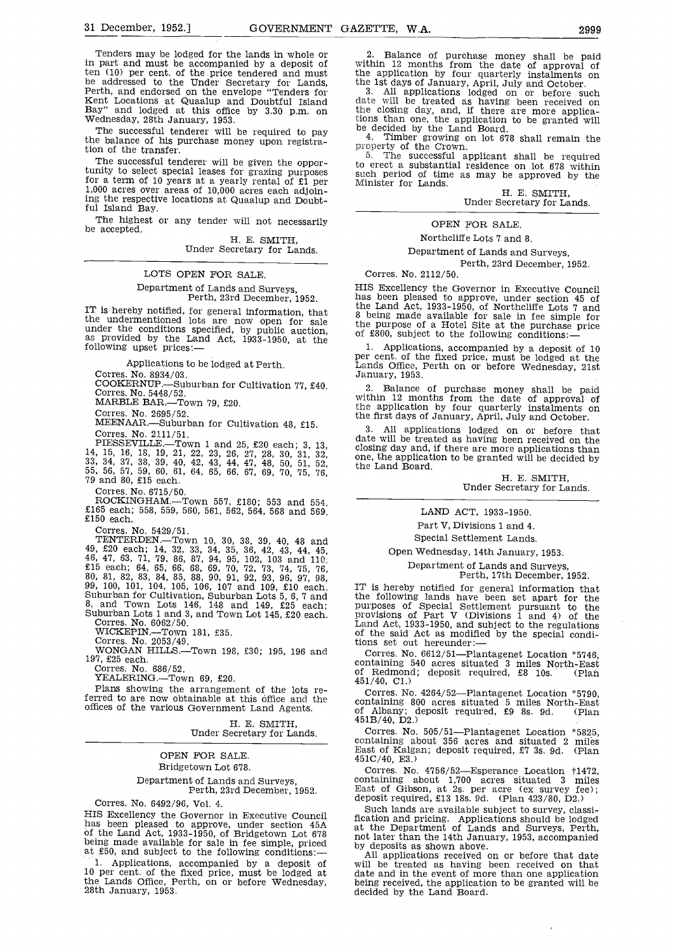Tenders may be lodged for the lands in whole or in part and must be accompanied by a deposit of<br>ten (10) per cent. of the price tendered and must be addressed to the Under Secretary for Lands.<br>Perth, and endorsed on the envelope "Tenders for<br>Kent Locations at Quaalup and Doubtful Island<br>Bay" and lodged at this office by 3.30 p.m. on<br>Wednesday, 28th January, 1953.

The successful tenderer will be required to pay the balance of his purchase money upon registration of the transfer.

The successful tenderer will be given the opportunity to select special leases for grazing purposes<br>for a term of 10 years at a yearly rental of £1 per for a term of  $\frac{1}{2}$  years of 10,000 acres each adjoining the respective locations at Quaalup and Doubt- ful Island Bay.

The highest or any tender will not necessarily be accepted.

H. E. SMITH,<br>Under Secretary for Lands.

### LOTS OPEN FOR SALE.

Department of Lands and Surveys,<br>Perth, 23rd December, 1952.<br>IT is hereby notified, for general information, that

IT is included lots are now open for sale under the conditions specified, by public auction,<br>under the conditions specified, by public auction,<br>as provided by the Land Act, 1933-1950, at the<br>following upset prices:--<br>1. Ap

Applications to be lodged at Perth.

Corres. No. 8934/03.

COOKERNtJP.-Suburban for Cultivation 77, £40. Corres. No. 5448/52.

MARBLE BAR.-Town 79, £20.

Corres. No. 2695/52.

MEENAAR.-Suburban for Cultivation 48, £15. Corres. No. 2111/51.

PIESSEVILLE. Town 1 and 25, £20 each; 3, 13, 14, 15, 16, 18, 19, 21, 22, 23, 26, 27, 28, 30, 31, 32, 33, 34, 37, 38, 39, 40, 42, 43, 44, 47, 48, 50, 51, 52, 55, 56, 57, 59, 60, 61, 64, 65, 66, 67, 69, 70, 75, 76, 79 and 80

Corres. No. 6715/50.

ROCKINGHAM.-Town 557, £180; 553 and 554, £165 each; 558, 559, 560, 561, 562, 564, 568 and 569, £150 each.

Corres. No. 5429/51.

TENTERDEN.-Town 10, 30, 38, 39, 40, 48 and 49, £20 each; 14, 32, 33, 34, 35, 36, 42, 43, 44, 45, 46, 47, 63, 71, 79, 86, 87, 94, 95, 102, 103 and 110, £15 each; 64, 65, 66, 68, 69, 70, 72, 73, 74, 75, 76, 80, 81, 82, 83, 84, 85, 88, 90, 91, 92, 93, 96, 97, 98, 99, Suburban for Cultivation, Suburban Lots 5, 6, 7 and the 1<br>8, and Town Lots 146, 148 and 149, £25 each; purpo<br>Suburban Lots 1 and 3, and Town Lot 145, £20 each. provi<br>Corres. No. 6062/50. Land

WICKEPIN.-Town 181, £35. Corres. No. 2053/49.

WONGAN HILLS.—Town 198, £30; 195, 196 and Con 197, £25 each.

Corres. No. 686/52.

YEALERING.-Town 69, £20.

Plans showing the arrangement of the lots referred to are now obtainable at this office and the continuous contribution of  $\rho$ 

H. E. SMITH,<br>Under Secretary for Lands.

OPEN FOR SALE. Bridgetown Lot 678. Department of Lands and Surveys, Perth, 23rd December, 1952.

Corres. No. 6492/96, Vol. 4. HIS Excellency the Governor in Executive Council has been pleased to approve, under section 45A of the Land Act, 1933-1950, of Bridgetown Lot 678 and the being made available for sale in fee simple, priced by de at £50, and subject to the following conditions:-

1. Applications, accompanied by a deposit of 10 per cent. of the fixed price, must be lodged at the Lands Office, Perth, on or before Wednesday, 28th January, 1953.

Balance of purchase money shall be paid within 12 months from the date of approval of the application by four quarterly instalments on

the 1st days of January, April, July and October.<br>3. All applications lodged on or before such date will be treated as having been received on the closing day, and, if there are more applications than one, the application to be granted will<br>be decided by the Land Board.<br>4. Timber growing on lot 678 shall remain the<br>property of the Crown.<br> $\bar{5}$ . The successful applicant shall be required

 $\frac{5}{5}$ . The successful applicant shall be required<br>to erect a substantial residence on lot 678 within such period of time as may be approved by the Minister for Lands.<br>H. E. SMITH,

Under Secretary for Lands.

OPEN FOR SALE.

Northcliffe Lots 7 and 8.

Department of Lands and Surveys,

Perth, 23rd December, 1952.

Corres. No. 2112/50.

HIS Excellency the Governor in Executive Council has been pleased to approve, under section 45 of the Land Act, 1933-1950, of Northcliffe Lots 7 and 8 being made available for sale in fee simple for the purpose of a Hotel Site at the purchase price of £800, subject to the following conditions:-

Lands Office, Perth on or before Wednesday, 21st<br>January, 1953.

Balance of purchase money shall be paid within 12 months from the date of approval of the application by four quarterly instalments on the first days of January, April, July and October.

All applications lodged on or before that date will be treated as having been received on the closing day and, if there are more applications than one, the application to be granted will be decided by the Land Board.

H. E. SMITH,<br>Under Secretary for Lands.

# LAND ACT, 1933-1950.

Part V, Divisions 1 and 4.

Special Settlement Lands.

# Open Wednesday, 14th January, 1953.

Department of Lands and Surveys,<br>Perth, 17th December, 1952.<br>IT is hereby notified for general information that the following lands have been set apart for the<br>purposes of Special Settlement pursuant to the<br>purposes of Special Settlement pursuant to the<br>provisions of Part V (Divisions 1 and 4) of the<br>Land Act, 1933-1950, and subject

Corres. No. 6612/51-Plantagenet Location \*5746, containing 540 acres situated 3 miles North-East of Redmond; deposit required, £8 lOs. (Plan 451/40, Cl.)

Corres. No. 4264/52-Plantagenet Location \*5790, containing 800 acres situated 5 miles North-East of Albany; deposit required, £9 8s. 9d. (Plan  $451B/40, D2.$ 

Corres. No. 505/51-Plantagenet Location \*5825, containing about 356 acres and situated 2 miles East of Kalgan; deposit required, £7 3s. 9d. (Plan 451C/40, E3.)

Corres. No. 4756/52—Esperance Location †1472,<br>containing about 1,700 acres situated 3 miles East of Gibson, at 2s. per acre (ex survey fee); deposit required, £13 18s. 9d. (Plan 423/80, D2.)

Such lands are available subject to survey, classification and pricing. Applications should be lodged at the Department of Lands and Surveys, Perth, not later than the 14th January, 1953, accompanied

will be treated as having been received on that date and in the event of more than one application being received, the application to be granted will, be decided by the Land Board.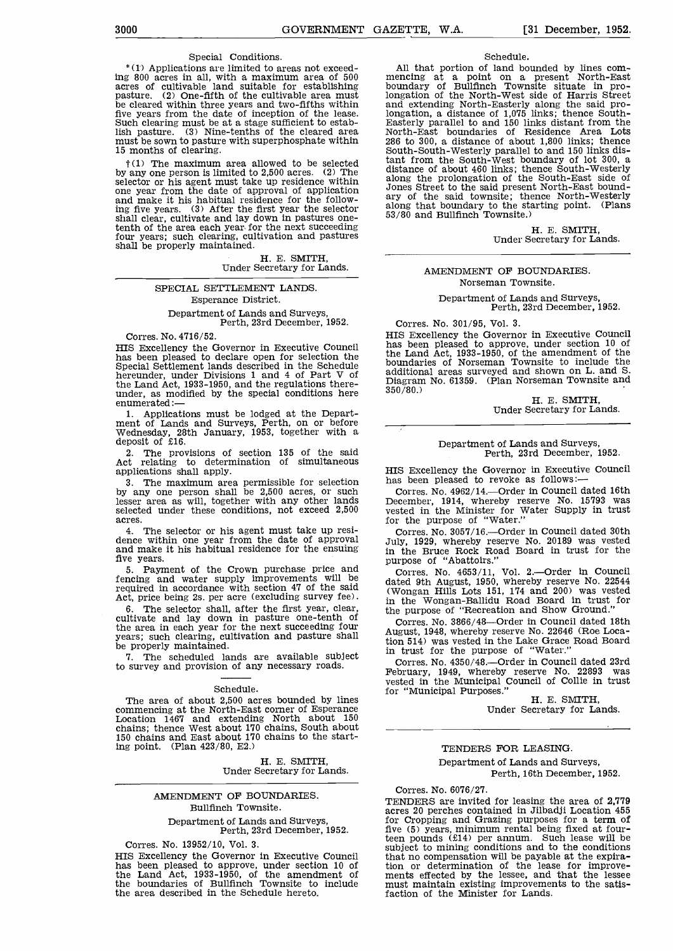# Special Conditions.

\* (1) Applications are limited to areas not exceeding 800 acres in all, with a maximum area of 500 acres of cultivable land suitable for establishing pasture. (2) One-fifth of the cultivable area must be cleared within three years and two-fifths within five years from the date of inception of the lease.<br>Such clearing must be at a stage sufficient to establish pasture. (3) Nine-tenths of the cleared area must be sown to pasture with superphosphate within 15 months of clearing.

 $\dagger(1)$  The maximum area allowed to be selected by any one person is limited to 2,500 acres. (2) The dist selector or his agent must take up residence within along<br>one year from the date of approval of application Jones and make it his habitual residence for the follow-<br>ing five years. (3) After the first year the selector also<br>shall clear, cultivate and lay down in pastures onetenth of the area each year for the next succeeding four years; such clearing, cultivation and pastures shall be properly maintained.<br>H. E. SMITH,

Under Secretary for Lands.

# SPECIAL SETTLEMENT LANDS. Esperance District.

Department of Lands and Surveys, Perth, 23rd December, 1952.

Corres. No. 4716/52.

HIS Excellency the Governor in Executive Council has<br>has been pleased to declare open for selection the Special Settlement lands described in the Schedule hereunder, under Divisions 1 and 4 of Part V of additions the Land Act, 1933-1950, and the regulations there-<br>under, as modified by the special conditions here  $350/$ <br>enumerated:—

1. Applications must be lodged at the Depart-<br>ment of Lands and Surveys, Perth, on or before<br>Wednesday, 28th January, 1953, together with a<br>deposit of £16.

2. The provisions of section 135 of the said Act relating to determination of simultaneous applications shall apply.

3. The maximum area permissible for selection has be by any one person shall be  $2,500$  acres, or such COIT lesser area as will, together with any other lands Dec selected under these conditions, not exceed 2,500

acres.<br>4. The selector or his agent must take up resi-The selector or the sear from the date of approval and make it his habitual residence for the ensuing five years.

5. Payment of the Crown purchase price and fencing and water supply improvements will be<br>required in accordance with section 47 of the said (Won<br>Act, price being 2s. per acre (excluding survey fee).  $\frac{1}{10}$  the

6. The selector shall, after the first year, clear,  $\frac{1}{10}$  cultivate and lay down in pasture one-tenth of the area in each year for the next succeeding four<br>years; such clearing, cultivation and pasture shall be properly maintained.<br>7. The scheduled lands are available subject in

7. The scheduled lands are available subject to survey and provision of any necessary roads.

### Schedule.

The area of about 2,500 acres bounded by lines commencing at the North-East corner of Esperance Location 1467 and extending North about 150 chains; thence West about 170 chains, South about 150 chains and East about 170 chains to the starting point. (Plan 423/80, E2,)

H. E. SMITH,<br>Under Secretary for Lands.

# AMENDMENT OF BOUNDARIES. Bullfinch Townsite.

Department of Lands and Surveys, Perth, 23rd December, 1952.

Corres. No. 13952/10, Vol. 3.<br>HIS Excellency the Governor in Executive Council HIS Excellency the Governor in Executive Council has been pleased to approve, under section 10 of the Land Act, 1933-1950, of the amendment of the boundaries of Bullfinch Townsite to include must the area described in the Schedule hereto.

## Schedule.

All that portion of land bounded by lines com-<br>mencing at a point on a present North-East<br>boundary of Bullfinch Townsite situate in prolongation of the North-West side of Harris Street<br>and extending North-Easterly along the said pro-<br>longation, a distance of 1,075 links; thence South-<br>Easterly parallel to and 150 links distant from the<br>North-East boundari 286 to 300, a distance of about 1,800 links; thence South-South-Westerly parallel to and 150 links distant from the South-West boundary of lot 300, a distance of about 460 links; thence South-Westerly along the prolongation of the South-East side of Jones Street to the said present North-East bound- ary of the said townsite; thence North-Westerly along that boundary to the starting point. (Plans 53/80 and Bullfinch Townsite.)

H. E. SMITH,<br>Under Secretary for Lands.

# AMENDMENT OF BOUNDARIES. Norseman Townsite.

Department of Lands and Surveys. Perth, 23rd December, 1952.

Corres. No. 301/95, Vol. 3.<br>HIS Excellency the Governor in Executive Council HIS Excellency the Governor in Executive Council has been pleased to approve, under section 10 of the Land Act, 1933-1950, of the amendment of the boundaries of Norseman Townsite to include the additional areas surveyed and shown on L. and S. Diagram No. 61359. (Plan Norseman Townsite and 350/80.) H E SMITH, Under Secretary for Lands.

# Department of Lands and Surveys, Perth, 23rd December, 1952.

HIS Excellency the Governor in Executive Council has been pleased to revoke as follows:-

Corres. No. 4962/14.---Order in Council dated 16th December, 1914, whereby reserve No. 15793 was vested in the Minister for Water Supply in trust for the purpose of "Water."

Corres. No. 3057/16.---Order in Council dated 30th July, 1929, whereby reserve No. 20189 was vested in the Bruce Rock Road Board in trust for the

purpose of "Abattoirs."<br>Corres. No. 4653/11, Vol. 2.—Order in Council<br>dated 9th August, 1950, whereby reserve No. 22544 (Wongan Hills Lots 151, 174 and 200) was vested in the Wongan-Ballidu Road Board in trust for the purpose of "Recreation and Show Ground."

Corres. No. 3866/48-Order in Council dated 18th August, 1948, whereby reserve No. 22646 (Roe Location 514) was vested in the Lake Grace Road Board in trust for the purpose of "Water."

Corres. No. 4350/48.---Order in Council dated 23rd February, 1949, whereby reserve No. 22893 was<br>vested in the Municipal Council of Collie in trust<br>for "Municipal Purposes."<br>H. E. SMITH,<br>Under Secretary for Lands.

## TENDERS FOR LEASING.

# Department of Lands and Surveys,

Perth, 16th December, 1952.

## Corres. No. 6076/27.

TENDERS are invited for leasing the area of 2,779 acres 20 perches contained in Jilbadji Location 455 for Cropping and Grazing purposes for a term of five (5) years, minimum rental being fixed at four-<br>teen pounds (£14) per annum. Such lease will be subject to mining conditions and to the conditions that no compensation will be payable at the expiration or determination of the lease for improve- ments effected by the lessee, and that the lessee must maintain existing improvements to the satis- faction of the Minister for Lands.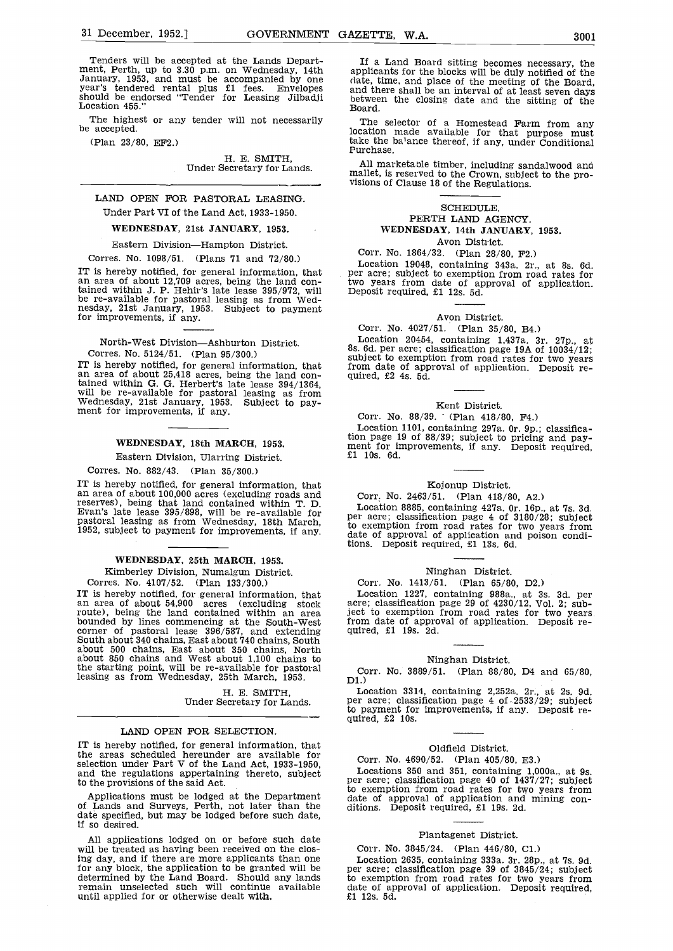Tenders will be accepted at the Lands Depart-<br>ment, Perth, up to 3.30 p.m. on Wednesday, 14th applic January, 1953, and must be accompanied by one year's tendered rental plus £1 fees. Envelopes and should be endorsed "Tender for Leasing Jilbadji between the should be endorsed "Tender for Leasing Jilbadji between the shoul

The highest or any tender will not necessarily be accepted.

(Plan 23/80, EF2.)

H. E. SMITH,<br>Under Secretary for Lands.

# LAND OPEN FOR PASTORAL LEASING. Under Part VI of the Land Act, 1933-1950.

#### WEDNESDAY, 21st JANUARY, 1953.

#### Eastern Division-Hampton District.

Corres. No. 1098/51. (Plans 71 and 72/80.)

IT is hereby notified, for general information, that area of about 12,709 acres, being the land con-<br>an area of about 12,709 acres, being the land con-<br>two years from date of ap-<br>tained within J. P. Hehir's late lease 395/ be re-available for pastoral leasing as from Wednesday, 21st January, 1953. Subject to payment for improvements, if any.

North-West Division-Ashburton District. Corres. No. 5124/51. (Plan 95/300.)

Corres. No. 5124/51. (Plan 95/300.) subject to exemption from road rates for two years<br>IT is hereby notified, for general information, that from date of approval of application. Deposit re-<br>an area of about 25,418 acres, b will be re-available for pastoral leasing as from Wednesday, 21st January, 1953. Subject to pay-<br>ment for improvements, if any.

# WEDNESDAY, 18th MARCH, 1953.

## Eastern Division, Ularring District.

Corres. No. 882/43. (Plan 35/300.)

IT is hereby notified, for general information, that an area of about 100,000 acres (excluding roads and reserves), being that land contained within T. D. Evan's late lease 395/898, will be re-available for part acre, classification page 4 of 3180/28; subject pastoral leasing as from Wednesday, 18th March, 1952, subject to pa

#### WEDNESDAY, 25th MARCH, 1953.

Kimberley Division, Numalgun District. Corres. No. 4107/52. (Plan 133/300.)

IT is hereby notified, for general information, that Local area of about 54,900 acres (excluding stock acre; acres route), being the land contained within an area ject to bounded by lines commencing at the South-West from South about 340 chains, East about 740 chains, South about 500 chains, East about 350 chains, North about 850 chains and West about 1,100 chains to<br>the starting point, will be re-available for pastoral  $_{\text{Corr}}$ leasing as from Wednesday, 25th March, 1953.

H. E. SMITH,<br>Under Secretary for Lands.

#### LAND OPEN FOR SELECTION.

IT is hereby notified, for general information, that the areas scheduled hereunder are available for selection under Part V of the Land Act, 1933-1950, and the regulations appertaining thereto, subject and the regulations appertaining thereto, subject to the provisions of the said Act.

Applications must be lodged at the Department of Lands and Surveys, Perth, not later than the date of approval of application and mining con-<br>of Lands and Surveys, Perth, not later than the ditions. Deposit required, £1 19

All applications lodged on or before such date<br>will be treated as having been received on the clos-<br>the Corr. No. 3845/24. (Plan 446/80, C1.)<br>the day, and if there are more applicants than one<br>Location 2635, containing 333 ing day, and if there are more applicants than one for any block, the application to be granted will be  $\qquad$  per determined by the Land Board. Should any lands to  $e$ remain unselected such will continue available date until applied for or otherwise dealt with.

If a Land Board sitting becomes necessary, the applicants for the blocks will be duly notified of the (late, time, and place of the meeting of the Board, and there shall be an interval of at least seven days between the closing date and the sitting of the Board.

The selector of a Homestead Farm from any location made available for that purpose must take the ba1ance thereof, if any, under Conditional Purchase.

All marketable timber, including sandalwood and mallet, is reserved to the Crown, subject to the pro- visions of Clause 18 of the Regulations.

# SCHEDULE. PERTH LAND AGENCY. WEDNESDAY, 14th JANUARY, 1953. Avon District.

Corr. No. 1864/32. (Plan 28/80, F2.)

Location 19048, containing 343a. 2r., at 8s. 6d. per acre; subject to exemption from road rates for two years from date of approval of application. Deposit required, £1 12s. 5d.

## Avon District.

Corr. No. 4027/51. (Plan 35/80, B4.)<br>Location 20454, containing 1,437a. 3r. 27p. Location 20454, containing 1,437a. 3r. 27p., at 8s. 6d. per acre; classification page 19A of 10034/12; from date of approval of application. Deposit re-

## Kent District.

Corr. No. 88/39. (Plan 418/80, F4.)

Location 1101, containing 297a. Or. 9p.; classification page 19 of 88/39; subject to pricing and pay-<br>ment for improvements, if any. Deposit required,<br>£1 10s. 6d.

#### Kojonup District.

# Corr. No. 2463/51. (Plan 418/80, A2.)

per acre; classification page 4 of 3180/28; subject date of approval of application and poison conditions. Deposit required, £1 l3s. 6d.

## Ninghan District.

# Corr. No. 1413/51. (Plan 65/80, D2.)

Location 1227, containing 988a., at 3s. 3d. per acre; classification page 29 of 4230/12, Vol. 2; subject to exemption from road rates for two years from date of approval of application. Deposit re- quired, £1 19s. 2d.

#### Ninghan District.

Corr. No. 3889/51. (Plan 88/80, D4 and 65/80, D1.)<br>Location 3314, containing 2,252a. 2r., at 2s. 9d.

Location 3314, containing 2,252a. 2r., at 25. 9d. per acre; classification page 4 of-2533/29; subject to payment for improvements, if any. Deposit re- quired, £2 105.

#### Oldfield District.

# Corr. No. 4690/52. (Plan 405/80, E3.)

Locations 350 and 351, containing 1,000a., at 9s. per acre; classification page 40 of  $1437/27$ ; subject date of approval of application and mining con-

### Plantagenet District.

# Corr. No. 3845/24. (Plan 446/80, Cl.)

per acre; classification page 39 of 3845/24; subject to exemption from road rates for two years from date of approval of application. Deposit required, £1 12s. 5d.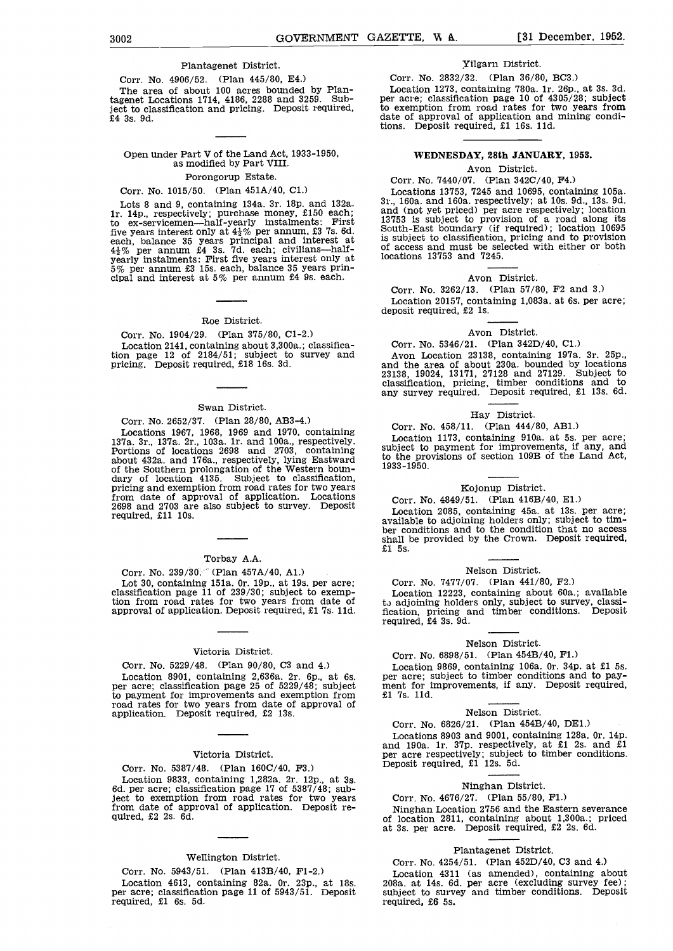#### Plantagenet District.

Corr. No. 4906/52. (Plan 445/80, E4.) The area of about 100 acres bounded by Plan-tagenet Locations 1714, 4186, 2288 and 3259. Sub-ject to classification and pricing, Deposit required, £4 3s. 9d.

# Open under Part V of the Land Act, 1933-1950, as modified by Part VIII.

# Porongorup Estate.

# Corr. No. 1015/50. (Plan 451A/40, Cl.)

Lots 8 and 9, containing 134a. 3r. 18p. and 132a. lr. 14p., respectively; purchase money, £150 each; to ex-servicemen—half-yearly instalments: First  $\frac{1}{5}$ For example interest only at  $4\frac{1}{2}\%$  ber annum, £3 7s. 6d.<br>
south-East boundary (if required); location 10695<br>
each, balance 35 years principal and interest at is subject to classification, pricing and to provision<br>

# Roe District.

Corr. No. 1904/29. (Plan 375/80, Cl-2.) Location 2141, containing about 3,300a.; classification page 12 of 2184/51; subject to survey and pricing. Deposit required, £18 16s. 3d.

#### Swan District.

Corr. No, 2652/37. (Plan 28/80, AB3-4.)

Locations 1967, 1968, 1969 and 1970, containing  $\frac{C_{\text{O}}}{L_{\text{O}}^2}$ 137a. 3r., 137a. 2r., 103a. ir. and bOa., respectively. Portions of locations 2698 and 2703, containing about 432a. and 176a., respectively, lying Eastward to the Southern prolongation of the Western boun-<br>dary of location 4135. Subject to classification, pricing and exemption from road rates for two years from date of approval of application. Locations  $2698$  and  $2703$  are also subject to survey. Deposit required, £11 10s.

#### Torbay A.A.

Corr. No. 239/30. (Plan 457A/40, A1.) Lot 30, containing 151a. 0r. 19p., at 19s. per acre; classification page 11 of 239/30; subject to exemption from road rates for two years from date of the approval of application. Deposit required, £1 7s. 11d. fic.

## Victoria District.

Corr. No. 5229/48. (Plan 90/80, C3 and 4.) Location 8901, containing 2,636a. 2r. 6p., at 6s. per acre; super acre; classification page 25 of 5229/48; subject ment for improvements and exemption from £1 7s. 11d. road rates for two years from date of approval of application. Deposit required, £2 13s.

#### Victoria District.

Corr. No. 5387/48. (Plan 16OC/40, F3.)

Location 9833, containing 1,282a. 2r. 12p., at 3s.<br>
6d. per acre; classification page 17 of 5387/48; sub-<br>
ject to exemption from road rates for two years Corr. No. 4676/27. (Plan 55/80, F1.)<br>
from date of approval of appl from date of approval of application. Deposit re- quired, £2 2s. 6d.

## Wellington District.

Corr. No. 5943/51. (Plan 413B/4O, Fi-2.) Location 4613, containing 82a. Or. 23p., at 185. per acre; classification page 11 of 5943/51. Deposit required, £1 6s. 5d.

#### Yilgarn District.

Corr. No. 2832/32. (Plan 36/80, BC3.)

Location 1273, containing 780a. ir. 26p., at 35. 3d. per acre; classification page 10 of 4305/28; subject to exemption from road rates for two years from date of approval of application and mining conditions. Deposit required, £1 16s. 11d.

# WEDNESDAY, 28th JANUARY, 1953.

#### Avon District.

# Corr. No. 7440/07. (Plan 342C/4O, P4.)

Locations 13753, 7245 and 10695, containing 105a.<br>3r., 160a. and 160a. respectively; at 10s. 9d., 13s. 9d.<br>and (not yet priced) per acre respectively; location<br>13753 is subject to provision of a road along its<br>South-East b is subject to classification, pricing and to provision locations 13753 and 7245.

# Avon District.

Corr. No. 3262/13. (Plan 57/80, F2 and 3.) Location 20157, containing l,O83a. at 6s. per acre; deposit required, £2 ls.

# Avon District.

# Corr. No. 5346/21. (Plan 342D/4O, Cl.)

Avon Location 23138, containing l9Ia. 3r. 25p., and the area of about 23Oa. bounded by locations 23138, 19024, 13171, 27128 and 27129. Subject to classification, pricing, timber conditions and to any survey required. Deposit required, £1 13s. 6d.

#### Hay District.

Corr. No. 458/11. (Plan 444/80, AB1.)

Location 1173, containing 9iOa. at 5s. per acre; subject to payment for improvements, if any, and to the provisions of section lO9B of the Land Act, 1933-1950.

## Kojonup District.

Corr. No. 4849/51. (Plan 416B/40, E1.)<br>Location 2085. containing 45a. at 13s. per acre; Location 2085, containing 45a. at l3s. per acre; available to adjoining holders only; subject to tim- ber conditions and to the condition that no access shall be provided by the Crown. Deposit required,  $f_1$  5s.

## Nelson District.

# Corr. No. 7477/07. (Plan 441/80, F2.)

Location 12223, containing about 6Oa.; available <sup>t</sup> adjoining holders only, subject to survey, classi- fication, pricing and timber conditions. Deposit required, £4 3s. 9d.

## Nelson District.

Corr. No. 6898/51. (Plan 454B/40, F1.)<br>Location 9869, containing 106a. 0r. 34p. at £1 5s. Location 9869, containing book, containing both and to pay-<br>ment for improvements, if any. Deposit required, £1 7s. 11d.

### Nelson District.

Corr. No. 6826/21. (Plan 454B/40, DE1.)<br>Locations 8903 and 9001, containing 128a. 0r. 14p. Locations 8903 and 9001, containing 128a. Or. 14p. and l9Oa. lr. 37p. respectively, at £1 2s. and £1 per acre respectively; subject to timber conditions. Deposit required, £1 12s. Sd.

## Ninghan District.

# Corr. No. 4676/27. (Plan 55/80, Fl.)

Ninghan Location 2756 and the Eastern severance<br>of location 2811, containing about 1,300a.; priced at 3s. per acre. Deposit required, £2 2s. 6d.

#### Plantagenet District.

Corr. No. 4254/51. (Plan 452D/4O, C3 and 4.)

Location 4311 (as amended), containing about 208a. at 14s. 6d. per acre (excluding survey fee); subject to survey and timber conditions. Deposit required, £6 5s.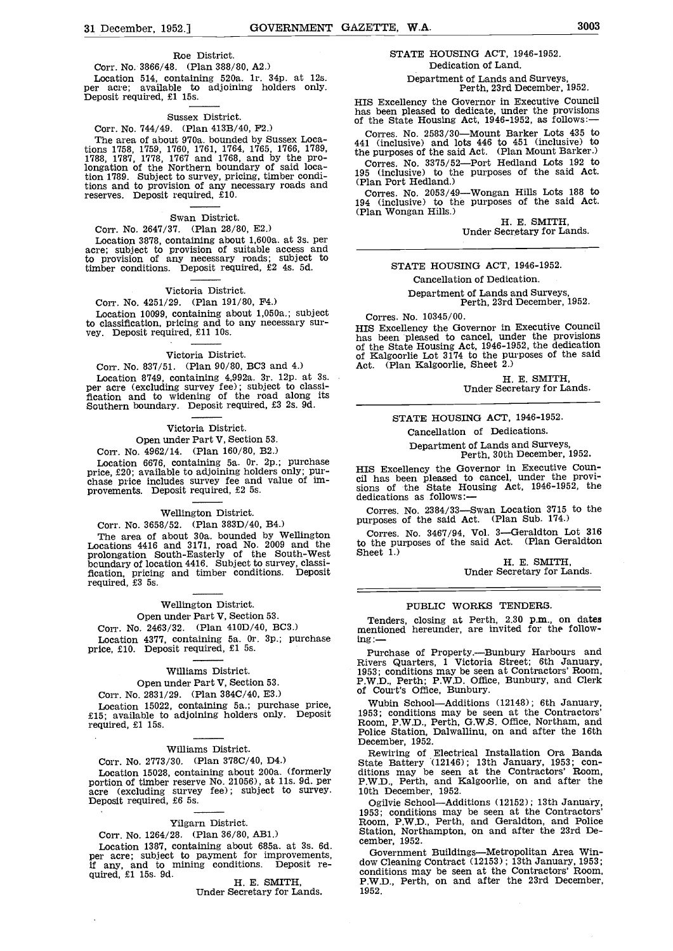Location 514, containing 520a. ir. 34p. at 12s. per acre; available to adjoining holders only. Deposit required, £1 15s.

## Sussex District.

## Corr. No. 744/49. (Plan 413B/40, P2.)

The area of about 970a. bounded by Sussex Locations 1758, 1759, 1760, 1761, 1764, 1765, 1766, 1789, 1788, 1787, 1778, 1767 and 1768, and by the pro-longation of the Northern boundary of said location 1789. Subject to survey, pricing, timber condition 1789. Subject to survey, pricing, timber condi-<br>tions and to provision of any necessary roads and (Plan Port Hedland.) reserves. Deposit required, £10.

# Swan District.

Corr. No. 2647/37. (Plan 28/80, E2.)<br>Location 3878, containing about 1,600a. at 3s. per Location 3878, containing about 1,600a. at 3s. per acre; subject to provision of suitable access and to provision of any necessary roads; subject to timber conditions. Deposit required, £2 4s. 5d.

# Victoria District.

# Corr. No. 4251/29. (Plan 191/80, P4.)

Location 10099, containing about 1,050a.; subject<br>to classification, pricing and to any necessary sur-<br>wey. Deposit required, £11 10s.<br>hos been pleased to cancel linder the provisions

## Victoria District.

# Corr. No. 837/51. (Plan 90/80, BC3 and 4.)<br>Location 8749. containing 4,992a. 3r. 12p. at 3s. Location 8749, containing 4,992a. 3r. 12p. at 3s. per acre (excluding survey fee); subject to classi- fication and to widening of the road along its Southern boundary. Deposit required, £3 2s. 9d.

## Victoria District.

# Open under Part V, Section 53.

Corr. No. 4962/14. (Plan 160/80, B2.)

Location 6676, containing 5a. 0r. 2p.; purchase<br>price, £20; available to adjoining holders only; pur-<br>chase price includes survey fee and value of im-<br>provements. Deposit required, £2 5s.<br>dedications as follows:—<br>dedicatio

# Wellington District.

Corr. No. 3658/52. (Plan 383D/40, B4.)<br>The area of about 30a. bounded by Wellington The area of about 30a. bounded by  $N$  calls and the prolongation South-West boundary of location 4416. Subject to survey, classification micing and time in frequency classification micing and time conditions. Deposit fication, pricing and timber conditions.<br>required, £3 5s.

# Wellington District.

## Open under Part V. Section 53.

Corr. No. 2463/32. (Plan 410D/40, BC3.)

# Williams District.

# Open under Part V, Section 53.

Corr. No. 2831/29. (Plan 384C/40, E3.)

Location 15022, containing 5a.; purchase price, £15; available to adjoining holders only. Deposit required, £1 l5s.

# Williams District.

# Corr. No. 2773/30. (Plan 378C/4O, D4.)

Location 15028, containing about 200a. (formerly dition portion of timber reserve No. 21056), at 11s. 9d. per P.W.I acre (excluding survey fee); subject to survey. Deposit required, £6 5s.

# Yilgarn District.

Corr. No. 1264/28. (Plan 36/80, AB1.)

# STATE HOUSING ACT, 1946-1952. Dedication of Land.

# Department of Lands and Surveys, Perth, 23rd December, 1952.

HIS Excellency the Governor in Executive Council has been pleased to dedicate, under the provisions of the State Housing Act, 1946-1952, as follows:-

Corres. No. 2583/30-Mount Barker Lots 435 to 441 (inclusive) and lots 446 to 451 (inclusive) to the purposes of the said Act. (Plan Mount Barker.)

Corres. No. 3375/52-Port Hedland Lots 192 to

Corres. No. 2053/49—Wongan Hills Lots 188 to 194 (inclusive) to the purposes of the said Act. (Plan Wongan Hills.)  $H.E. SMITH$ .

Under Secretary for Lands.

# STATE HOUSING ACT, 1946-1952.

#### Cancellation of Dedication.

# Department of Lands and Surveys, Perth, 23rd December, 1952.

## Corres. No. 10345/00.

HIS Excellency the Governor in Executive Council has been pleased to cancel, under the provisions of the State Housing Act, 1946-1952, the dedication of Kalgoorlie Lot 3174 to the purposes of the said Act. (Plan Kalgoorlie, Sheet 2.)

H. E. SMITH,<br>Under Secretary for Lands.

STATE HOUSING ACT, 1946-1952.

## Cancellation of Dedications.

Department of Lands and Surveys, Perth, 30th December, 1952.

FIL has been pleased to cancel, under the provisions of the State Housing Act, 1946-1952, the

Corres. No.  $2384/33$ -Swan Location 3715 to the purposes of the said Act. (Plan Sub. 174.)

Corres. No. 3467/94, Vol. 3-Geraldton Lot 316 to the purposes of the said Act. (Plan Geraldton Sheet 1.)

H. E. SMITH,<br>Under Secretary for Lands.

# PUBLIC WORKS TENDERS.

Open under Part V, Section 53. Tenders, closing at Perth, 2.30 p.m., on dates<br>
Location 4377, containing 5a. 0r. 3p.; purchase price, £10. Deposit required, £1 5s. Purchase price,  $\frac{100}{2}$ <br>
Purchase of Property.—Bunbury

Rivers Quarters, 1 Victoria Street; 6th January, 1953; conditions may be seen at Contractors' Room, P.W.D., Perth; P.W.D. Office, Bunbury, and Clerk of Court's Office, Bunbury.

Wubin School—Additions (12148); 6th January, 1953; conditions may be seen at the Contractors' Room, P.W.D., Perth, G.W.S. Office, Northam, and Police Station, Dalwallinu, on and after the 16th December, 1952.

Rewiring of Electrical Installation Ora Banda<br>State Battery (12146); 13th January, 1953; con-<br>ditions may be seen at the Contractors' Room,<br>P.W.D., Perth, and Kalgoorlie, on and after the 10th December, 1952.

Ogilvie School—Additions (12152); 13th January, 1953; conditions may be seen at the Contractors' Room, P.W.D., Perth, and Geraldton, and Police

Corr. No. 1264/28. (Plan 36/80, AB1.)<br>
Location 1387, containing about 685a. at 3s. 6d.<br>
per acre; subject to payment for improvements, if any, and to mining conditions. Deposit re-<br>
if any, and to mining conditions. Depos Government Buildings—Metropolitan Area Win-<br>dow Cleaning Contract (12153); 13th January, 1953; 1952.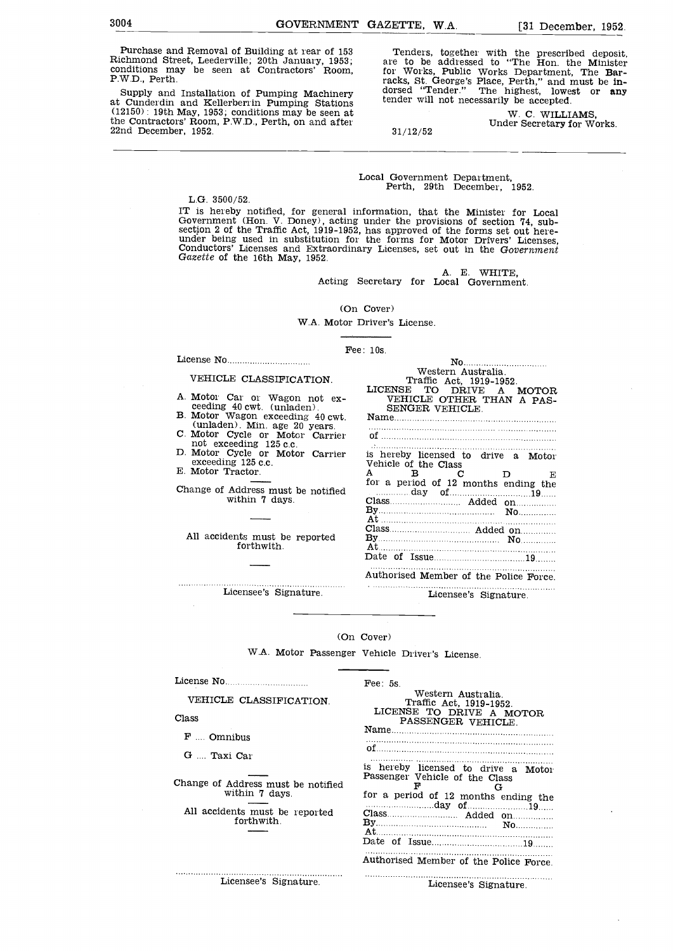Purchase and Removal of Building at rear of 153 Richmond Street, Leederville; 20th January, 1953; conditions may be seen at Contractors' Room, P.W.D., Perth.

Supply and Installation of Pumping Machinery at Cunderdin and Kellerberrin Pumping Stations (12150): 19th May, 1953; conditions may be seen at the Contractors' Room, P.W.D., Perth, on and after 22nd December, 1952.

Tenders, together with the prescribed deposit, are to be addressed to "The Hon. the Minister for Works, Public Works Department, The Barracks, St. George's Place, Perth," and must be in-<br>dorsed "Tender." The highest, lowest or any tender will not necessarily be accepted.

W. C. WILLIAMS, 31/12/52 Under Secretary for Works.

Local Government Department, Perth, 29th December, 1952,

L.G. 3500/52.

The herby notified, for general information, that the Minister for Local<br>The herby notified, for general information, that the Minister for Local<br>Government (Hon. V. Doney), acting under the provisions of section 74, sub-<br>

A. E. WHITE,<br>Acting Secretary for Local Government.

No Western Australia.

is hereby licensed to drive a Motor Vehicle of the Class  $\mathbf{A}$   $\mathbf{B}$   $\mathbf{C}$   $\mathbf{D}$   $\mathbf{E}$ for a period of 12 months ending the

day of 19 11 19 11 19 11 19 11 19 11 19 11 19 11 19 11 19 11 19 11 19 11 19 11 19 11 19 11 19 11 19 11 19 11 1

At <br>Class Added on Reflexion Added on The Press and Added on The Press and Added on The Press and Added Street, and Added Street and Added Street and Added Street and Added Street and Added Street and Added Street and Adde By No At Date of Issue <sup>19</sup> Authorised Member of the Police Force.

At

Name of <u>with the contract of the contract of</u> the contract of the contract of the contract of the contract of the contract of the contract of the contract of the contract of the contract of the contract of the contract of the

Traffic Act, 1919-1952. LICENSE TO DRIVE A MOTOR VEHICLE OTHER THAN A PAS-SENGER VEHICLE.

(On Cover)

W.A. Motor Driver's License.

 $\text{Fe}$ : 10s.

# VEHICLE CLASSIFICATION.

License No

- A. Motor Car or Wagon not ex-<br>
ceeding 40 cwt. (unladen).<br>
B. Motor Wagon exceeding 40 cwt.<br>
(unladen). Min. age 20 years.<br>
C. Motor Cycle or Motor Carrier<br>
not exceeding 125 c.c.<br>
D. Motor Cycle or Motor Carrier<br>
exceedin
- 
- 
- 

Change of Address must be notified within 7 days.

All accidents must be reported By......<br>forthwith. At...... forthwith.

Licensee's Signature. Licensee's Signature.

#### (On Cover)

W.A. Motor Passenger Vehicle Driver's License.

License No

VEHICLE CLASSIFICATION.

Class

. . . . . . . . . . . . . . . .

. . . . . . . . . . . . . . . .

F .... Omnibus

G ... Taxi Car

Change of Address must be notified within 7 days.

forthwith.

All accidents must be reported<br>forthwith. By the class added on  $A \cdot A$ <br> $B \cdot B$   $N$ . Fee: 5s.<br>Western Australia. Western Australia. Traffic Act, 1919-1952. LICENSE TO DRIVE A MOTOR PASSENGER VEHICLE. Name of is hereby licensed to drive a Motor Passenger Vehicle of the Class <sup>F</sup> <sup>G</sup> for a period of 12 months ending the day of 19 Added on  $By$  At  $A$ Date of Issue <sup>19</sup>

Authorised Member of the Police Force.

Licensee's Signature. The contract of the contract of the contract of the contract of the contract of the contract of the contract of the contract of the contract of the contract of the contract of the contract of the cont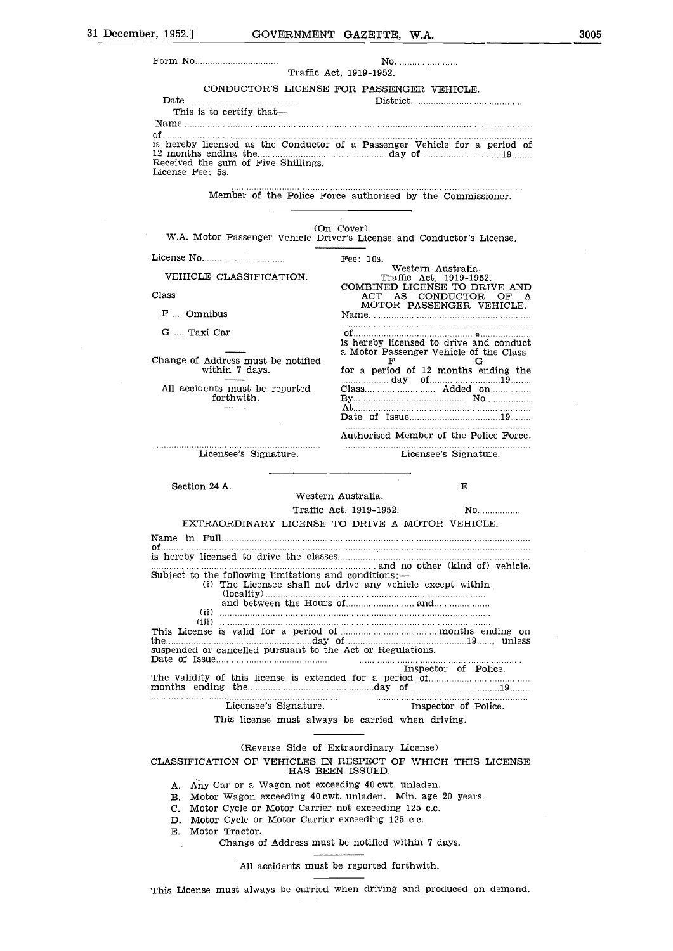|                                                                                                                                                                                                                                                                                                                                                                | CONDUCTOR'S LICENSE FOR PASSENGER VEHICLE.                                                                                                             |
|----------------------------------------------------------------------------------------------------------------------------------------------------------------------------------------------------------------------------------------------------------------------------------------------------------------------------------------------------------------|--------------------------------------------------------------------------------------------------------------------------------------------------------|
| Date $\ldots$ $\ldots$ $\ldots$ $\ldots$ $\ldots$ $\ldots$ $\ldots$ $\ldots$ $\ldots$                                                                                                                                                                                                                                                                          |                                                                                                                                                        |
| This is to certify that-                                                                                                                                                                                                                                                                                                                                       |                                                                                                                                                        |
| Received the sum of Five Shillings.<br>License Fee: 5s.                                                                                                                                                                                                                                                                                                        | is hereby licensed as the Conductor of a Passenger Vehicle for a period of                                                                             |
|                                                                                                                                                                                                                                                                                                                                                                | Member of the Police Force authorised by the Commissioner.                                                                                             |
|                                                                                                                                                                                                                                                                                                                                                                |                                                                                                                                                        |
|                                                                                                                                                                                                                                                                                                                                                                | (On Cover)<br>W.A. Motor Passenger Vehicle Driver's License and Conductor's License.                                                                   |
|                                                                                                                                                                                                                                                                                                                                                                | Fee: $10s$ .                                                                                                                                           |
| VEHICLE CLASSIFICATION.                                                                                                                                                                                                                                                                                                                                        | Western Australia.<br>Traffic Act, 1919-1952.                                                                                                          |
| Class                                                                                                                                                                                                                                                                                                                                                          | COMBINED LICENSE TO DRIVE AND<br>ACT AS CONDUCTOR<br>OF A                                                                                              |
| $F$ Omnibus                                                                                                                                                                                                                                                                                                                                                    | MOTOR PASSENGER VEHICLE.                                                                                                                               |
| G  Taxi Car                                                                                                                                                                                                                                                                                                                                                    |                                                                                                                                                        |
| Change of Address must be notified                                                                                                                                                                                                                                                                                                                             | is hereby licensed to drive and conduct<br>a Motor Passenger Vehicle of the Class<br>F<br>G                                                            |
| within 7 days.                                                                                                                                                                                                                                                                                                                                                 | for a period of 12 months ending the                                                                                                                   |
| All accidents must be reported<br>forthwith.                                                                                                                                                                                                                                                                                                                   |                                                                                                                                                        |
|                                                                                                                                                                                                                                                                                                                                                                |                                                                                                                                                        |
|                                                                                                                                                                                                                                                                                                                                                                | Authorised Member of the Police Force.                                                                                                                 |
| Licensee's Signature.                                                                                                                                                                                                                                                                                                                                          | Licensee's Signature.                                                                                                                                  |
|                                                                                                                                                                                                                                                                                                                                                                | Е                                                                                                                                                      |
|                                                                                                                                                                                                                                                                                                                                                                |                                                                                                                                                        |
| Section 24 A.                                                                                                                                                                                                                                                                                                                                                  | Western Australia.                                                                                                                                     |
|                                                                                                                                                                                                                                                                                                                                                                | Traffic Act, 1919-1952.<br>$\mathbf{No}$                                                                                                               |
|                                                                                                                                                                                                                                                                                                                                                                | EXTRAORDINARY LICENSE TO DRIVE A MOTOR VEHICLE.                                                                                                        |
|                                                                                                                                                                                                                                                                                                                                                                |                                                                                                                                                        |
|                                                                                                                                                                                                                                                                                                                                                                |                                                                                                                                                        |
|                                                                                                                                                                                                                                                                                                                                                                | (i) The Licensee shall not drive any vehicle except within                                                                                             |
|                                                                                                                                                                                                                                                                                                                                                                |                                                                                                                                                        |
|                                                                                                                                                                                                                                                                                                                                                                |                                                                                                                                                        |
|                                                                                                                                                                                                                                                                                                                                                                | Inspector of Police.                                                                                                                                   |
|                                                                                                                                                                                                                                                                                                                                                                |                                                                                                                                                        |
|                                                                                                                                                                                                                                                                                                                                                                |                                                                                                                                                        |
|                                                                                                                                                                                                                                                                                                                                                                | and no other (kind of) vehicle.<br>This license must always be carried when driving.                                                                   |
|                                                                                                                                                                                                                                                                                                                                                                | (Reverse Side of Extraordinary License)                                                                                                                |
|                                                                                                                                                                                                                                                                                                                                                                | This License is valid for a period of manufactured months ending on<br>CLASSIFICATION OF VEHICLES IN RESPECT OF WHICH THIS LICENSE<br>HAS BEEN ISSUED. |
| Subject to the following limitations and conditions:—<br>suspended or cancelled pursuant to the Act or Regulations.<br>A. Any Car or a Wagon not exceeding 40 cwt. unladen.<br>B. Motor Wagon exceeding 40 cwt. unladen. Min. age 20 years.<br>Motor Cycle or Motor Carrier not exceeding 125 c.c.<br>C.<br>D. Motor Cycle or Motor Carrier exceeding 125 c.c. |                                                                                                                                                        |
| E. Motor Tractor.                                                                                                                                                                                                                                                                                                                                              | Change of Address must be notified within 7 days.                                                                                                      |
|                                                                                                                                                                                                                                                                                                                                                                | All accidents must be reported forthwith.                                                                                                              |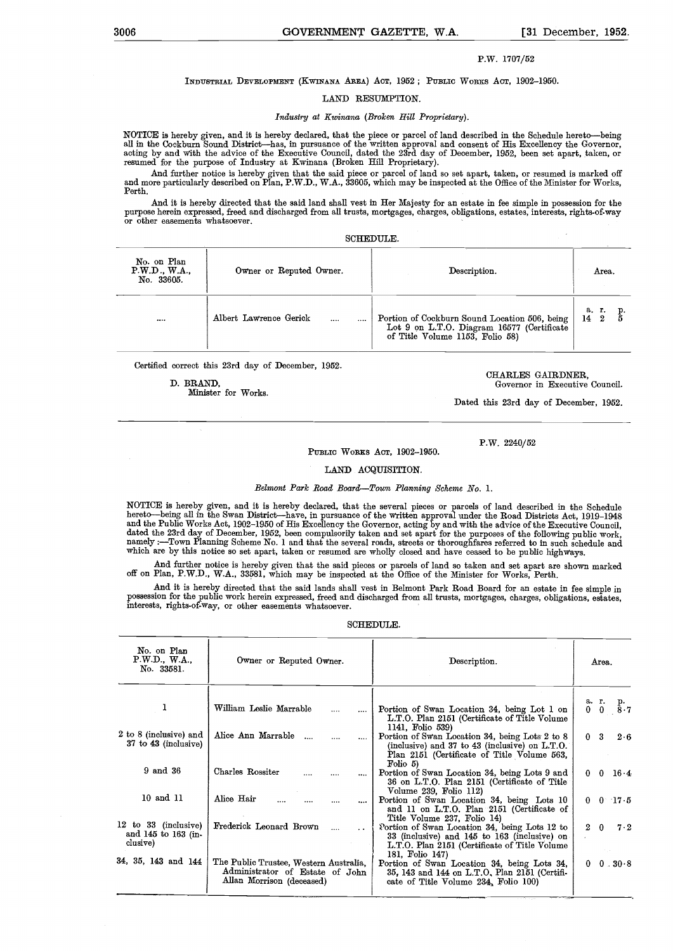$\bar{z}$ 

## P.W. 1707/52

## INDUSTRIAL DEVELOPMENT (KWINANA AREA) ACT, 1952; PUBLIC WORKS ACT, 1902-1950.

### LAND RESUMPTION.

## Industry at Kwinana (Broken Hill Proprietary).

NOTICE is hereby given, and it is hereby declared, that the piece or parcel of land described in the Schedule hereto-being all in the Cockburn Sound District—has, in pursuance of the written approval and consent of His Excellency the Governor,<br>acting by and with the advice of the Executive Council, dated the 23rd day of December, 1952, been se

And further notice is hereby given that the said piece or parcel of land so set apart, taken, or resumed is marked off<br>and more particularly described on Plan, P.W.D., W.A., 33605, which may be inspected at the Office of t Perth.

And it is hereby directed that the said land shall vest in Her Majesty for an estate in fee simple in possession for the purpose herein expressed, freed and discharged from all trusts, mortgages, charges, obligations, estates, interests, rights-of-Way or other easements whatsoever.

SCHEDULE.

| No. on Plan<br>P.W.D., W.A.,<br>No. 33605. | Owner or Reputed Owner.            | Description.                                                                                                                   | Area.                         |
|--------------------------------------------|------------------------------------|--------------------------------------------------------------------------------------------------------------------------------|-------------------------------|
|                                            | Albert Lawrence Gerick<br>$\cdots$ | Portion of Cockburn Sound Location 506, being<br>Lot 9 on L.T.O. Diagram 16577 (Certificate<br>of Title Volume 1153, Folio 58) | а. г.<br>14<br>$\overline{2}$ |

Certified correct this 23rd day of December, 1952.

Minister for Works.

D. BRAND, Governor in Executive Council.

Dated this 23rd day of December, 1952.

#### PUBLIC WORKS ACT, 1902-1950.

# LAND ACQUISITION.

Belmont Park Road Board-Town Planning Scheme No. 1.

NOTICE is hereby given, and it is hereby declared, that the several pieces or parcels of land described in the Schedule<br>hereto—being all in the Swan District—have, in pursuance of the written approval under the Road Distri namely :—Town Planning Scheme No. 1 and that the several roads, streets or thoroughfares referred to in such schedule and<br>which are by this notice so set apart, taken or resumed are wholly closed and have ceased to be publ

And further notice is hereby given that the said pieces or parcels of land so taken and set apart are shown marked off on Plan, P.W.D., W.A., 33581, Which may he inspected at the Office of the Minister for Works, Perth.

And it is hereby directed that the said lands shall vest in Belmont Park Road Board for an estate in fee simple in possession for the public work herein expressed, freed and discharged from all trusts, mortgages, charges, obligations, estates, interests, rights-of-Way, or other easemönts whatsoever.

# SCHEDULE.

| William Leslie Marrable<br>Portion of Swan Location 34, being Lot 1 on<br>$\cdots$<br>L.T.O. Plan 2151 (Certificate of Title Volume<br>1141, Folio 539)<br>2 to 8 (inclusive) and<br>Alice Ann Marrable<br>Portion of Swan Location 34, being Lots 2 to 8<br>0 <sup>3</sup><br>$37 \text{ to } 43 \text{ (inclusive)}$<br>(inclusive) and 37 to 43 (inclusive) on L.T.O.<br>Plan 2151 (Certificate of Title Volume 563,<br>Folio 5<br>9 and 36<br>Charles Rossiter<br>Portion of Swan Location 34, being Lots 9 and<br>36 on L.T.O. Plan 2151 (Certificate of Title<br>Volume 239, Folio 112)<br>10 and 11<br>Alice Hair<br>Portion of Swan Location 34, being Lots 10<br>and 11 on L.T.O. Plan 2151 (Certificate of | No. on Plan<br>P.W.D., W.A.,<br>No. 33581. | Owner or Reputed Owner. | Description.                | Area.               |
|----------------------------------------------------------------------------------------------------------------------------------------------------------------------------------------------------------------------------------------------------------------------------------------------------------------------------------------------------------------------------------------------------------------------------------------------------------------------------------------------------------------------------------------------------------------------------------------------------------------------------------------------------------------------------------------------------------------------|--------------------------------------------|-------------------------|-----------------------------|---------------------|
|                                                                                                                                                                                                                                                                                                                                                                                                                                                                                                                                                                                                                                                                                                                      |                                            |                         |                             | a. r. p.<br>0 0 8.7 |
|                                                                                                                                                                                                                                                                                                                                                                                                                                                                                                                                                                                                                                                                                                                      |                                            |                         |                             | 2.6                 |
|                                                                                                                                                                                                                                                                                                                                                                                                                                                                                                                                                                                                                                                                                                                      |                                            |                         |                             | $0 \t 0 \t 16.4$    |
|                                                                                                                                                                                                                                                                                                                                                                                                                                                                                                                                                                                                                                                                                                                      |                                            |                         | Title Volume 237, Folio 14) | $0 \t 0 \t 17.5$    |
| 12 to 33 (inclusive)<br>Frederick Leonard Brown<br>Portion of Swan Location 34, being Lots 12 to<br>$2\quad 0$<br>and 145 to 163 (in-<br>33 (inclusive) and 145 to 163 (inclusive) on<br>clusive)<br>L.T.O. Plan 2151 (Certificate of Title Volume)                                                                                                                                                                                                                                                                                                                                                                                                                                                                  |                                            |                         |                             | $7 \cdot 2$         |
| 181, Folio 147)<br>34, 35, 143 and 144<br>The Public Trustee, Western Australia,<br>Portion of Swan Location 34, being Lots 34,<br>0.<br>Administrator of Estate of John<br>35, 143 and 144 on L.T.O, Plan 2151 (Certifi-<br>Allan Morrison (deceased)<br>cate of Title Volume 234, Folio 100)                                                                                                                                                                                                                                                                                                                                                                                                                       |                                            |                         |                             | $0.30-8$            |

CHARLES GAIRDNER,

P.W. 2240/52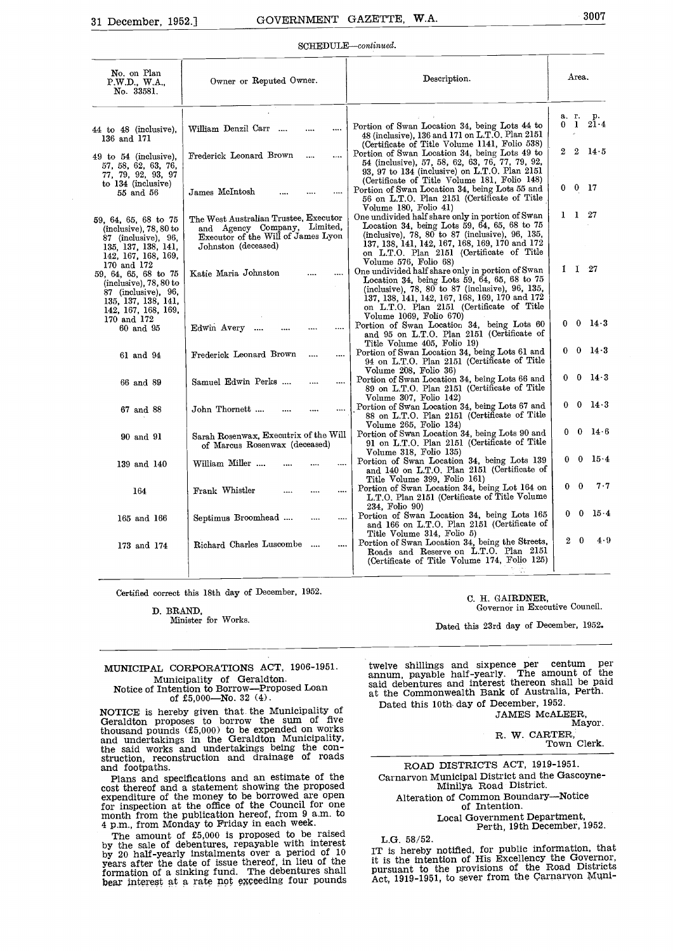#### SCHEDULE-continued.

| No. on Plan<br>P.W.D., W.A.,<br>No. 33581.                                                                                            | Owner or Reputed Owner.                                                                                                            | Description.                                                                                                                                                                                                                                                                    | Area.                                   |
|---------------------------------------------------------------------------------------------------------------------------------------|------------------------------------------------------------------------------------------------------------------------------------|---------------------------------------------------------------------------------------------------------------------------------------------------------------------------------------------------------------------------------------------------------------------------------|-----------------------------------------|
| 44 to 48 (inclusive),<br>136 and 171                                                                                                  | William Denzil Carr<br>.                                                                                                           | Portion of Swan Location 34, being Lots 44 to<br>48 (inclusive), 136 and 171 on L.T.O. Plan 2151<br>(Certificate of Title Volume 1141, Folio 538)                                                                                                                               | a. r.<br>p.<br>21.4<br>0 <sub>1</sub>   |
| $49$ to $54$ (inclusive).<br>57, 58, 62, 63, 76,<br>77, 79, 92, 93, 97                                                                | Frederick Leonard Brown<br>$\ddotsc$                                                                                               | Portion of Swan Location 34, being Lots 49 to<br>54 (inclusive), 57, 58, 62, 63, 76, 77, 79, 92,<br>93. 97 to 134 (inclusive) on L.T.O. Plan 2151                                                                                                                               | $\mathbf{2}$<br>14.5<br>2               |
| to $134$ (inclusive)<br>55 and 56                                                                                                     | James McIntosh                                                                                                                     | (Certificate of Title Volume 181, Folio 148)<br>Portion of Swan Location 34, being Lots 55 and<br>56 on L.T.O. Plan 2151 (Certificate of Title<br>Volume 180, Folio 41)                                                                                                         | $0\quad 0\quad 17$                      |
| 59, 64, 65, 68 to 75<br>$(inclusive)$ , 78, 80 to<br>87 (inclusive), $96$ ,<br>135, 137, 138, 141,<br>142, 167, 168, 169,             | The West Australian Trustee, Executor<br>and Agency Company, Limited,<br>Executor of the Will of James Lyon<br>Johnston (deceased) | One undivided half share only in portion of Swan<br>Location 34, being Lots 59, 64, 65, 68 to 75<br>(inclusive), 78, 80 to 87 (inclusive), 96, 135,<br>137, 138, 141, 142, 167, 168, 169, 170 and 172<br>on L.T.O. Plan 2151 (Certificate of Title<br>Volume 576, Folio 68)     | 1 1 27                                  |
| 170 and 172<br>59, 64, 65, 68 to 75<br>$(inclusive)$ , 78, 80 to<br>87 (inclusive), 96,<br>135, 137, 138, 141,<br>142, 167, 168, 169, | Katie Maria Johnston                                                                                                               | One undivided half share only in portion of Swan<br>Location 34, being Lots 59, 64, 65, 68 to $75$<br>(inclusive), 78, 80 to 87 (inclusive), 96, 135,<br>137, 138, 141, 142, 167, 168, 169, 170 and 172<br>on L.T.O. Plan 2151 (Certificate of Title<br>Volume 1069, Folio 670) | $1 \quad 1 \quad 27$                    |
| 170 and 172<br>60 and 95                                                                                                              | Edwin Avery<br>$\cdots$                                                                                                            | Portion of Swan Location 34, being Lots 60<br>and 95 on L.T.O. Plan 2151 (Certificate of<br>Title Volume 405, Folio 19)                                                                                                                                                         | $0\quad 0$<br>$14-3$                    |
| 61 and 94                                                                                                                             | Frederick Leonard Brown<br>$\overline{a}$<br>$\cdots$                                                                              | Portion of Swan Location 34, being Lots 61 and<br>94 on L.T.O. Plan 2151 (Certificate of Title<br>Volume 208, Folio 36)                                                                                                                                                         | $0\quad 0$<br>$14 \cdot 3$              |
| 66 and 89                                                                                                                             | Samuel Edwin Perks<br>$\ddotsc$<br>$\cdots$                                                                                        | Portion of Swan Location 34, being Lots 66 and<br>89 on L.T.O. Plan 2151 (Certificate of Title<br>Volume 307, Folio 142)                                                                                                                                                        | $14 \cdot 3$<br>$0\quad 0$              |
| 67 and 88                                                                                                                             | John Thornett<br>$\cdots$<br>                                                                                                      | Portion of Swan Location 34, being Lots 67 and<br>88 on L.T.O. Plan 2151 (Certificate of Title<br>Volume 265, Folio 134)                                                                                                                                                        | $0\quad 0$<br>$14 \cdot 3$              |
| 90 and 91                                                                                                                             | Sarah Rosenwax, Executrix of the Will<br>of Marcus Rosenwax (deceased)                                                             | Portion of Swan Location 34, being Lots 90 and<br>91 on L.T.O. Plan 2151 (Certificate of Title<br>Volume 318, Folio 135)                                                                                                                                                        | $0 \t0 \t14 \t6$                        |
| 139 and 140                                                                                                                           | William Miller<br>                                                                                                                 | Portion of Swan Location 34, being Lots 139<br>and 140 on L.T.O. Plan 2151 (Certificate of<br>Title Volume 399, Folio 161)                                                                                                                                                      | 15.4<br>$\bf{0}$<br>0                   |
| 164                                                                                                                                   | Frank Whistler<br><br>                                                                                                             | Portion of Swan Location 34, being Lot 164 on<br>L.T.O. Plan 2151 (Certificate of Title Volume)                                                                                                                                                                                 | $7-7$<br>$\bf{0}$<br>0                  |
| 165 and 166                                                                                                                           | Septimus Broomhead<br><br>                                                                                                         | 234, Folio 90)<br>Portion of Swan Location 34, being Lots 165<br>and 166 on L.T.O. Plan 2151 (Certificate of                                                                                                                                                                    | $15 \cdot 4$<br>$\bf{0}$<br>$\mathbf 0$ |
| 173 and 174                                                                                                                           | Richard Charles Luscombe<br>                                                                                                       | Title Volume 314, Folio 5)<br>Portion of Swan Location 34, being the Streets,<br>Roads and Reserve on L.T.O. Plan 2151<br>(Certificate of Title Volume 174, Folio 125)                                                                                                          | 4.9<br>$\boldsymbol{2}$<br>$\bf{0}$     |
|                                                                                                                                       |                                                                                                                                    |                                                                                                                                                                                                                                                                                 |                                         |

Certified correct this 18th day of December, 1952. C. H. GAIRDNER,

D. BRAND, Governor in Executive Council.<br>
Minister for Works.

Dated this 23rd day of December, 1952.

# MUNICIPAL CORPORATIONS ACT, 1906-1951. Municipality of Geraldton.<br>Notice of Intention to Borrow-Proposed Loan<br>of £5,000-No. 32 (4).

NOTICE is hereby given that the Municipality of Late Geraldton proposes to borrow the sum of five thousand pounds  $(£5,000)$  to be expended on works<br>and undertakings in the Geraldton Municipality,<br>the said works and undertakings being the con-<br>struction, reconstruction and drainage of roads<br>and footpaths.<br>Plans and sp

cost thereof and a statement showing the proposed expenditure of the money to be borrowed are open for inspection at the office of the Council for one month from the publication hereof, from 9 a.m. to 4 p.m., from Monday to Friday in each week.

4 p.m., from Monday to Friday in each week.<br>The amount of £5,000 is proposed to be raised by the sale of debentures, repayable with interest LG.<br>by 20 half-yearly instalments over a period of 10 IT is years after the date of issue thereof, in lieu of the it is formation of a sinking fund. The debentures shall purs<br>bear interest at a rate not exceeding four pounds Act,

twelve shillings and sixpence per centum per annum, payable half-yearly. The amount of the said debentures and interest thereon shall be paid at the Commonwealth Bank of Australia, Perth.

Dated this 10th- day of December, 1952. JAMES McALEER,

Mayor.

R. W. CARTER, Town Clerk.

ROAD DISTRICTS ACT, 1919-1951. Carnarvon Municipal District and the Gascoyne- Minilya Road District. Alteration of Common Boundary---Notice<br>of Intention.<br>Local Government Department, Perth, 19th December, 1952.

L.G. 58/52.

IT is hereby notified, for public information, that it is the intention of His Excellency the Governor, pursuant to the provisions of the Road Districts Act, 1919-1951, to sever from the Carnarvon Mi.ni-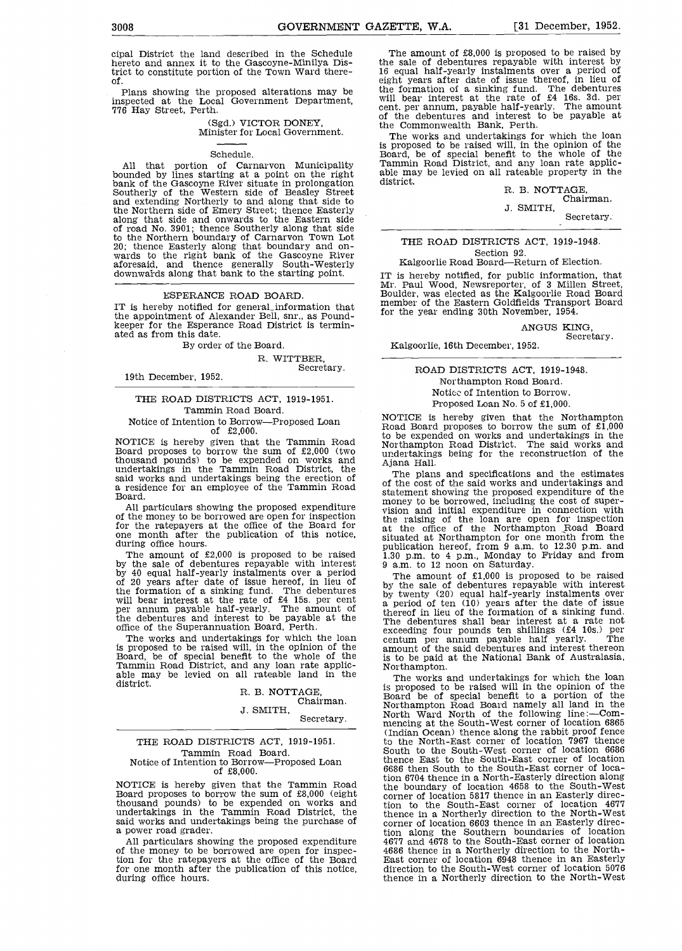Plans showing the proposed alterations may be  $\frac{\text{the}}{\text{mbl}}$ inspected at the Local Government Department, 776 Hay Street, Perth.

# (Sgd.) VICTOR DONEY, Minister for Local Government.

Schedule.<br>All that portion of Carnaryon Municipality All that portion of Carnarvon Municipality Tamm<br>bounded by lines starting at a point on the right able m<br>bank of the Gascoyne River situate in prolongation distric<br>Southerly of the Western side of Beasley Street<br>and extend along that side and onwards to the Eastern side of road No. 3901; thence Southerly along that side to the Northern boundary of Carnarvon Town Lot<br>20; thence Easterly along that boundary and on-<br>wards to the right bank of the Gascoyne River<br>aforesaid, and thence generally South-Westerly Ka downwal'ds along that bank to the starting point.

## ESPERANCE ROAD BOARD.

IT is hereby notified for generaLinformation that the appointment of Alexander Bell, snr., as Pound- keeper for the Esperance Road District is termin- ated as from this date.

## By order of the Board.

R. WITTBER,<br>19th December, 1952.<br>1952.

# THE ROAD DISTRICTS ACT, 1919-1951. Tammin Road Board. Notice of Intention to Borrow-Proposed Loan

of  $£2,000$ .<br>NOTICE is hereby given that the Tammin Road NOTICE is hereby given that the Tammin Road box the Board proposes to borrow the sum of £2,000 (two appropriate the sum of  $E2,000$  (two appropriate the sum of  $E2,000$  (two appropriate the sum of  $E2,000$  (two appropriat thousand pounds) to be expended on works and undertakings in the Tammin Road District, the

one month after the publication of this notice, during office hours.

The amount of £2,000 is proposed to be raised  $\frac{130 \text{ pm}}{30 \text{ pm}}$  to  $\frac{4 \text{ pm}}{2 \text{ mm}}$ , Monday to the sale of debentures repayable with interest  $\frac{9 \text{ nm}}{2 \text{ mm}}$  to 12 noon on Saturday. by the sale of debentures repayable with interest by  $40$  equal half-yearly instalments over a period The of 20 years after date of issue hereof, in lieu of by the the formation of a sinking fund. The debentures will bear interest at the rate of £4 15s. per cent per annum payable half-yearly. The amount of  $\begin{array}{c}$  the

The works and undertakings for which the loan is proposed to be raised will, in the opinion of the Board, be of special benefit to the whole of the Tammin Road District, and any loan rate applic-<br>Tammin Road District, and any loan rate applic-<br>able may be levied on al district.

# R. B. NOTTAGE, Chairman.

J. SMITH, Secretary.

### THE ROAD DISTRICTS ACT, 1919-1951. Tammin Road Board. Notice of Intention to Borrow-Proposed Loan of £8,000.

said works and undertakings being the purchase of<br>a power road grader.<br>All particulars showing the proposed expenditure

of the money to be borrowed are open for inspec-<br>4686 thence in a Northerly direction to the Northtion for the ratepayers at the office of the Board for one month after the publication of this notice, during office hours,

The amount of £8,000 is proposed to be raised by the sale of debentures repayable with interest by 16 equal half-yearly instalments over a period of eight years after date of issue thereof, in lieu of the formation of a sinking fund. The debentures will bear interest at the rate of £4 16s. 3d. per cent. per annum, payable half-yearly. The amount of the debentures and interest to be payable at the Commonwealth Bank, Perth.

The works and undertakings for which the loan<br>is proposed to be raised will, in the opinion of the is proposed to be raised will, in the opinion of the Board, be of special benefit to the whole of the Tammin Road District, and any loan rate applic- able may be levied on all rateable property in the district.

# R. B. NOTTAGE, Chairman.

J. SMITH, Secretary;

# THE ROAD DISTRICTS ACT, 1919-1948. Section 92.

Kalgoorlie Road Board-Return of Election.

IT is hereby notified, for public information, that Mr. Paul Wood, Newsreporter, of 3 Millen Street, Boulder, was elected as the Kalgoorlie Road Board member of the Eastern Goldfields Transport Board for the year ending 30th November, 1954.

# ANGUS KING,<br>Secretary.

Kalgoorlie, 16th December, 1952.

# ROAD DISTRICTS ACT, 1919-1948. Northampton Road Board. Notice of Intention to Borrow. Proposed Loan No. 5 of £1,000.

NOTICE is hereby given that the Northampton Road Board proposes to borrow the sum of £1,000 to be expended on works and undertakings in the Northampton Road District. The said works and undertakings being for the reconstruction of the Ajana Hall.

said works and undertakings being the erection of a residence for an employee of the Tammin Road<br>a residence for an employee of the Tammin Road<br>Board. Money to be borrowed, including the cost of super-<br>money to be borrowed All particulars showing the proposed expenditure<br>of the money to be borrowed are open for inspection<br>for the ratepayers at the office of the Board for<br>the rate of the Morthampton Road Board The plans and specifications and the estimates of the cost of the said works and undertakings and statement showing the proposed expenditure of the<br>money to be borrowed, including the cost of super-<br>vision and initial expenditure in connection with<br>the raising of the loan are open for inspection<br>at the office of the No situated at Northampton for one month from the publication hereof, from 9 a.m. to 12.30 p.m. and 1.30 p.m. to 4 p.m., Monday to Friday and from

with the debentures and interest to be payable at the debentures and interest to be payable at the debentures and interest to be payable at the debentures and interest at a rate of the debentures and interest to be payable The amount of £1,000 is proposed to be raised<br>by the sale of debentures repayable with interest<br>by twenty (20) equal half-yearly instalments over a period of ten (10) years after the date of issue thereof in lieu of the formation of a sinking fund. exceeding four pounds ten shillings (£4 10s.) per<br>centum per annum payable half yearly. The<br>amount of the said debentures and interest thereon<br>is to be paid at the National Bank of Australasia,<br>Northampton.<br>The works and u

NOTICE is hereby given that the Tammin Road Board by the boundary of location 4658 to the South-West<br>Board proposes to borrow the sum of £8,000 (eight the south boundary of location 5817 thence in an Easterly direc-<br>thousa shows and university in the opinion of the<br>Board be of special benefit to a portion of the<br>Northampton Road Board namely all land in the<br>North Ward North of the following line:—Com-<br>mencing at the South-West corner of loca (Indian Ocean) thence along the rabbit proof fence to the North-East corner of location 7967 thence South to the South-West corner of location 6686 thence East to the South-East corner of location 6686 then South to the South-East corner of location 6704 thence in a North-Easterly direction along the boundary of location 4658 to the South-West corner of location 5817 thence in an Easterly direction to the South-East corner of location 4677 thence in a Northerly direction to the North-West corner of location 6603 thence in an Easterly direc- tion along the Southern boundaries of location tion along the Southern boundaries of location<br>4677 and 4678 to the South-East corner of location East corner of location 6948 thence in an Easterly direction to the South-West corner of location 5076 thence in a Northerly direction to the North-West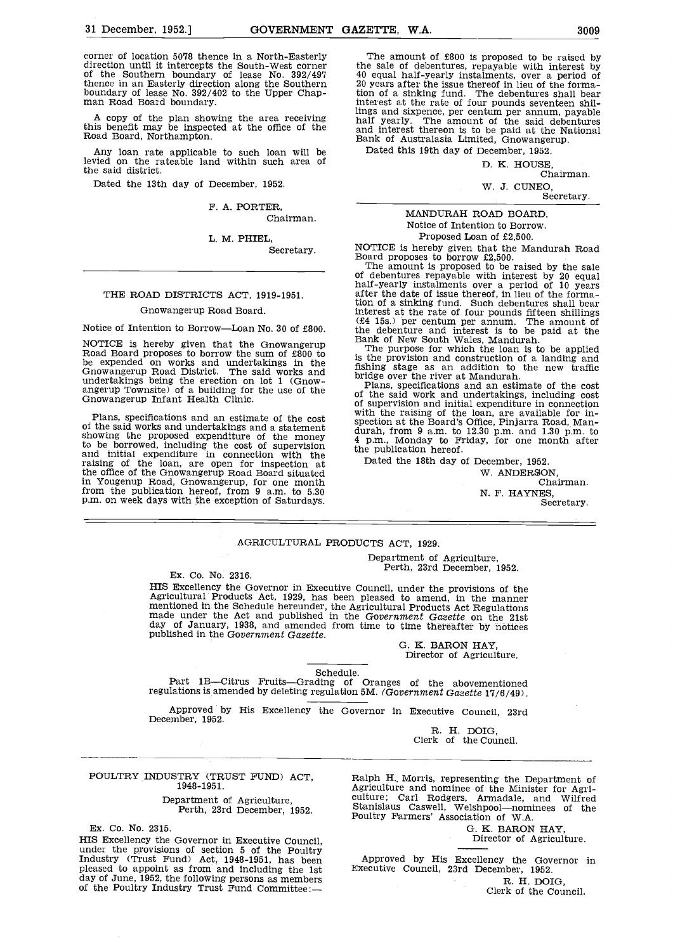corner of location 5078 thence in a North-Easterly The<br>direction until it intercepts the South-West corner the se<br>of the Southern boundary of lease No. 392/497 40 eq<br>thence in an Easterly direction along the Southern 20 ye boundary of lease No. 392/402 to the Upper Chap- man Road Board boundary.

A copy of the plan showing the area receiving half this benefit may be inspected at the office of the and<br>Road Board, Northampton. Ban

Any loan rate applicable to such loan will be levied on the rateable land within such area of the said district.

Dated the 13th day of December, 1952.

F. A. PORTER, Chairman.

L. M. PHIEL,

Secretary.

# THE ROAD DISTRICTS ACT, 1919-1951.

## Gnowangerup Road Board.

Notice of Intention to Borrow-Loan No. 30 of £800.

NOTICE is hereby given that the Gnowangerup Road Board proposes to borrow the sum of £800 to be expended on works and undertakings in the  $\frac{1}{15}$  the Gnowangerup Road District. The said works and  $\frac{1}{100}$ undertakings being the erection on lot 1 (Gnow-<br>angerup Townsite) of a building for the use of the Gnowangerup Infant Health Clinic.

Plans, specifications and an estimate of the cost<br>of the said works and undertakings and a statement<br>showing the proposed expenditure of the money 4 p.m to be borrowed, including the cost of supervision and initial expenditure in connection with the p raising of the loan, are open for inspection at the office of the Gnowangerup Road Board situated in Yougenup Road, Gnowangerup, for one month from the publication hereof, from 9 a.m. to 5.30 p.m. on week days with the exception of Saturdays.

The amount of £800 is proposed to be raised by the sale of debentures, repayable with interest by 40 equal half-yearly instalments, over a period of 20 years after the issue thereof in lieu of the formation of a sinking fund. The debentures shall bear interest at the rate of four pounds seventeen shillings and sixpence, per centum per annum, payable half yearly. The amount of the said debentures and interest thereon is to be paid at the National Bank of Australasia Limited, Gnowangerup.

Dated this 19th day of December, 1952.

D. K. HOUSE, Chairman.

W. J. CUNEO,

Secretary.

# MANDURAH ROAD BOARD. Notice of Intention to Borrow.

Proposed Loan of £2,500.<br>NOTICE is hereby given that the Mandurah Road<br>Board proposes to borrow £2,500.

The amount is proposed to be raised by the sale<br>of debentures repayable with interest by 20 equal<br>half-yearly instalments over a period of 10 years<br>after the date of issue thereof, in lieu of the formation of a sinking fund. Such debentures shall bear interest at the rate of four pounds fifteen shillings (M 15s.) per centum per annum. The amount of the debenture and interest is to be paid at the Bank of New South Wales, Mandurah. The purpose for which the loan is to be applied

is the provision and construction of a landing and fishing stage as an addition to the new traffic<br>bridge over the river at Mandurah.

Plans, specifications and an estimate of the cost<br>of the said work and undertakings, including cost<br>of supervision and initial expenditure in connection<br>with the rasing of the loan, are available for in-<br>spection at the B the publication hereof.

Dated the 18th day of December, 1952.

W. ANDERSON, Chairman. N. F. HAYNES,<br>Secretary.

# AGRICULTURAL PRODUCTS ACT, 1929.

Department of Agriculture,<br>Ex. Co. No. 2316.<br>HIS Excellency the Governor in Executive Council, under the provisions of the Agricultural Products Act, 1929, has been pleased to amend, in the manner<br>mentioned in the Schedule hereunder, the Agricultural Products Act Regulations<br>made under the Act and published in the Government Gazette on the 21s

> 0. K. BARON HAY, Director of Agriculture.

Schedule.<br>Part 1B—Citrus Fruits—Grading of Oranges of the abovementioned regulations is amended by deleting regulation SM. (Government Gazette 17/6/49).

Approved' by His Excellency the Governor in Executive Council, 23rd December, 1952.

R. H. DOIG, Clerk of the Council.

### POULTRY INDUSTRY (TRUST FUND) ACT, 1948- 1951.

Department of Agriculture, Perth, 23rd December, 1952.

Ex. Co. No. 2315.

HIS Excellency the Governor in Executive Council, under the provisions of section 5 of the Poultry Industry (Trust Fund) Act, 1948-1951, has been Published to appoint as from and including the 1st day of June, 1952, the following persons as members day of June, 1952, the following persons as members of the Poultry Industry Trust Fund Committee: Council Clerk of the

Ralph H. Morris, representing the Department of<br>Agriculture and nominee of the Minister for Agriculture; Carl Rodgers, Armadale, and Wilfred<br>Stanislaus Caswell, Welshpool—nominees of the<br>Poultry Farmers' Association of W.A

G. K. BARON HAY, Director of Agriculture.

Executive Council, 23rd December, 1952. R. H. DOIG,

Clerk of the Council.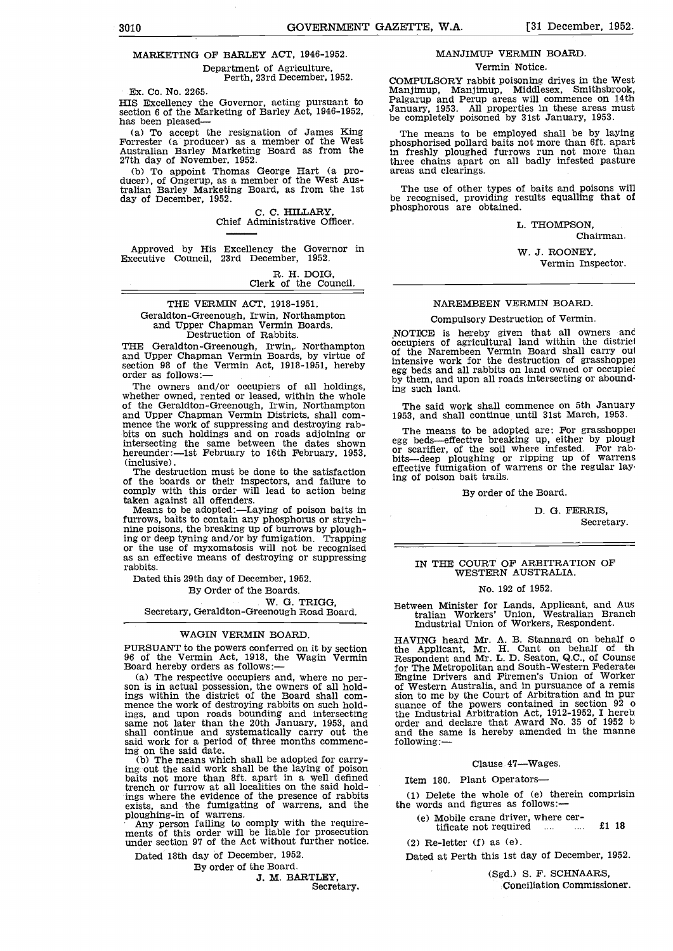# MARKETING OF BARLEY ACT, 1946-1952.

Department of Agriculture, Perth, 23rd December, 1952.

Ex. Co. No. 2265.

HIS Excellency the Governor, acting pursuant to section 6 of the Marketing of Barley Act, 1946-1952,

section 6 of the Marketing of Barley Act, 1946-1952,<br>
has been pleased—<br>
(a) To accept the resignation of James King<br>
Forrester (a producer) as a member of the West<br>
Australian Barley Marketing Board as from the<br>
27th day

tralian Barley Marketing Board, as from the 1st day of December, 1952.

C. C. HILLARY,<br>Chief Administrative Officer.

Approved by His Excellency the Governor in Executive Council, 23rd December, 1952.

R. H. DOIG, Clerk of the Council.

# THE VERMIN ACT, 1918-1951.

Geraldton-Greenough, Irwin, Northampton and Upper Chapman Vermin Boards. Destruction of Rabbits.

THE Geraldton-Greenough, Irwin, Northampton occupi and Upper Chapman Vermin Boards, by virtue of <sup>of the</sup> section 98 of the Vermin Act, 1918-1951, hereby order as follows:—

The owners and/or occupiers of all holdings,<br>The owners and/or occupiers of all holdings,<br>whether owned, rented or leased, within the whole<br>of the Geraldton-Greenough, Irwin, Northampton<br>and Upper Chapman Vermin Districts, and Upper Chapman Vermin Districts, shall com-<br>mence the work of suppressing and destroying rab-<br>bits on such holdings and on roads adjoining or intersecting the same between the dates shown egg be hereunder:—Ist February to 16th February, 1953, or sca<br>(inclusive).<br>The destruction must be done to the satisfaction effective<br>freed:

The destruction must be done to the satisfaction<br>of the boards or their inspectors, and failure to comply with this order will lead to action being taken against all offenders.

Means to be adopted:-Laying of poison baits in furrows, baits to contain any phosphorus or strych- nine poisons, the breaking up of burrows by ploughing or deep tyning and/or by fumigation. Trapping or the use of myxomatosis will not be recognised as an effective means of destroying or suppressing rabbits.

Dated this 29th day of December, 1952. By Order of the Boards.

W. G. TRIGG,<br>Secretary, Geraldton-Greenough Road Board.

#### WAGIN VERMIN BOARD.

son is in actual possession, the owners of all holdings within the district of the Board shall com-<br>mence the work of destroying rabbits on such holdings, and upon roads bounding and intersecting same not later than the 20th January, 1953, and shall continue and systematically carry out the said work for a period of three months commencing on the said date.<br>
(b) The means which shall be adopted for carry-

ing. out the said work shall be the laying of poison baits not more than 8ft. apart in a well defined trench or furrow at all localities on the said holdings where the evidence of the presence of rabbits exists, and the fumigating of warrens, and the ploughing-in of warrens.

Any person failing to comply with the require-<br>ments of this order will be liable for prosecution<br>under section 97 of the Act without further notice.

Dated 18th day of December, 1952.

By order of the Board.

J. M. BARTLEY,<br>Secretary,

# MANJIMUP VERMIN BOARD.

Vermin Notice.

COMPULSORY rabbit poisoning drives in the West Manjimup, Manjimup, Middlesex, Smithsbrook, Palgarup and Perup areas will commence on 14th January, 1953. All properties in these areas must be completely poisoned by 31st January, 1953.

The means to be employed shall be by laying phosphorised pollard baits not more than 6ft. apart in freshly ploughed furrows run not more than three chains apart on all badly infested pasture areas and clearings.

The use of other types of baits and poisons will be recognised, providing results equalling that of phosphorous are obtained.

L. THOMPSON,

Chairman. W. J. ROONEY,

Vermin Inspector.

NAREMBEEN VERMIN BOARD.

## Compulsory Destruction of Vermin.

NOTICE is hereby given that all owners anc occupiers of agricultural land within the district of the Narembeen Vermin Board shall carry out intensive work for the destruction of grasshoppe egg beds and all rabbits on land owned or occupiec by them, and upon all roads intersecting or abound ing such land.

The said work shall commence on 5th January 1953, and shall continue until 31st March, 1953.

The means to be adopted are: For grasshoppe egg beds—effective breaking up, either by plought or scarifier, of the soil where infested. For rabbits—deep ploughing or ripping up of warrens effective fumigation of warrens or the regular lay ing of poison bait trails.

By order of the Board.

D. G. FERRIS, Secretary.

# IN THE COURT OF ARBITRATION OF WESTERN AUSTRALIA.

# No. 192 of 1952.

Between Minister for Lands, Applicant, and Aus tralian Workers' Union, Westralian Branch Industrial Union of Workers, Respondent.

PURSUANT to the powers conferred on it by section<br>
96 of the Vermin Act, 1918, the Wagin Vermin Board hereby orders as follows:<br>
Board hereby orders as follows: The respective occupiers and, where no per-<br>
Son is in actual HAVING heard Mr. A. B. Stannard on behalf o the Applicant, Mr. H. Cant on behalf of th Respondent and Mr. L. D. Seaton, Q.C., of Counse for The Metropolitan and South-Western Federate<br>Engine Drivers and Firemen's Union of Worker suance of the powers contained in section  $92$  of the Industrial Arbitration Act,  $1912-1952$ , I hereb: order and declare that Award No. 35 of 1952 b and the same is hereby amended in the manne following:

#### Clause 47-Wages.

Item 180. Plant Operators

(1) Delete the whole of (e) therein comprisin the words and figures as follows:

- (e) Mobile crane driver, where certificate not required  $\ldots$   $\ldots$  £1 18
	-

 $(2)$  Re-letter  $(f)$  as  $(e)$ .

Dated at Perth this 1st day of December, 1952.

(Sgd.) S. F. SCHNAARS, Conciliation Commissioner.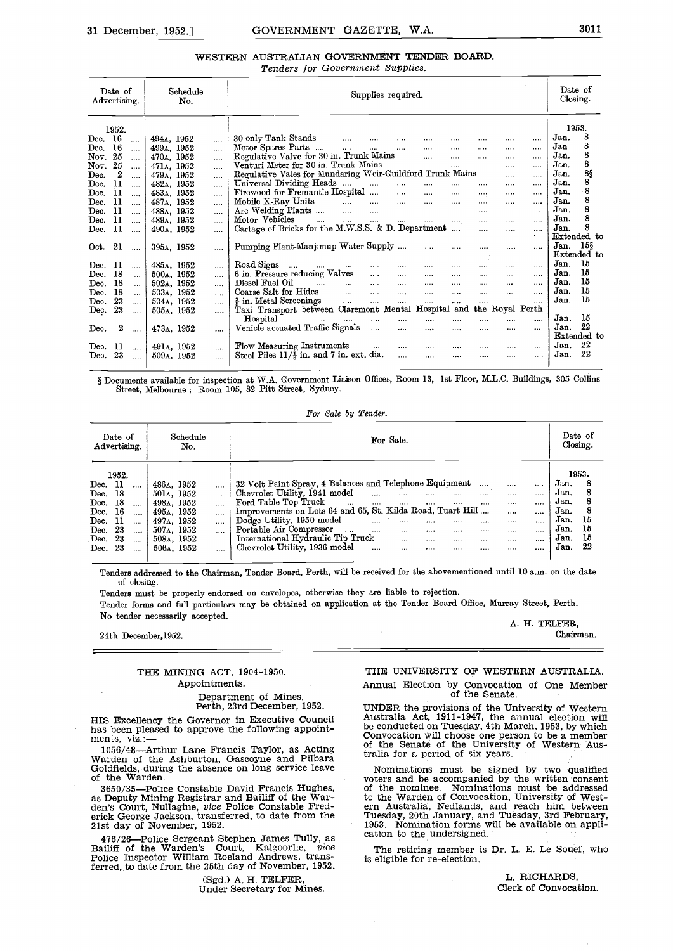# WESTERN AUSTRALIAN GOVERNMENT TENDER BOARD. Tenders for Government Supplies.

| Date of<br>Advertising.                                      | Schedule<br>No.                     | Supplies required.                                                                                                                     | Date of<br>Closing. |
|--------------------------------------------------------------|-------------------------------------|----------------------------------------------------------------------------------------------------------------------------------------|---------------------|
| 1952.                                                        |                                     |                                                                                                                                        | 1953.               |
| 16<br>Dec.<br>$\cdots$                                       | 494A, 1952<br>                      | 30 only Tank Stands<br>$\cdots$<br>$\cdots$<br><br>                                                                                    | 8<br>Jan.           |
| 16<br>$\operatorname{Dec.}$<br>$\cdots$                      | 499a, 1952<br>                      | Motor Spares Parts<br>$\cdots$<br><br><br>                                                                                             | 8<br>Jan            |
| Nov.<br>25<br>$\cdots$                                       | 470a, 1952<br>                      | Regulative Valve for 30 in. Trunk Mains<br>$\sim 10^{-1}$<br>$\cdots$<br>$\cdots$<br><br>                                              | 8<br>Jan.           |
| 25<br>Nov.<br>$\cdots$                                       | 471a, 1952<br>                      | Venturi Meter for 30 in. Trunk Mains<br>$\sim$<br>$\sim$ $\sim$<br><br>                                                                | 8<br>Jan.           |
| $\boldsymbol{2}$<br>$\mathop{\rm Dec.}\nolimits$<br>$\cdots$ | 479a, 1952<br>                      | Regulative Vales for Mundaring Weir-Guildford Trunk Mains<br><br>                                                                      | 8§<br>Jan.          |
| Dec.<br>11<br>$\cdots$                                       | 482 <sub>A</sub> , 1952<br>$\cdots$ | Universal Dividing Heads<br><br><br><br>                                                                                               | 8<br>Jan.           |
| 11<br>Dec.<br>$\cdots$                                       | 483A, 1952<br>$\cdots$              | Firewood for Fremantle Hospital<br>$\cdots$<br><br><br>.<br>                                                                           | 8<br>Jan.           |
| 11<br>Dec.<br>                                               | 487a, 1952<br>$\cdots$              | Mobile X-Ray Units<br>$\ldots$ . $\ldots$ . $\ldots$<br>$\cdots$<br>$\cdots$<br><br>                                                   | 8<br>Jan.           |
| 11<br>Dec.<br>$\cdots$                                       | 488a, 1952<br>                      | Arc Welding Plants<br>$\cdots$<br><br><br>$\cdots$                                                                                     | 8<br>Jan.           |
| 11<br>Dec.<br>$\cdots$                                       | 489a, 1952<br>                      | Motor Vehicles<br><b>Service</b><br>$\sim 100$ and $\sim 100$<br>$\mathbf{1}$<br>$\cdots$<br>$\cdots$<br>$\cdots$<br>.<br>             | 8<br>Jan.           |
| -11<br>Dec.<br>$\cdots$                                      | 490a, 1952<br>.                     | Cartage of Bricks for the M.W.S.S. & D. Department<br><br><br>                                                                         | 8<br>Jan.           |
|                                                              |                                     |                                                                                                                                        | Extended to         |
| -21<br>Oct.<br>$\sim$                                        | 395A, 1952<br>                      | Pumping Plant-Manjimup Water Supply<br>$\cdots$<br><br><br>                                                                            | 15\$<br>Jan.        |
|                                                              |                                     |                                                                                                                                        | Extended to         |
| 11<br>Dec.<br>$\sim 100$                                     | 485A, 1952<br>$\cdots$              | Road Signs $\cdots$ $\cdots$ $\cdots$<br>$\cdots$<br>$\cdots$<br><br>$\alpha$ and $\alpha$                                             | 15<br>Jan.          |
| 18<br>Dec.<br>$\cdots$                                       | 500a, 1952<br>$\sim 100$            | 6 in. Pressure reducing Valves<br>$\cdots$<br>$\cdots$<br>$\cdots$<br>$\cdots$<br>$\cdots$<br>$\cdots$<br>$\cdots$                     | 15<br>Jan.          |
| 18<br>Dec.<br>$\cdots$                                       | 502A, 1952<br>$\cdots$              | Diesel Fuel Oil<br>$\cdots$<br>$\cdots$<br><b>Contact Contact</b><br>$\cdots$<br><br>$\cdots$<br>$\cdots$                              | 15<br>Jan.          |
| 18<br>$\operatorname{Dec.}$<br>                              | 503a, 1952<br>                      | $\sim 100$<br>Coarse Salt for Hides<br>$\cdots$<br>$\cdots$<br>$\cdots$<br>$\cdots$<br>$\cdots$<br>$\cdots$<br>$\cdots$                | 15<br>Jan.          |
| 23<br>$\operatorname{Dec.}$<br>$\ldots$                      | 504a, 1952<br>$\cdots$              | $\frac{3}{2}$ in. Metal Screenings<br>$\sim$ 100 $\sim$ 100 $\sim$<br>$\cdots$<br>$\cdots$<br>$\cdots$<br><br>$\cdots$<br>$\cdots$<br> | 15<br>Jan.          |
| 23<br>Dec.<br>$\sim$ $\sim$                                  | 505A, 1952<br>$\cdots$              | Taxi Transport between Claremont Mental Hospital and the Royal Perth                                                                   |                     |
|                                                              |                                     | Hospital<br>the company of the company of<br>$\cdots$<br><br>                                                                          | 15<br>Jan.          |
| 2<br>Dec.<br>$\cdots$                                        | 473a, 1952<br>                      | Vehicle actuated Traffic Signals<br>$\cdots$<br>$\cdots$<br>$\cdots$<br>$\cdots$<br>$\cdots$<br><br>$\cdots$                           | 22<br>Jan.          |
|                                                              |                                     |                                                                                                                                        | Extended to         |
| -11<br>Dec.<br>$\cdots$                                      | 491a, 1952                          | Flow Measuring Instruments<br><b>Sales Control</b><br>$\ldots$<br>$\cdots$<br>$\cdots$<br>$\cdots$<br>1.1.1.1                          | 22<br>Jan.          |
| 23<br>Dec.<br>$\sim 100$                                     | 509a, 1952                          | Steel Piles $11/\frac{7}{8}$ in. and 7 in. ext. dia.<br>$\ldots$<br>$\cdots$<br><br>$\cdots$<br>                                       | 22<br>Jan.          |

§ Documents available for inspection at W.A. Government Liaison Offices, Room 13, 1st Floor, M.L.C. Buildings, 305 Collins Street, Melbourne; Room 105, 82 Pitt Street, Sydney.

For Sale by Tender.

| Schedule<br>Date of<br>Advertising.<br>No.                                                                                                                                                                                                                                                                                 | For Sale.                                                                                                                                                                                                                                                                                                                                                                                                                                                                                                                                                                                                                                            | Date of<br>$\alpha$ .                                                                         |  |  |
|----------------------------------------------------------------------------------------------------------------------------------------------------------------------------------------------------------------------------------------------------------------------------------------------------------------------------|------------------------------------------------------------------------------------------------------------------------------------------------------------------------------------------------------------------------------------------------------------------------------------------------------------------------------------------------------------------------------------------------------------------------------------------------------------------------------------------------------------------------------------------------------------------------------------------------------------------------------------------------------|-----------------------------------------------------------------------------------------------|--|--|
| 1952.<br>486A, 1952<br>Dec. 11<br>$\cdots$<br>18<br>Dec.<br>501a, 1952<br>$\ddotsc$<br>Dec. 18<br>498a, 1952<br>$\cdots$<br>Dec. 16<br>495a, 1952<br>$\ddotsc$<br>Dec. $11$<br>497 <sub>A</sub> , 1952<br>$\ddotsc$<br>-23<br>507A, 1952<br>Dec.<br>$\cdots$<br>Dec. 23<br>508a, 1952<br>$\cdots$<br>Dec. 23<br>506a, 1952 | 32 Volt Paint Spray, 4 Balances and Telephone Equipment<br>$\cdots$<br>$\cdots$<br>$\cdots$<br>Chevrolet Utility, 1941 model<br>$\sim$ 1000 $\sim$<br>$\cdots$<br>$\cdots$<br><br><br>Ford Table Top Truck<br><b>Service</b><br>$\cdots$<br>$\cdots$<br>$\cdots$<br>$\cdots$<br>$\cdots$<br><br>$\cdots$<br>Improvements on Lots 64 and 65, St. Kilda Road, Tuart Hill<br><br><br>Dodge Utility, 1950 model<br><br><br><br>$\cdots$<br><br>Portable Air Compressor<br>$\cdots$<br><br><br><br><br><br><br><br>International Hydraulic Tip Truck<br>$\cdots$<br><br><br><br><br><br>Chevrolet Utility, 1936 model<br><br><br><br><br><br><br>$\cdots$ | 1953.<br>Jan.<br>Jan.<br>Jan.<br>Jan.<br>15<br>Jan.<br>15<br>Jan.<br>15<br>Jan.<br>22<br>Jan. |  |  |

Tenders addressed to the Chairman, Tender Board, Perth, will be received for the abovementioned until 10 a.m. on the date of closing.

Tenders must be properly endorsed on envelopes, otherwise they are liable to rejection. Tender forms and full particulars may be obtained on application at the Tender Board Office, Murray Street. Perth. No tender necessarily accepted.<br>
24th December-1952 Chairman.<br>
24th December-1952

 $24th$  December,  $1952$ .

# THE MINING ACT, 1904-1950. Appointments.

# Department of Mines, Perth, 23rd December, 1952.

476/26—Police Sergeant Stephen James Tully, as Caliding of the Warden's Court, Kalgoorlie, *vice*<br>Police Inspector William Roeland Andrews, transferred, to date from the 25th day of November, 1952.

(Sgd.) A. H. TELFER, Under Secretary for Mines.

# THE UNIVERSITY OF WESTERN AUSTRALIA.

Annual Election by Convocation of One Member of the Senate.

HIS Excellency the Governor in Executive Council has been pleased to approve the following appoint-<br>has been pleased to approve the following appoint-<br>ments, viz.:--<br> $\frac{1056}{48}$ -Arthur Lane Francis Taylor as Acting of th UNDER the provisions of the University of Western<br>Australia Act, 1911-1947, the annual election will<br>be conducted on Tuesday, 4th March, 1953, by which tralia for a period of six years.

1056/48—Arthur Lane Francis Taylor, as Acting of the Senate of the University of Western Aus-<br>
Warden of the Ashburton, Gascoyne and Pilbara Goldfields, during the absence on long service leave<br>
of the Warden of the Warden den's Court, Nullagine, vice Police Constable Fred-<br>erick George Jackson, transferred, to date from the Tuesday, 20th January, and Tuesday, 3rd February,<br>21st day of November, 1952.<br>21st day of November, 1952.<br>21st day of Nominations must be signed by two qualified of the nominee. Nominations must be addressed<br>to the Warden of Convocation, University of Western Australia, Nedlands, and reach him between Tuesday, 20th January, and Tuesday, 3rd February,

> The retiring member is Dr. L. E. Le Souef, who is eligible for re-election.

> > L. RICHARDS, Clerk of Convocation.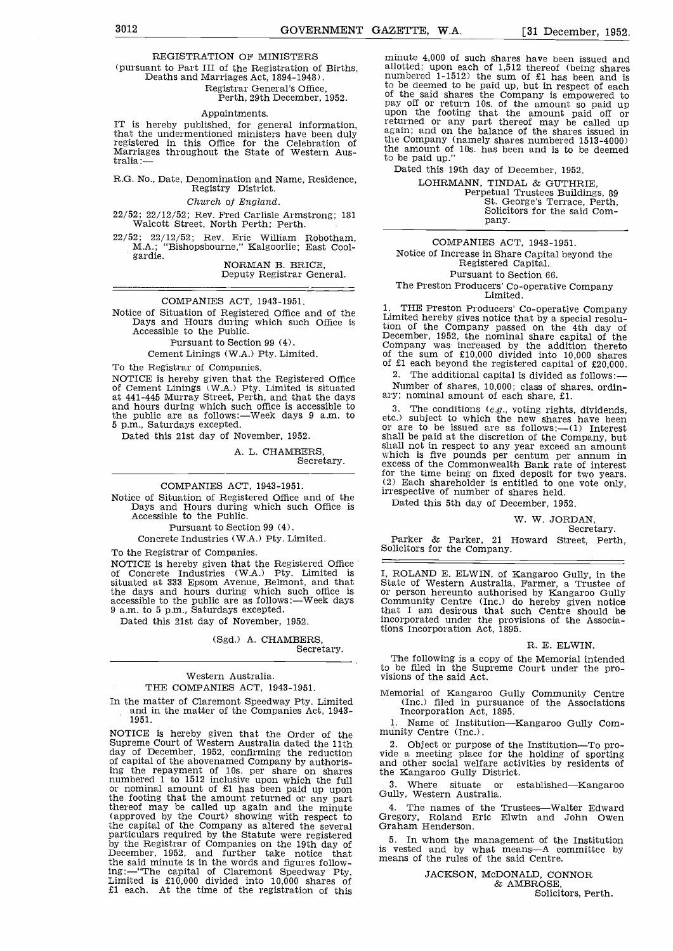## REGISTRATION OF MINISTERS

# (pursuant to Part III of the Registration of Births, Deaths and Marriages Act, 1894-1948).

Perth, 29th December, 1952.

#### Appointments.

IT is hereby published, for general information,  $1^{\text{reluit}}$ <br>that the undermentioned ministers have been duly  $1^{\text{reluit}}$ registered in this Office for the Celebration of the Marriages throughout the State of Western Aus-<br>tralia :— the tralia :—

# R.G. No., Date, Denomination and Name, Residence, Registry District.

#### Church of England.

22/52; 22/12/52; Rev. Fred Carlisle Armstrong; 181 Walcott Street, North Perth;. Perth.

22/52; 22/ 12/52; Rev. Eric William Robotham, M.A.; "Bishopsbourne," Kalgoorlie; East Cool- gardie. NORMAN B. BRICE, Deputy Registrar General.

#### COMPANIES ACT, 1943-1951.

Notice of Situation of Registered Office and of the Days and Hours during which such Office is Accessible to the Public.

Pursuant to Section 99 (4).

Cement Linings (W.A.) Pty. Limited.

To the Registrar of Companies.

NOTICE is hereby given that the Registered Office  $\frac{2}{2}$ . The additional capital is divided as of Cement Linings (W.A.) Pty. Limited is situated Mumber of shares, 10,000; class of sharet at 441-445 Murray Street, Perth and hours during which such office is accessible to  $\frac{3}{4}$ . The conditions (e.g., voting rights, dividends, the public are as follows:—Week days 9 a.m. to etc.) subject to which the new shares have been the public are as follows:—Week days 9 a.m. to 5 p.m., Saturdays excepted.

Dated this 21st day of November, 1952.

A. L. CHAMBERS,

Secretary.

COMPANIES ACT, 1943-1951. Notice of Situation of Registers of Days and Hours during which such Office is Accessible to the Public.

Pursuant to Section 99 (4).

Concrete Industries (W.A.) Pty. Limited.

To the Registrar of Companies.

NOTICE is hereby given that the Registered Office<br>of Concrete Industries (W.A.) Pty. Limited is I, ROLAND E. ELWIN, of Kangaroo Gully, in the of Concrete Industries (W.A.) Pty. Limited is I, ROLAND E. ELWIN, of Kangaroo Gully, in the situated at 333 Epsom Avenue, Belmont, and that State of Western Australia, Farmer, a Trustee of situated at 333 Epsom Avenue, Belmont, and that the days and hours during which such office is or accessible to the public are as follows:—Week days Contains all the public are as follows:—Week days Contains that

Dated this 21st day of November, 1952.

# (Sgd.) A. CHAMBERS, Secretary.

## Western Australia. THE COMPANIES ACT, 1943-1951.

In the matter of Claremont Speedway Pty. Limited and in the matter of the Companies Act, 1943- 1951.

NOTICE is hereby given that the Order of the Supreme Court of Western Australia dated the 11th 2. Object or purpose day of December, 1952, confirming the reduction vide a meeting place of capital of the abovenamed Company ing the repayment of 10s. per share on shares and other social wells<br>numbered 1 to 1512 inclusive upon which the full<br>or nominal amount of £1 has been paid up upon<br>the footing that the amount returned or any part Gully, We (approved by the Court) showing with respect to Grego the capital of the Company as altered the several Grahard particulars required by the Statute were registered by the Registrar of Companies on the 19th day of  $\frac{1}{15}$  vecember, 1952, and further take notice that in mean the said minute is in the words and figures follow-<br>ing:—"The capital of Claremont Speedway Pty.<br>Limited is £10,000 divided into 10,000 shares of<br>£1 each. At the time of the registration of this

minute 4,000 of such shares have been issued and allotted; upon each of 1,512 thereof (being shares numbered 1-1512) the sum of £1 has been and is to be deemed to be paid up, but in respect of each<br>of the said shares the Company is empowered to<br>pay off or return 10s. of the amount so paid up<br>upon the footing that the amount paid off or<br>returned or any part thereof ma again; and on the balance of the shares issued in the Company (namely shares numbered 1513-4000) the amount of lOs. has been and is to be deemed to be paid up."

Dated this 19th day of December, 1952.

LOHRMANN, TINDAL & GUTHRIE,<br>Perpetual Trustees Buildings, 89<br>St. George's Terrace, Perth,<br>Solicitors for the said Company.

COMPANIES ACT, 1943-1951. Notice of Increase in Share Capital beyond the Registered Capital. Pursuant to Section 66. The Preston Producers' Co-operative Company Limited.

1. THE Preston Producers' Co-operative Company<br>Limited hereby gives notice that by a special resolu-<br>tion of the Company passed on the 4th day of<br>December, 1952, the nominal share capital of the<br>Company was increased by th of the sum of £10,000 divided into 10,000 shares of £1 each beyond the registered capital of £20,000.

The additional capital is divided as follows:

Number of shares, 10,000; class of shares, ordin-

3. The conditions (e.g., voting rights, dividends, etc.) subject to which the new shares have been or are to be issued are as follows:—(1) Interest shall be paid at the discretion of the Company, but shall not in respect

Dated this 5th day of December, 1952.

# W. W. JORDAN,

Parker & Parker, 21 Howard Street, Perth, Solicitors for the Company.

I, ROLAND E. ELWIN, of Kangaroo Gully, in the<br>State of Western Australia, Farmer, a Trustee of<br>or person hereunto authorised by Kangaroo Gully<br>Community Centre (Inc.) do hereby given notice<br>that I am desirous that such Cen

#### R. E. ELWIN.

The following is a copy of the Memorial intended to be filed in the Supreme Court under the pro- visions of the said Act.

Memorial of Kangaroo Gully Community Centre (Inc.) filed in pursuance of the Associations Incorporation Act, 1895.

Name of Institution-Kangaroo Gully Com-

2. Object or purpose of the Institution—To pro-<br>vide a meeting place for the holding of sporting and other social welfare activities by residents of the Kangaroo Gully District.

3. Where situate or established—Kangaroo<br>Gully, Western Australia.

4. The names of the Trustees---Walter Edward Gregory, Roland Eric Elwin and John Owen Graham Henderson.

5. In whom the management of the Institution is vested and by what means—A committee by means of the rules of the said Centre.

JACKSON, McDONALD, CONNOR & AMBROSE, Solicitors, Perth.